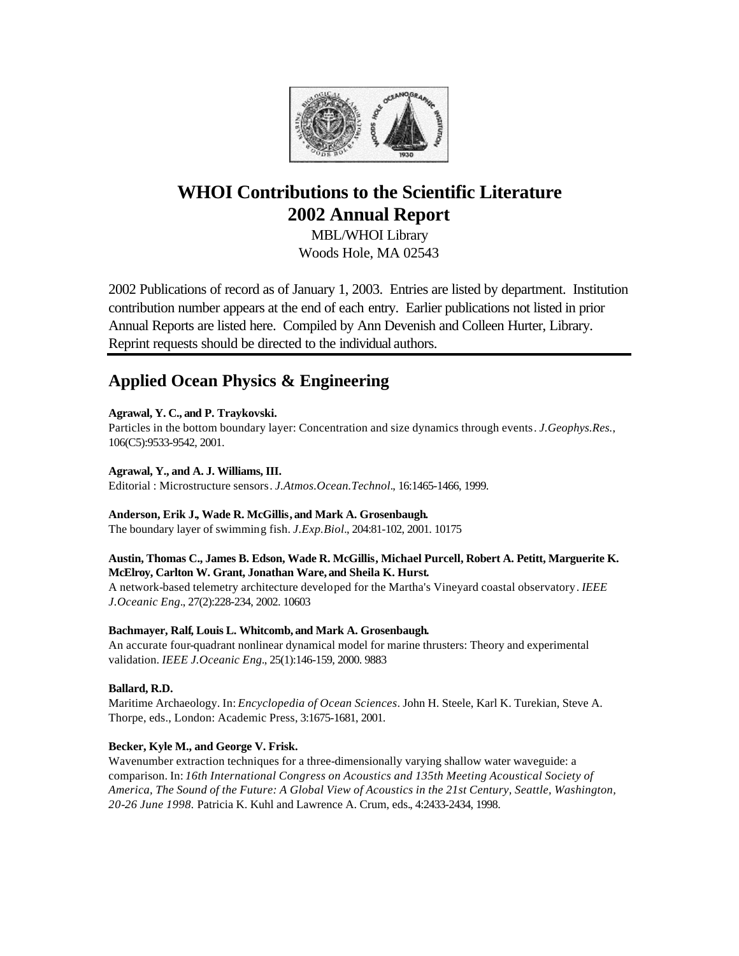

# **WHOI Contributions to the Scientific Literature 2002 Annual Report**

MBL/WHOI Library Woods Hole, MA 02543

2002 Publications of record as of January 1, 2003. Entries are listed by department. Institution contribution number appears at the end of each entry. Earlier publications not listed in prior Annual Reports are listed here. Compiled by Ann Devenish and Colleen Hurter, Library. Reprint requests should be directed to the individual authors.

# **Applied Ocean Physics & Engineering**

**Agrawal, Y. C., and P. Traykovski.**

Particles in the bottom boundary layer: Concentration and size dynamics through events. *J.Geophys.Res.*, 106(C5):9533-9542, 2001.

**Agrawal, Y., and A. J. Williams, III.** Editorial : Microstructure sensors. *J.Atmos.Ocean.Technol.*, 16:1465-1466, 1999.

**Anderson, Erik J., Wade R. McGillis, and Mark A. Grosenbaugh.**

The boundary layer of swimming fish. *J.Exp.Biol.*, 204:81-102, 2001. 10175

# **Austin, Thomas C., James B. Edson, Wade R. McGillis, Michael Purcell, Robert A. Petitt, Marguerite K. McElroy, Carlton W. Grant, Jonathan Ware, and Sheila K. Hurst.**

A network-based telemetry architecture developed for the Martha's Vineyard coastal observatory. *IEEE J.Oceanic Eng.*, 27(2):228-234, 2002. 10603

# **Bachmayer, Ralf, Louis L. Whitcomb, and Mark A. Grosenbaugh.**

An accurate four-quadrant nonlinear dynamical model for marine thrusters: Theory and experimental validation. *IEEE J.Oceanic Eng.*, 25(1):146-159, 2000. 9883

# **Ballard, R.D.**

Maritime Archaeology. In: *Encyclopedia of Ocean Sciences*. John H. Steele, Karl K. Turekian, Steve A. Thorpe, eds., London: Academic Press, 3:1675-1681, 2001.

# **Becker, Kyle M., and George V. Frisk.**

Wavenumber extraction techniques for a three-dimensionally varying shallow water waveguide: a comparison. In: *16th International Congress on Acoustics and 135th Meeting Acoustical Society of America, The Sound of the Future: A Global View of Acoustics in the 21st Century, Seattle, Washington, 20-26 June 1998.* Patricia K. Kuhl and Lawrence A. Crum, eds., 4:2433-2434, 1998.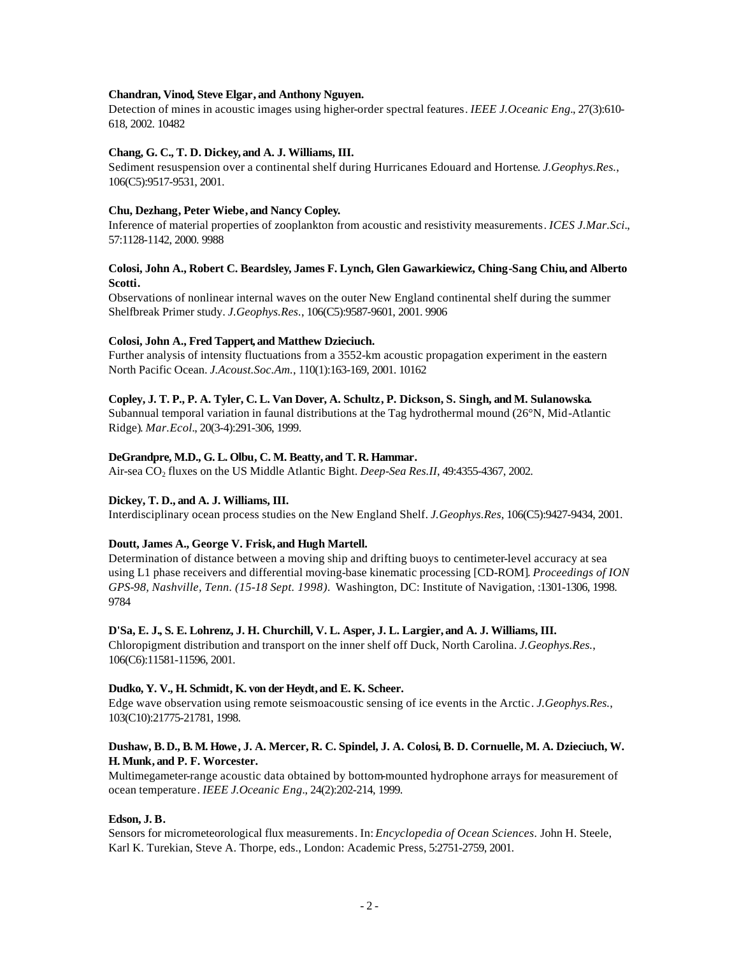## **Chandran, Vinod, Steve Elgar, and Anthony Nguyen.**

Detection of mines in acoustic images using higher-order spectral features. *IEEE J.Oceanic Eng.*, 27(3):610- 618, 2002. 10482

## **Chang, G. C., T. D. Dickey, and A. J. Williams, III.**

Sediment resuspension over a continental shelf during Hurricanes Edouard and Hortense. *J.Geophys.Res.*, 106(C5):9517-9531, 2001.

#### **Chu, Dezhang, Peter Wiebe, and Nancy Copley.**

Inference of material properties of zooplankton from acoustic and resistivity measurements. *ICES J.Mar.Sci.*, 57:1128-1142, 2000. 9988

# **Colosi, John A., Robert C. Beardsley, James F. Lynch, Glen Gawarkiewicz, Ching-Sang Chiu, and Alberto Scotti.**

Observations of nonlinear internal waves on the outer New England continental shelf during the summer Shelfbreak Primer study. *J.Geophys.Res.*, 106(C5):9587-9601, 2001. 9906

#### **Colosi, John A., Fred Tappert, and Matthew Dzieciuch.**

Further analysis of intensity fluctuations from a 3552-km acoustic propagation experiment in the eastern North Pacific Ocean. *J.Acoust.Soc.Am.*, 110(1):163-169, 2001. 10162

## **Copley, J. T. P., P. A. Tyler, C. L. Van Dover, A. Schultz, P. Dickson, S. Singh, and M. Sulanowska.**

Subannual temporal variation in faunal distributions at the Tag hydrothermal mound (26°N, Mid-Atlantic Ridge). *Mar.Ecol.*, 20(3-4):291-306, 1999.

## **DeGrandpre, M.D., G. L. Olbu, C. M. Beatty, and T. R. Hammar.**

Air-sea CO<sub>2</sub> fluxes on the US Middle Atlantic Bight. *Deep-Sea Res.II*, 49:4355-4367, 2002.

## **Dickey, T. D., and A. J. Williams, III.**

Interdisciplinary ocean process studies on the New England Shelf. *J.Geophys.Res*, 106(C5):9427-9434, 2001.

## **Doutt, James A., George V. Frisk, and Hugh Martell.**

Determination of distance between a moving ship and drifting buoys to centimeter-level accuracy at sea using L1 phase receivers and differential moving-base kinematic processing [CD-ROM]. *Proceedings of ION GPS-98, Nashville, Tenn. (15-18 Sept. 1998).* Washington, DC: Institute of Navigation, :1301-1306, 1998. 9784

#### **D'Sa, E. J., S. E. Lohrenz, J. H. Churchill, V. L. Asper, J. L. Largier, and A. J. Williams, III.**

Chloropigment distribution and transport on the inner shelf off Duck, North Carolina. *J.Geophys.Res.*, 106(C6):11581-11596, 2001.

#### **Dudko, Y. V., H. Schmidt, K. von der Heydt, and E. K. Scheer.**

Edge wave observation using remote seismoacoustic sensing of ice events in the Arctic. *J.Geophys.Res.*, 103(C10):21775-21781, 1998.

# **Dushaw, B. D., B. M. Howe, J. A. Mercer, R. C. Spindel, J. A. Colosi, B. D. Cornuelle, M. A. Dzieciuch, W. H. Munk, and P. F. Worcester.**

Multimegameter-range acoustic data obtained by bottom-mounted hydrophone arrays for measurement of ocean temperature. *IEEE J.Oceanic Eng.*, 24(2):202-214, 1999.

#### **Edson, J. B.**

Sensors for micrometeorological flux measurements. In: *Encyclopedia of Ocean Sciences.* John H. Steele, Karl K. Turekian, Steve A. Thorpe, eds., London: Academic Press, 5:2751-2759, 2001.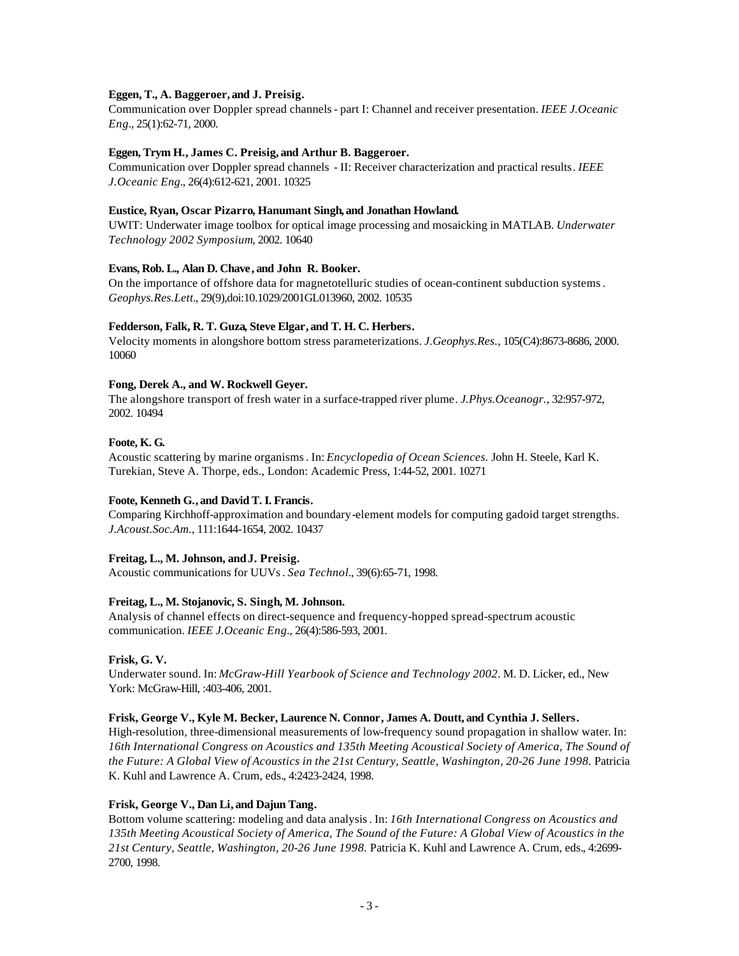# **Eggen, T., A. Baggeroer, and J. Preisig.**

Communication over Doppler spread channels - part I: Channel and receiver presentation. *IEEE J.Oceanic Eng.*, 25(1):62-71, 2000.

# **Eggen, Trym H., James C. Preisig, and Arthur B. Baggeroer.**

Communication over Doppler spread channels - II: Receiver characterization and practical results. *IEEE J.Oceanic Eng.*, 26(4):612-621, 2001. 10325

## **Eustice, Ryan, Oscar Pizarro, Hanumant Singh, and Jonathan Howland.**

UWIT: Underwater image toolbox for optical image processing and mosaicking in MATLAB. *Underwater Technology 2002 Symposium*, 2002. 10640

# **Evans, Rob. L., Alan D. Chave , and John R. Booker.**

On the importance of offshore data for magnetotelluric studies of ocean-continent subduction systems. *Geophys.Res.Lett.*, 29(9),doi:10.1029/2001GL013960, 2002. 10535

# **Fedderson, Falk, R. T. Guza, Steve Elgar, and T. H. C. Herbers.**

Velocity moments in alongshore bottom stress parameterizations. *J.Geophys.Res.*, 105(C4):8673-8686, 2000. 10060

# **Fong, Derek A., and W. Rockwell Geyer.**

The alongshore transport of fresh water in a surface-trapped river plume. *J.Phys.Oceanogr.*, 32:957-972, 2002. 10494

## **Foote, K. G.**

Acoustic scattering by marine organisms. In: *Encyclopedia of Ocean Sciences.* John H. Steele, Karl K. Turekian, Steve A. Thorpe, eds., London: Academic Press, 1:44-52, 2001. 10271

# **Foote, Kenneth G., and David T. I. Francis.**

Comparing Kirchhoff-approximation and boundary-element models for computing gadoid target strengths. *J.Acoust.Soc.Am.*, 111:1644-1654, 2002. 10437

# **Freitag, L., M. Johnson, andJ. Preisig.**

Acoustic communications for UUVs. *Sea Technol.*, 39(6):65-71, 1998.

## **Freitag, L., M. Stojanovic, S. Singh, M. Johnson.**

Analysis of channel effects on direct-sequence and frequency-hopped spread-spectrum acoustic communication. *IEEE J.Oceanic Eng.*, 26(4):586-593, 2001.

## **Frisk, G. V.**

Underwater sound. In: *McGraw-Hill Yearbook of Science and Technology 2002*. M. D. Licker, ed., New York: McGraw-Hill, :403-406, 2001.

## **Frisk, George V., Kyle M. Becker, Laurence N. Connor, James A. Doutt, and Cynthia J. Sellers.**

High-resolution, three-dimensional measurements of low-frequency sound propagation in shallow water. In: *16th International Congress on Acoustics and 135th Meeting Acoustical Society of America, The Sound of*  the Future: A Global View of Acoustics in the 21st Century, Seattle, Washington, 20-26 June 1998. Patricia K. Kuhl and Lawrence A. Crum, eds., 4:2423-2424, 1998.

# **Frisk, George V., Dan Li, and Dajun Tang.**

Bottom volume scattering: modeling and data analysis. In: *16th International Congress on Acoustics and 135th Meeting Acoustical Society of America, The Sound of the Future: A Global View of Acoustics in the 21st Century, Seattle, Washington, 20-26 June 1998.* Patricia K. Kuhl and Lawrence A. Crum, eds., 4:2699- 2700, 1998.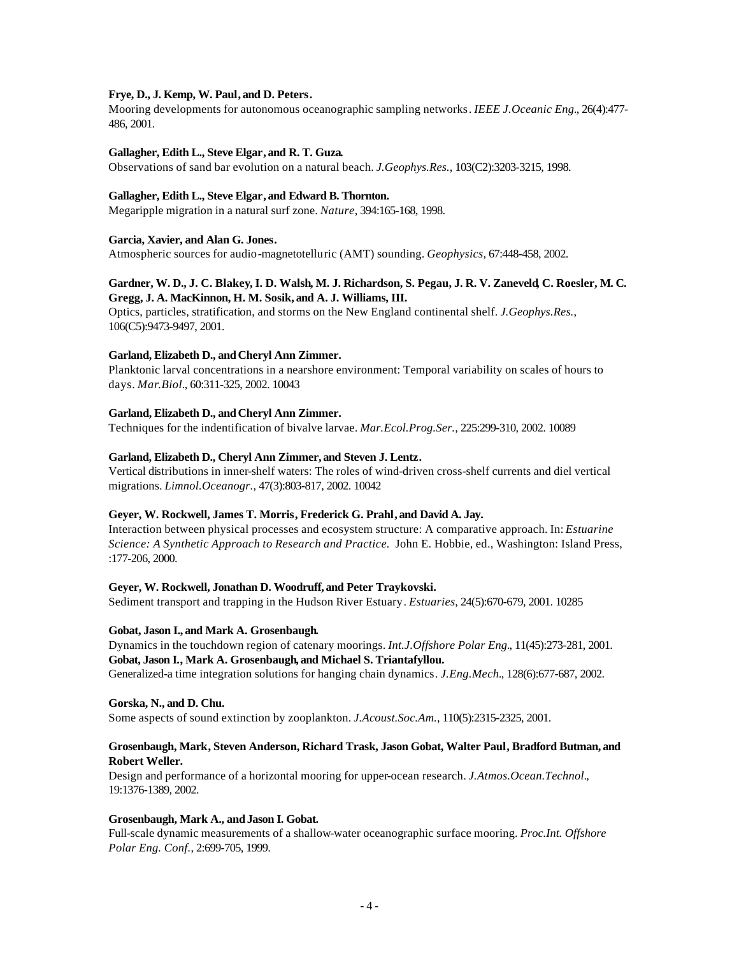## **Frye, D., J. Kemp, W. Paul, and D. Peters.**

Mooring developments for autonomous oceanographic sampling networks. *IEEE J.Oceanic Eng.*, 26(4):477- 486, 2001.

## **Gallagher, Edith L., Steve Elgar, and R. T. Guza.**

Observations of sand bar evolution on a natural beach. *J.Geophys.Res.*, 103(C2):3203-3215, 1998.

# **Gallagher, Edith L., Steve Elgar, and Edward B. Thornton.**

Megaripple migration in a natural surf zone. *Nature*, 394:165-168, 1998.

# **Garcia, Xavier, and Alan G. Jones.**

Atmospheric sources for audio-magnetotelluric (AMT) sounding. *Geophysics*, 67:448-458, 2002.

# **Gardner, W. D., J. C. Blakey, I. D. Walsh, M. J. Richardson, S. Pegau, J. R. V. Zaneveld, C. Roesler, M. C. Gregg, J. A. MacKinnon, H. M. Sosik, and A. J. Williams, III.**

Optics, particles, stratification, and storms on the New England continental shelf. *J.Geophys.Res.*, 106(C5):9473-9497, 2001.

# **Garland, Elizabeth D., andCheryl Ann Zimmer.**

Planktonic larval concentrations in a nearshore environment: Temporal variability on scales of hours to days. *Mar.Biol.*, 60:311-325, 2002. 10043

# **Garland, Elizabeth D., andCheryl Ann Zimmer.**

Techniques for the indentification of bivalve larvae. *Mar.Ecol.Prog.Ser.*, 225:299-310, 2002. 10089

# **Garland, Elizabeth D., Cheryl Ann Zimmer, and Steven J. Lentz.**

Vertical distributions in inner-shelf waters: The roles of wind-driven cross-shelf currents and diel vertical migrations. *Limnol.Oceanogr.*, 47(3):803-817, 2002. 10042

# **Geyer, W. Rockwell, James T. Morris, Frederick G. Prahl, and David A. Jay.**

Interaction between physical processes and ecosystem structure: A comparative approach. In: *Estuarine Science: A Synthetic Approach to Research and Practice.* John E. Hobbie, ed., Washington: Island Press, :177-206, 2000.

# **Geyer, W. Rockwell, Jonathan D. Woodruff, and Peter Traykovski.**

Sediment transport and trapping in the Hudson River Estuary. *Estuaries*, 24(5):670-679, 2001. 10285

# **Gobat, Jason I., and Mark A. Grosenbaugh.**

Dynamics in the touchdown region of catenary moorings. *Int.J.Offshore Polar Eng.*, 11(45):273-281, 2001. **Gobat, Jason I., Mark A. Grosenbaugh, and Michael S. Triantafyllou.**

Generalized-a time integration solutions for hanging chain dynamics. *J.Eng.Mech.*, 128(6):677-687, 2002.

## **Gorska, N., and D. Chu.**

Some aspects of sound extinction by zooplankton. *J.Acoust.Soc.Am.*, 110(5):2315-2325, 2001.

# **Grosenbaugh, Mark, Steven Anderson, Richard Trask, Jason Gobat, Walter Paul, Bradford Butman, and Robert Weller.**

Design and performance of a horizontal mooring for upper-ocean research. *J.Atmos.Ocean.Technol.*, 19:1376-1389, 2002.

## **Grosenbaugh, Mark A., andJason I. Gobat.**

Full-scale dynamic measurements of a shallow-water oceanographic surface mooring. *Proc.Int. Offshore Polar Eng. Conf.*, 2:699-705, 1999.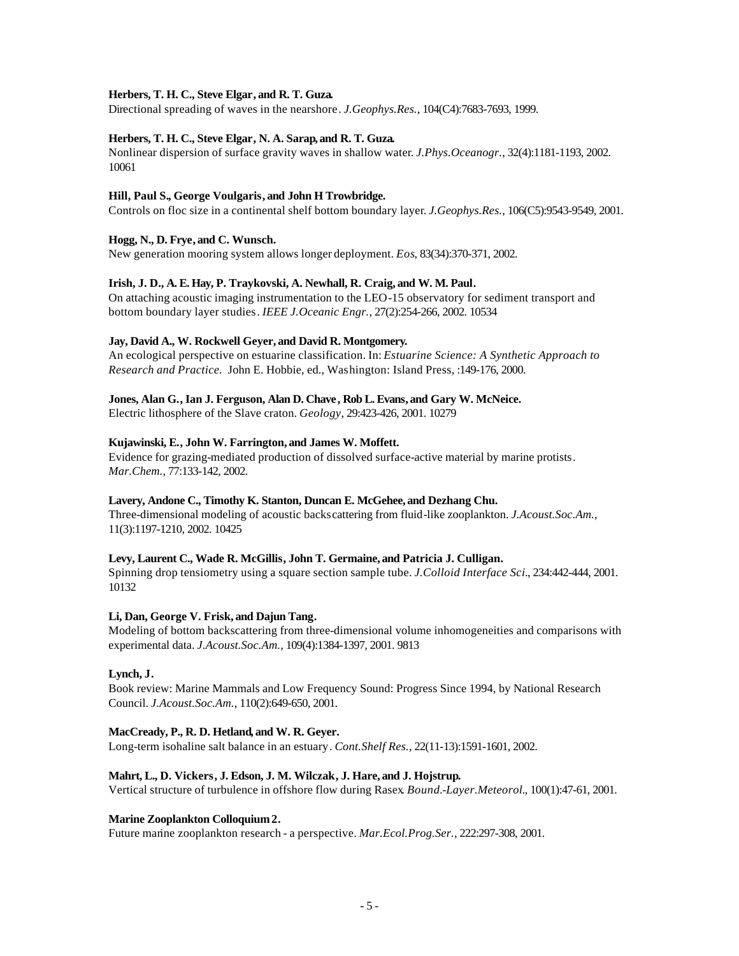## **Herbers, T. H. C., Steve Elgar, and R. T. Guza.**

Directional spreading of waves in the nearshore. *J.Geophys.Res.*, 104(C4):7683-7693, 1999.

# **Herbers, T. H. C., Steve Elgar, N. A. Sarap, and R. T. Guza.**

Nonlinear dispersion of surface gravity waves in shallow water. *J.Phys.Oceanogr.*, 32(4):1181-1193, 2002. 10061

## **Hill, Paul S., George Voulgaris, and John H Trowbridge.**

Controls on floc size in a continental shelf bottom boundary layer. *J.Geophys.Res.*, 106(C5):9543-9549, 2001.

# **Hogg, N., D. Frye, and C. Wunsch.**

New generation mooring system allows longer deployment. *Eos*, 83(34):370-371, 2002.

# **Irish, J. D., A. E. Hay, P. Traykovski, A. Newhall, R. Craig, and W. M. Paul.**

On attaching acoustic imaging instrumentation to the LEO-15 observatory for sediment transport and bottom boundary layer studies. *IEEE J.Oceanic Engr.*, 27(2):254-266, 2002. 10534

## **Jay, David A., W. Rockwell Geyer, and David R. Montgomery.**

An ecological perspective on estuarine classification. In: *Estuarine Science: A Synthetic Approach to Research and Practice.* John E. Hobbie, ed., Washington: Island Press, :149-176, 2000.

## **Jones, Alan G., Ian J. Ferguson, Alan D. Chave , Rob L. Evans, and Gary W. McNeice.**

Electric lithosphere of the Slave craton. *Geology*, 29:423-426, 2001. 10279

## **Kujawinski, E., John W. Farrington, and James W. Moffett.**

Evidence for grazing-mediated production of dissolved surface-active material by marine protists. *Mar.Chem.*, 77:133-142, 2002.

## **Lavery, Andone C., Timothy K. Stanton, Duncan E. McGehee, and Dezhang Chu.**

Three-dimensional modeling of acoustic backscattering from fluid-like zooplankton. *J.Acoust.Soc.Am.*, 11(3):1197-1210, 2002. 10425

# **Levy, Laurent C., Wade R. McGillis, John T. Germaine, and Patricia J. Culligan.**

Spinning drop tensiometry using a square section sample tube. *J.Colloid Interface Sci.*, 234:442-444, 2001. 10132

# **Li, Dan, George V. Frisk, and Dajun Tang.**

Modeling of bottom backscattering from three-dimensional volume inhomogeneities and comparisons with experimental data. *J.Acoust.Soc.Am.*, 109(4):1384-1397, 2001. 9813

## **Lynch, J.**

Book review: Marine Mammals and Low Frequency Sound: Progress Since 1994, by National Research Council. *J.Acoust.Soc.Am.*, 110(2):649-650, 2001.

## **MacCready, P., R. D. Hetland, and W. R. Geyer.**

Long-term isohaline salt balance in an estuary. *Cont.Shelf Res.*, 22(11-13):1591-1601, 2002.

## **Mahrt, L., D. Vickers, J. Edson, J. M. Wilczak, J. Hare, and J. Hojstrup.**

Vertical structure of turbulence in offshore flow during Rasex. *Bound.-Layer.Meteorol.*, 100(1):47-61, 2001.

## **Marine Zooplankton Colloquium2.**

Future marine zooplankton research - a perspective. *Mar.Ecol.Prog.Ser.*, 222:297-308, 2001.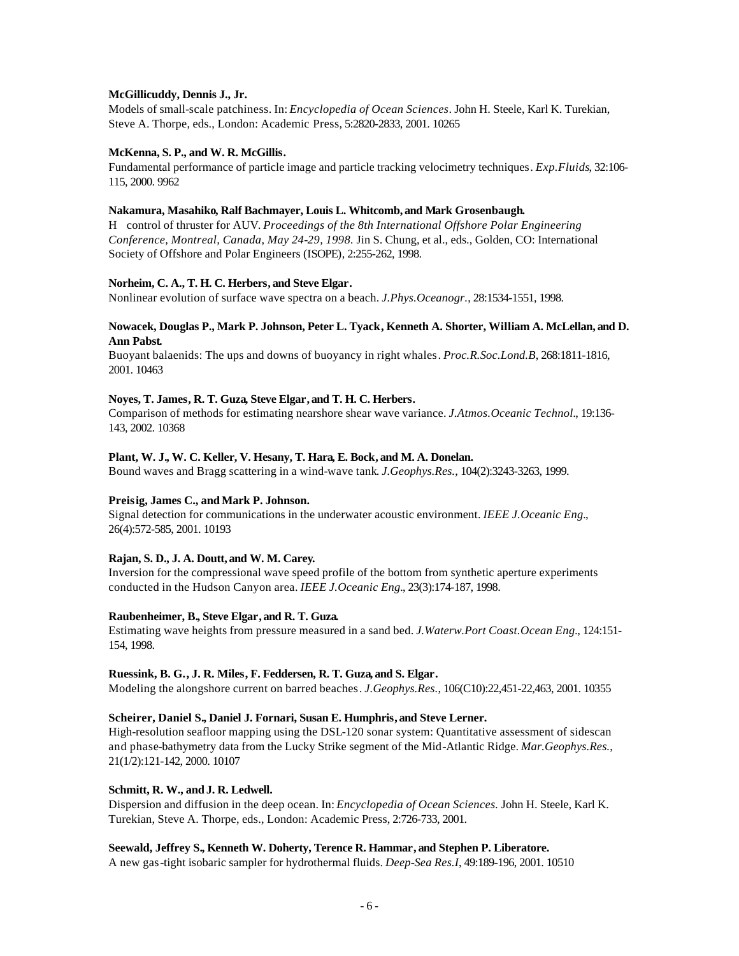# **McGillicuddy, Dennis J., Jr.**

Models of small-scale patchiness. In: *Encyclopedia of Ocean Sciences*. John H. Steele, Karl K. Turekian, Steve A. Thorpe, eds., London: Academic Press, 5:2820-2833, 2001. 10265

# **McKenna, S. P., and W. R. McGillis.**

Fundamental performance of particle image and particle tracking velocimetry techniques. *Exp.Fluids*, 32:106- 115, 2000. 9962

# **Nakamura, Masahiko, Ralf Bachmayer, Louis L. Whitcomb, and Mark Grosenbaugh.**

H control of thruster for AUV. *Proceedings of the 8th International Offshore Polar Engineering Conference, Montreal, Canada, May 24-29, 1998.* Jin S. Chung, et al., eds., Golden, CO: International Society of Offshore and Polar Engineers (ISOPE), 2:255-262, 1998.

# **Norheim, C. A., T. H. C. Herbers, and Steve Elgar.**

Nonlinear evolution of surface wave spectra on a beach. *J.Phys.Oceanogr.*, 28:1534-1551, 1998.

# **Nowacek, Douglas P., Mark P. Johnson, Peter L. Tyack, Kenneth A. Shorter, William A. McLellan, and D. Ann Pabst.**

Buoyant balaenids: The ups and downs of buoyancy in right whales. *Proc.R.Soc.Lond.B*, 268:1811-1816, 2001. 10463

# **Noyes, T. James, R. T. Guza, Steve Elgar, and T. H. C. Herbers.**

Comparison of methods for estimating nearshore shear wave variance. *J.Atmos.Oceanic Technol.*, 19:136- 143, 2002. 10368

# **Plant, W. J., W. C. Keller, V. Hesany, T. Hara, E. Bock, and M. A. Donelan.**

Bound waves and Bragg scattering in a wind-wave tank. *J.Geophys.Res.*, 104(2):3243-3263, 1999.

## Preisig, James C., and Mark P. Johnson.

Signal detection for communications in the underwater acoustic environment. *IEEE J.Oceanic Eng.*, 26(4):572-585, 2001. 10193

## **Rajan, S. D., J. A. Doutt, and W. M. Carey.**

Inversion for the compressional wave speed profile of the bottom from synthetic aperture experiments conducted in the Hudson Canyon area. *IEEE J.Oceanic Eng.*, 23(3):174-187, 1998.

# **Raubenheimer, B., Steve Elgar, and R. T. Guza.**

Estimating wave heights from pressure measured in a sand bed. *J.Waterw.Port Coast.Ocean Eng.*, 124:151- 154, 1998.

## **Ruessink, B. G., J. R. Miles, F. Feddersen, R. T. Guza, and S. Elgar.**

Modeling the alongshore current on barred beaches. *J.Geophys.Res.*, 106(C10):22,451-22,463, 2001. 10355

# **Scheirer, Daniel S., Daniel J. Fornari, Susan E. Humphris, and Steve Lerner.**

High-resolution seafloor mapping using the DSL-120 sonar system: Quantitative assessment of sidescan and phase-bathymetry data from the Lucky Strike segment of the Mid-Atlantic Ridge. *Mar.Geophys.Res.*, 21(1/2):121-142, 2000. 10107

## **Schmitt, R. W., and J. R. Ledwell.**

Dispersion and diffusion in the deep ocean. In: *Encyclopedia of Ocean Sciences.* John H. Steele, Karl K. Turekian, Steve A. Thorpe, eds., London: Academic Press, 2:726-733, 2001.

## **Seewald, Jeffrey S., Kenneth W. Doherty, Terence R. Hammar, and Stephen P. Liberatore.**

A new gas-tight isobaric sampler for hydrothermal fluids. *Deep-Sea Res.I*, 49:189-196, 2001. 10510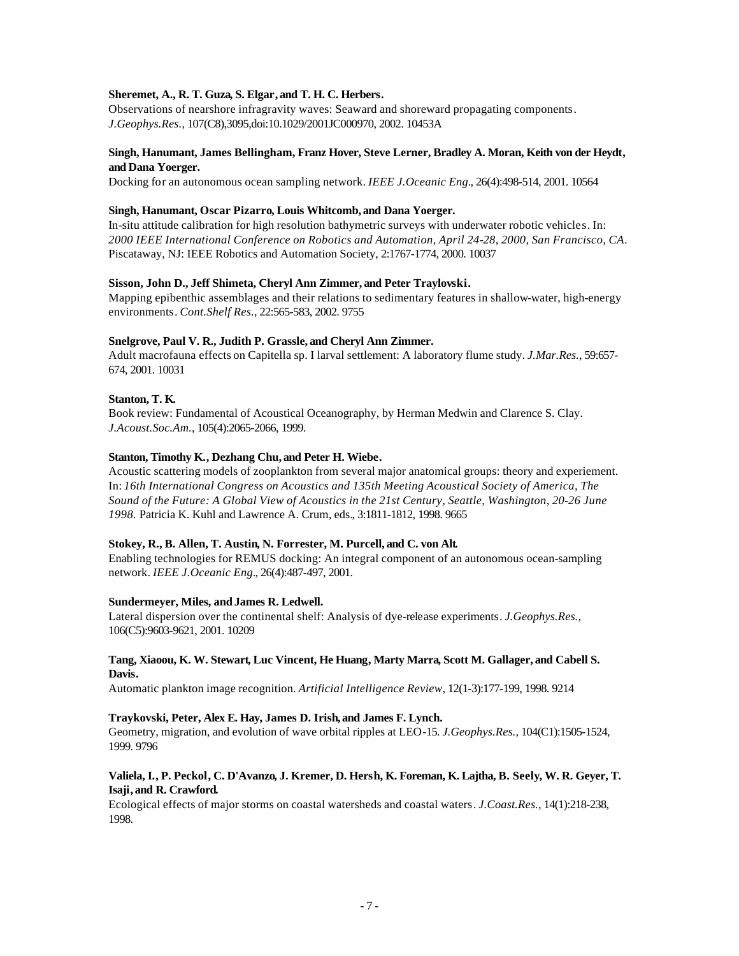# **Sheremet, A., R. T. Guza, S. Elgar, and T. H. C. Herbers.**

Observations of nearshore infragravity waves: Seaward and shoreward propagating components. *J.Geophys.Res.*, 107(C8),3095,doi:10.1029/2001JC000970, 2002. 10453A

# **Singh, Hanumant, James Bellingham, Franz Hover, Steve Lerner, Bradley A. Moran, Keith von der Heydt, and Dana Yoerger.**

Docking for an autonomous ocean sampling network. *IEEE J.Oceanic Eng.*, 26(4):498-514, 2001. 10564

## **Singh, Hanumant, Oscar Pizarro, Louis Whitcomb, and Dana Yoerger.**

In-situ attitude calibration for high resolution bathymetric surveys with underwater robotic vehicles. In: *2000 IEEE International Conference on Robotics and Automation, April 24-28, 2000, San Francisco, CA*. Piscataway, NJ: IEEE Robotics and Automation Society, 2:1767-1774, 2000. 10037

# **Sisson, John D., Jeff Shimeta, Cheryl Ann Zimmer, and Peter Traylovski.**

Mapping epibenthic assemblages and their relations to sedimentary features in shallow-water, high-energy environments. *Cont.Shelf Res.*, 22:565-583, 2002. 9755

## **Snelgrove, Paul V. R., Judith P. Grassle, and Cheryl Ann Zimmer.**

Adult macrofauna effects on Capitella sp. I larval settlement: A laboratory flume study. *J.Mar.Res.*, 59:657- 674, 2001. 10031

# **Stanton, T. K.**

Book review: Fundamental of Acoustical Oceanography, by Herman Medwin and Clarence S. Clay. *J.Acoust.Soc.Am.*, 105(4):2065-2066, 1999.

# **Stanton, Timothy K., Dezhang Chu, and Peter H. Wiebe.**

Acoustic scattering models of zooplankton from several major anatomical groups: theory and experiement. In: *16th International Congress on Acoustics and 135th Meeting Acoustical Society of America, The Sound of the Future: A Global View of Acoustics in the 21st Century, Seattle, Washington, 20-26 June 1998.* Patricia K. Kuhl and Lawrence A. Crum, eds., 3:1811-1812, 1998. 9665

## **Stokey, R., B. Allen, T. Austin, N. Forrester, M. Purcell, and C. von Alt.**

Enabling technologies for REMUS docking: An integral component of an autonomous ocean-sampling network. *IEEE J.Oceanic Eng.*, 26(4):487-497, 2001.

## **Sundermeyer, Miles, and James R. Ledwell.**

Lateral dispersion over the continental shelf: Analysis of dye-release experiments. *J.Geophys.Res.*, 106(C5):9603-9621, 2001. 10209

## **Tang, Xiaoou, K. W. Stewart, Luc Vincent, He Huang, Marty Marra, Scott M. Gallager, and Cabell S. Davis.**

Automatic plankton image recognition. *Artificial Intelligence Review*, 12(1-3):177-199, 1998. 9214

# **Traykovski, Peter, Alex E. Hay, James D. Irish, and James F. Lynch.**

Geometry, migration, and evolution of wave orbital ripples at LEO-15. *J.Geophys.Res.*, 104(C1):1505-1524, 1999. 9796

# **Valiela, I., P. Peckol, C. D'Avanzo, J. Kremer, D. Hersh, K. Foreman, K. Lajtha, B. Seely, W. R. Geyer, T. Isaji, and R. Crawford.**

Ecological effects of major storms on coastal watersheds and coastal waters. *J.Coast.Res.*, 14(1):218-238, 1998.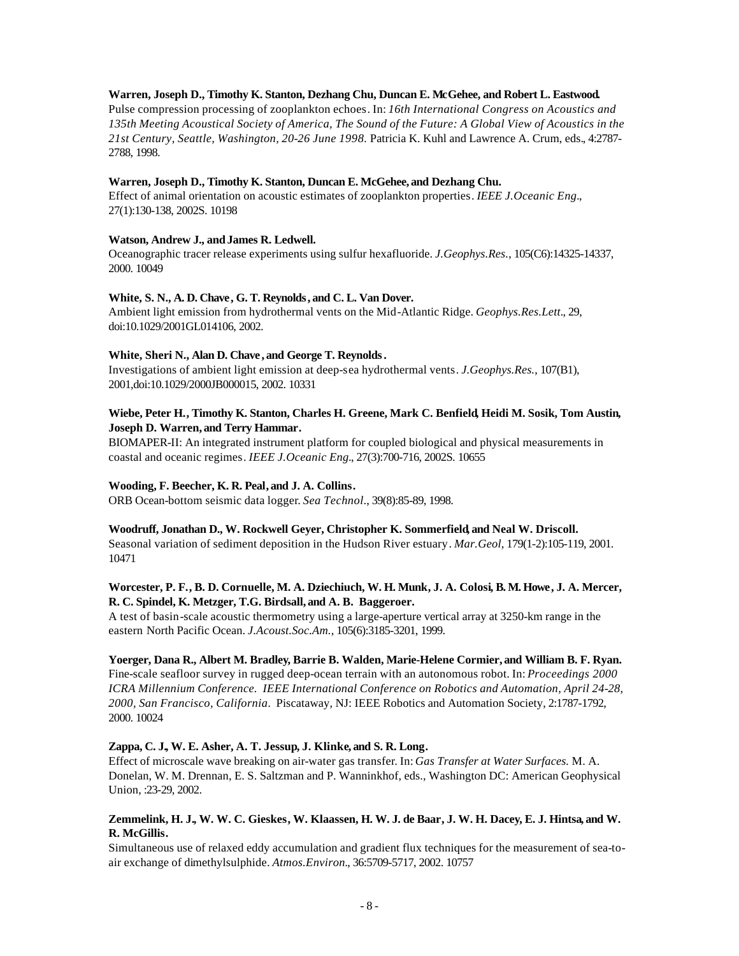#### **Warren, Joseph D., Timothy K. Stanton, Dezhang Chu, Duncan E. McGehee, and Robert L. Eastwood.**

Pulse compression processing of zooplankton echoes. In: *16th International Congress on Acoustics and 135th Meeting Acoustical Society of America, The Sound of the Future: A Global View of Acoustics in the 21st Century, Seattle, Washington, 20-26 June 1998.* Patricia K. Kuhl and Lawrence A. Crum, eds., 4:2787- 2788, 1998.

#### **Warren, Joseph D., Timothy K. Stanton, Duncan E. McGehee, and Dezhang Chu.**

Effect of animal orientation on acoustic estimates of zooplankton properties. *IEEE J.Oceanic Eng.*, 27(1):130-138, 2002S. 10198

# Watson, Andrew J., and James R. Ledwell.

Oceanographic tracer release experiments using sulfur hexafluoride. *J.Geophys.Res.*, 105(C6):14325-14337, 2000. 10049

## **White, S. N., A. D. Chave, G. T. Reynolds, and C. L. Van Dover.**

Ambient light emission from hydrothermal vents on the Mid-Atlantic Ridge. *Geophys.Res.Lett.*, 29, doi:10.1029/2001GL014106, 2002.

#### **White, Sheri N., Alan D. Chave , and George T. Reynolds.**

Investigations of ambient light emission at deep-sea hydrothermal vents. *J.Geophys.Res.*, 107(B1), 2001,doi:10.1029/2000JB000015, 2002. 10331

## **Wiebe, Peter H., Timothy K. Stanton, Charles H. Greene, Mark C. Benfield, Heidi M. Sosik, Tom Austin, Joseph D. Warren, and Terry Hammar.**

BIOMAPER-II: An integrated instrument platform for coupled biological and physical measurements in coastal and oceanic regimes. *IEEE J.Oceanic Eng.*, 27(3):700-716, 2002S. 10655

#### **Wooding, F. Beecher, K. R. Peal, and J. A. Collins.**

ORB Ocean-bottom seismic data logger. *Sea Technol.*, 39(8):85-89, 1998.

#### **Woodruff, Jonathan D., W. Rockwell Geyer, Christopher K. Sommerfield, and Neal W. Driscoll.**

Seasonal variation of sediment deposition in the Hudson River estuary. *Mar.Geol*, 179(1-2):105-119, 2001. 10471

## **Worcester, P. F., B. D. Cornuelle, M. A. Dziechiuch, W. H. Munk, J. A. Colosi, B. M. Howe, J. A. Mercer, R. C. Spindel, K. Metzger, T.G. Birdsall, and A. B. Baggeroer.**

A test of basin-scale acoustic thermometry using a large-aperture vertical array at 3250-km range in the eastern North Pacific Ocean. *J.Acoust.Soc.Am.*, 105(6):3185-3201, 1999.

#### **Yoerger, Dana R., Albert M. Bradley, Barrie B. Walden, Marie-Helene Cormier, and William B. F. Ryan.**

Fine-scale seafloor survey in rugged deep-ocean terrain with an autonomous robot. In: *Proceedings 2000 ICRA Millennium Conference. IEEE International Conference on Robotics and Automation, April 24-28, 2000, San Francisco, California*. Piscataway, NJ: IEEE Robotics and Automation Society, 2:1787-1792, 2000. 10024

#### **Zappa, C. J., W. E. Asher, A. T. Jessup, J. Klinke, and S. R. Long.**

Effect of microscale wave breaking on air-water gas transfer. In: *Gas Transfer at Water Surfaces.* M. A. Donelan, W. M. Drennan, E. S. Saltzman and P. Wanninkhof, eds., Washington DC: American Geophysical Union, :23-29, 2002.

## **Zemmelink, H. J., W. W. C. Gieskes, W. Klaassen, H. W. J. de Baar, J. W. H. Dacey, E. J. Hintsa, and W. R. McGillis.**

Simultaneous use of relaxed eddy accumulation and gradient flux techniques for the measurement of sea-toair exchange of dimethylsulphide. *Atmos.Environ.*, 36:5709-5717, 2002. 10757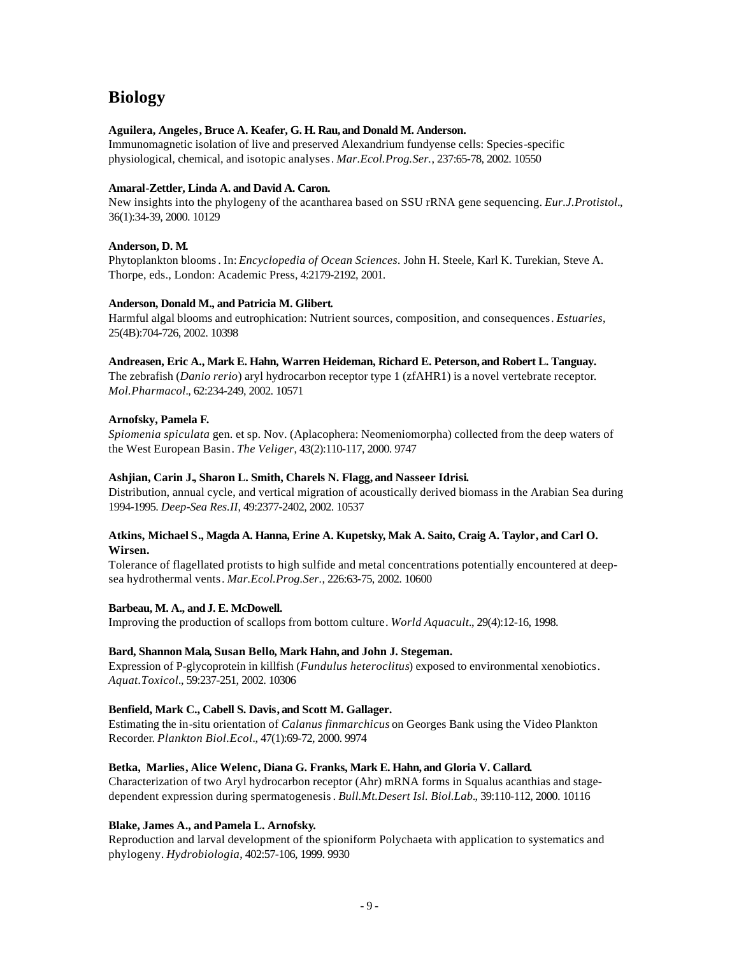# **Biology**

# **Aguilera, Angeles, Bruce A. Keafer, G. H. Rau, and Donald M. Anderson.**

Immunomagnetic isolation of live and preserved Alexandrium fundyense cells: Species-specific physiological, chemical, and isotopic analyses. *Mar.Ecol.Prog.Ser.*, 237:65-78, 2002. 10550

## **Amaral-Zettler, Linda A. and David A. Caron.**

New insights into the phylogeny of the acantharea based on SSU rRNA gene sequencing. *Eur.J.Protistol.*, 36(1):34-39, 2000. 10129

# **Anderson, D. M.**

Phytoplankton blooms. In: *Encyclopedia of Ocean Sciences.* John H. Steele, Karl K. Turekian, Steve A. Thorpe, eds., London: Academic Press, 4:2179-2192, 2001.

## **Anderson, Donald M., and Patricia M. Glibert.**

Harmful algal blooms and eutrophication: Nutrient sources, composition, and consequences. *Estuaries*, 25(4B):704-726, 2002. 10398

## **Andreasen, Eric A., Mark E. Hahn, Warren Heideman, Richard E. Peterson, and Robert L. Tanguay.**

The zebrafish (*Danio rerio*) aryl hydrocarbon receptor type 1 (zfAHR1) is a novel vertebrate receptor. *Mol.Pharmacol.*, 62:234-249, 2002. 10571

# **Arnofsky, Pamela F.**

*Spiomenia spiculata* gen. et sp. Nov. (Aplacophera: Neomeniomorpha) collected from the deep waters of the West European Basin. *The Veliger*, 43(2):110-117, 2000. 9747

## **Ashjian, Carin J., Sharon L. Smith, Charels N. Flagg, and Nasseer Idrisi.**

Distribution, annual cycle, and vertical migration of acoustically derived biomass in the Arabian Sea during 1994-1995. *Deep-Sea Res.II*, 49:2377-2402, 2002. 10537

# **Atkins, Michael S., Magda A. Hanna, Erine A. Kupetsky, Mak A. Saito, Craig A. Taylor, and Carl O. Wirsen.**

Tolerance of flagellated protists to high sulfide and metal concentrations potentially encountered at deepsea hydrothermal vents. *Mar.Ecol.Prog.Ser.*, 226:63-75, 2002. 10600

## Barbeau, M. A., and J. E. McDowell.

Improving the production of scallops from bottom culture. *World Aquacult.*, 29(4):12-16, 1998.

## **Bard, Shannon Mala, Susan Bello, Mark Hahn, and John J. Stegeman.**

Expression of P-glycoprotein in killfish (*Fundulus heteroclitus*) exposed to environmental xenobiotics. *Aquat.Toxicol.*, 59:237-251, 2002. 10306

## **Benfield, Mark C., Cabell S. Davis, and Scott M. Gallager.**

Estimating the in-situ orientation of *Calanus finmarchicus* on Georges Bank using the Video Plankton Recorder. *Plankton Biol.Ecol.*, 47(1):69-72, 2000. 9974

## **Betka, Marlies, Alice Welenc, Diana G. Franks, Mark E. Hahn, and Gloria V. Callard.**

Characterization of two Aryl hydrocarbon receptor (Ahr) mRNA forms in Squalus acanthias and stagedependent expression during spermatogenesis. *Bull.Mt.Desert Isl. Biol.Lab.*, 39:110-112, 2000. 10116

# **Blake, James A., andPamela L. Arnofsky.**

Reproduction and larval development of the spioniform Polychaeta with application to systematics and phylogeny. *Hydrobiologia*, 402:57-106, 1999. 9930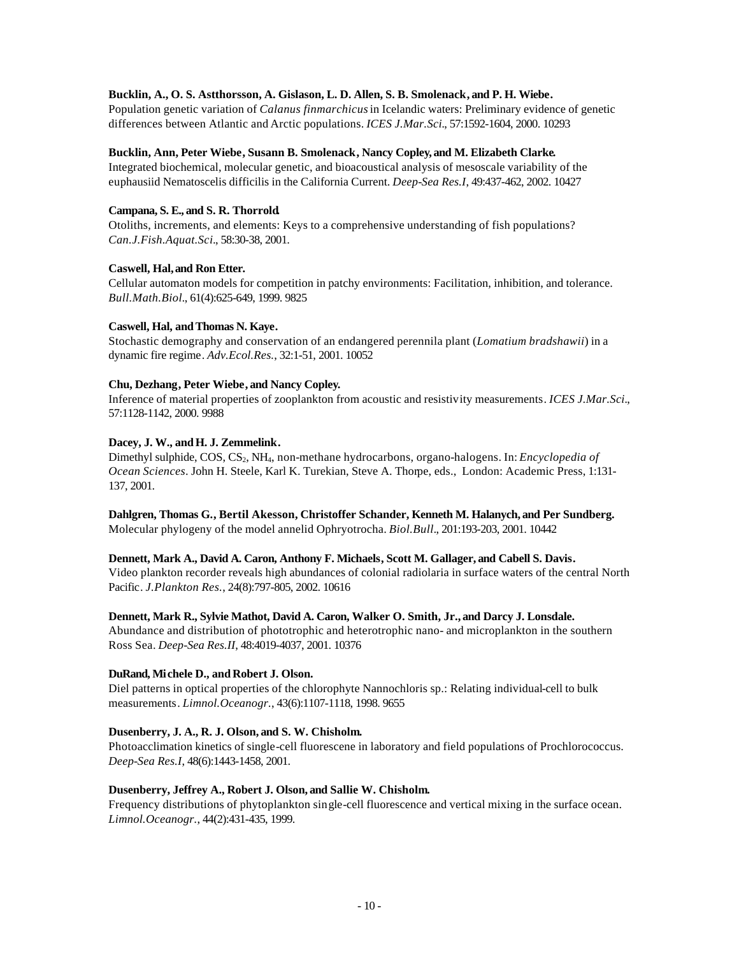# **Bucklin, A., O. S. Astthorsson, A. Gislason, L. D. Allen, S. B. Smolenack, and P. H. Wiebe.**

Population genetic variation of *Calanus finmarchicus* in Icelandic waters: Preliminary evidence of genetic differences between Atlantic and Arctic populations. *ICES J.Mar.Sci.*, 57:1592-1604, 2000. 10293

## **Bucklin, Ann, Peter Wiebe, Susann B. Smolenack, Nancy Copley, and M. Elizabeth Clarke.**

Integrated biochemical, molecular genetic, and bioacoustical analysis of mesoscale variability of the euphausiid Nematoscelis difficilis in the California Current. *Deep-Sea Res.I*, 49:437-462, 2002. 10427

## **Campana, S. E., and S. R. Thorrold.**

Otoliths, increments, and elements: Keys to a comprehensive understanding of fish populations? *Can.J.Fish.Aquat.Sci.*, 58:30-38, 2001.

# **Caswell, Hal, and Ron Etter.**

Cellular automaton models for competition in patchy environments: Facilitation, inhibition, and tolerance. *Bull.Math.Biol.*, 61(4):625-649, 1999. 9825

# **Caswell, Hal, andThomas N. Kaye.**

Stochastic demography and conservation of an endangered perennila plant (*Lomatium bradshawii*) in a dynamic fire regime. *Adv.Ecol.Res.*, 32:1-51, 2001. 10052

# **Chu, Dezhang, Peter Wiebe, and Nancy Copley.**

Inference of material properties of zooplankton from acoustic and resistivity measurements. *ICES J.Mar.Sci.*, 57:1128-1142, 2000. 9988

# Dacey, J. W., and H. J. Zemmelink.

Dimethyl sulphide, COS, CS<sub>2</sub>, NH<sub>4</sub>, non-methane hydrocarbons, organo-halogens. In: *Encyclopedia of Ocean Sciences*. John H. Steele, Karl K. Turekian, Steve A. Thorpe, eds., London: Academic Press, 1:131- 137, 2001.

# **Dahlgren, Thomas G., Bertil Akesson, Christoffer Schander, Kenneth M. Halanych, and Per Sundberg.**

Molecular phylogeny of the model annelid Ophryotrocha. *Biol.Bull.*, 201:193-203, 2001. 10442

# **Dennett, Mark A., David A. Caron, Anthony F. Michaels, Scott M. Gallager, and Cabell S. Davis.**

Video plankton recorder reveals high abundances of colonial radiolaria in surface waters of the central North Pacific. *J.Plankton Res.*, 24(8):797-805, 2002. 10616

# **Dennett, Mark R., Sylvie Mathot, David A. Caron, Walker O. Smith, Jr., and Darcy J. Lonsdale.**

Abundance and distribution of phototrophic and heterotrophic nano- and microplankton in the southern Ross Sea. *Deep-Sea Res.II*, 48:4019-4037, 2001. 10376

# **DuRand, Michele D., and Robert J. Olson.**

Diel patterns in optical properties of the chlorophyte Nannochloris sp.: Relating individual-cell to bulk measurements. *Limnol.Oceanogr.*, 43(6):1107-1118, 1998. 9655

## **Dusenberry, J. A., R. J. Olson, and S. W. Chisholm.**

Photoacclimation kinetics of single-cell fluorescene in laboratory and field populations of Prochlorococcus. *Deep-Sea Res.I*, 48(6):1443-1458, 2001.

## **Dusenberry, Jeffrey A., Robert J. Olson, and Sallie W. Chisholm.**

Frequency distributions of phytoplankton single-cell fluorescence and vertical mixing in the surface ocean. *Limnol.Oceanogr.*, 44(2):431-435, 1999.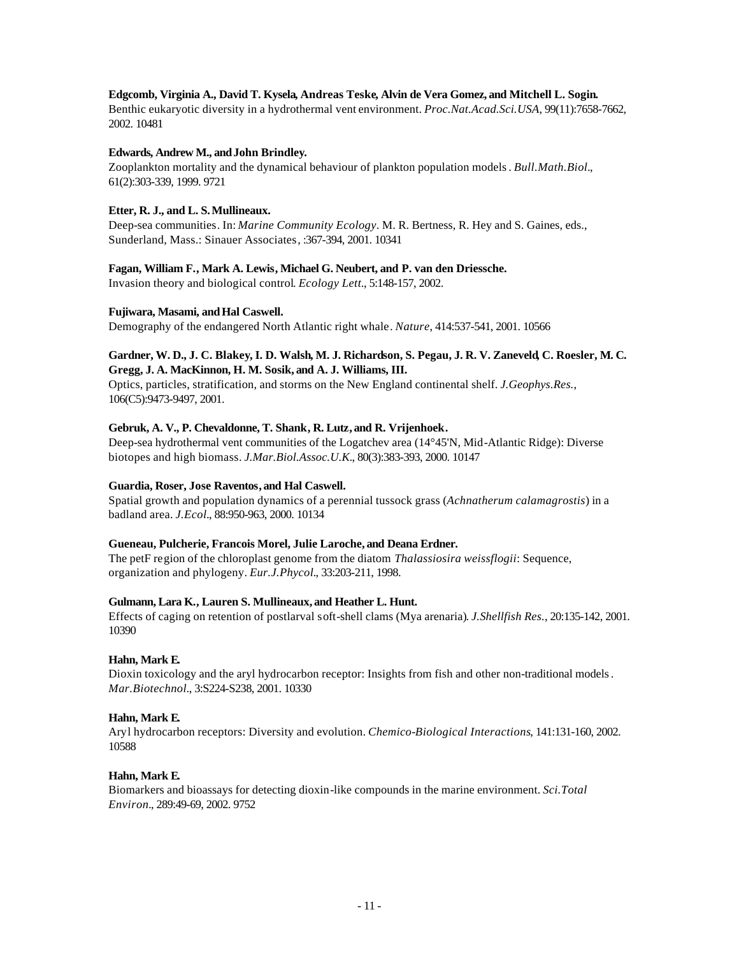## **Edgcomb, Virginia A., David T. Kysela, Andreas Teske, Alvin de Vera Gomez, and Mitchell L. Sogin.**

Benthic eukaryotic diversity in a hydrothermal vent environment. *Proc.Nat.Acad.Sci.USA*, 99(11):7658-7662, 2002. 10481

## **Edwards, Andrew M., andJohn Brindley.**

Zooplankton mortality and the dynamical behaviour of plankton population models. *Bull.Math.Biol.*, 61(2):303-339, 1999. 9721

# **Etter, R. J., and L. S. Mullineaux.**

Deep-sea communities. In: *Marine Community Ecology*. M. R. Bertness, R. Hey and S. Gaines, eds., Sunderland, Mass.: Sinauer Associates, :367-394, 2001. 10341

# **Fagan, William F., Mark A. Lewis, Michael G. Neubert, and P. van den Driessche.**

Invasion theory and biological control. *Ecology Lett.*, 5:148-157, 2002.

# **Fujiwara, Masami, andHal Caswell.**

Demography of the endangered North Atlantic right whale. *Nature*, 414:537-541, 2001. 10566

## **Gardner, W. D., J. C. Blakey, I. D. Walsh, M. J. Richardson, S. Pegau, J. R. V. Zaneveld, C. Roesler, M. C. Gregg, J. A. MacKinnon, H. M. Sosik, and A. J. Williams, III.**

Optics, particles, stratification, and storms on the New England continental shelf. *J.Geophys.Res.*, 106(C5):9473-9497, 2001.

# **Gebruk, A. V., P. Chevaldonne, T. Shank, R. Lutz, and R. Vrijenhoek.**

Deep-sea hydrothermal vent communities of the Logatchev area (14°45'N, Mid-Atlantic Ridge): Diverse biotopes and high biomass. *J.Mar.Biol.Assoc.U.K.*, 80(3):383-393, 2000. 10147

# **Guardia, Roser, Jose Raventos, and Hal Caswell.**

Spatial growth and population dynamics of a perennial tussock grass (*Achnatherum calamagrostis*) in a badland area. *J.Ecol.*, 88:950-963, 2000. 10134

# **Gueneau, Pulcherie, Francois Morel, Julie Laroche, and Deana Erdner.**

The petF region of the chloroplast genome from the diatom *Thalassiosira weissflogii*: Sequence, organization and phylogeny. *Eur.J.Phycol.*, 33:203-211, 1998.

## **Gulmann, Lara K., Lauren S. Mullineaux, and Heather L. Hunt.**

Effects of caging on retention of postlarval soft-shell clams (Mya arenaria). *J.Shellfish Res.*, 20:135-142, 2001. 10390

# **Hahn, Mark E.**

Dioxin toxicology and the aryl hydrocarbon receptor: Insights from fish and other non-traditional models. *Mar.Biotechnol.*, 3:S224-S238, 2001. 10330

# **Hahn, Mark E.**

Aryl hydrocarbon receptors: Diversity and evolution. *Chemico-Biological Interactions*, 141:131-160, 2002. 10588

# **Hahn, Mark E.**

Biomarkers and bioassays for detecting dioxin-like compounds in the marine environment. *Sci.Total Environ.*, 289:49-69, 2002. 9752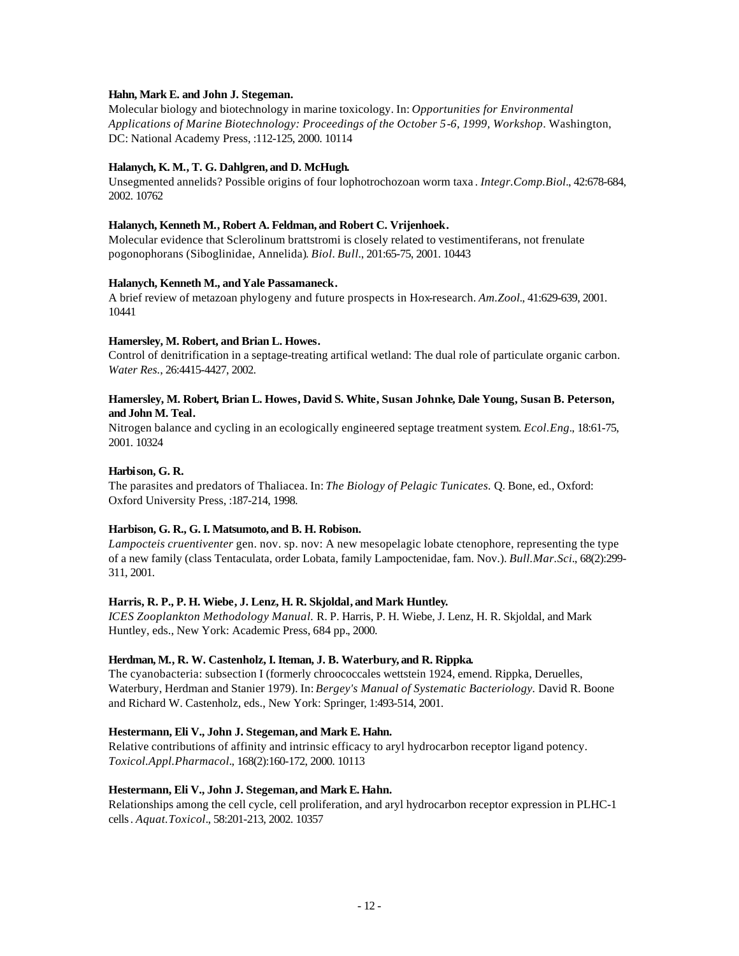# **Hahn, Mark E. and John J. Stegeman.**

Molecular biology and biotechnology in marine toxicology. In: *Opportunities for Environmental Applications of Marine Biotechnology: Proceedings of the October 5-6, 1999, Workshop*. Washington, DC: National Academy Press, :112-125, 2000. 10114

# **Halanych, K. M., T. G. Dahlgren, and D. McHugh.**

Unsegmented annelids? Possible origins of four lophotrochozoan worm taxa . *Integr.Comp.Biol.*, 42:678-684, 2002. 10762

## **Halanych, Kenneth M., Robert A. Feldman, and Robert C. Vrijenhoek.**

Molecular evidence that Sclerolinum brattstromi is closely related to vestimentiferans, not frenulate pogonophorans (Siboglinidae, Annelida). *Biol. Bull.*, 201:65-75, 2001. 10443

## **Halanych, Kenneth M., andYale Passamaneck.**

A brief review of metazoan phylogeny and future prospects in Hox-research. *Am.Zool.*, 41:629-639, 2001. 10441

## **Hamersley, M. Robert, and Brian L. Howes.**

Control of denitrification in a septage-treating artifical wetland: The dual role of particulate organic carbon. *Water Res.*, 26:4415-4427, 2002.

# **Hamersley, M. Robert, Brian L. Howes, David S. White, Susan Johnke, Dale Young, Susan B. Peterson, and John M. Teal.**

Nitrogen balance and cycling in an ecologically engineered septage treatment system. *Ecol.Eng.*, 18:61-75, 2001. 10324

# **Harbison, G. R.**

The parasites and predators of Thaliacea. In: *The Biology of Pelagic Tunicates.* Q. Bone, ed., Oxford: Oxford University Press, :187-214, 1998.

## **Harbison, G. R., G. I. Matsumoto, and B. H. Robison.**

*Lampocteis cruentiventer* gen. nov. sp. nov: A new mesopelagic lobate ctenophore, representing the type of a new family (class Tentaculata, order Lobata, family Lampoctenidae, fam. Nov.). *Bull.Mar.Sci.*, 68(2):299- 311, 2001.

## **Harris, R. P., P. H. Wiebe, J. Lenz, H. R. Skjoldal, and Mark Huntley.**

*ICES Zooplankton Methodology Manual.* R. P. Harris, P. H. Wiebe, J. Lenz, H. R. Skjoldal, and Mark Huntley, eds., New York: Academic Press, 684 pp., 2000.

## **Herdman, M., R. W. Castenholz, I. Iteman, J. B. Waterbury, and R. Rippka.**

The cyanobacteria: subsection I (formerly chroococcales wettstein 1924, emend. Rippka, Deruelles, Waterbury, Herdman and Stanier 1979). In: *Bergey's Manual of Systematic Bacteriology.* David R. Boone and Richard W. Castenholz, eds., New York: Springer, 1:493-514, 2001.

## **Hestermann, Eli V., John J. Stegeman, and Mark E. Hahn.**

Relative contributions of affinity and intrinsic efficacy to aryl hydrocarbon receptor ligand potency. *Toxicol.Appl.Pharmacol.*, 168(2):160-172, 2000. 10113

## **Hestermann, Eli V., John J. Stegeman, and Mark E. Hahn.**

Relationships among the cell cycle, cell proliferation, and aryl hydrocarbon receptor expression in PLHC-1 cells. *Aquat.Toxicol.*, 58:201-213, 2002. 10357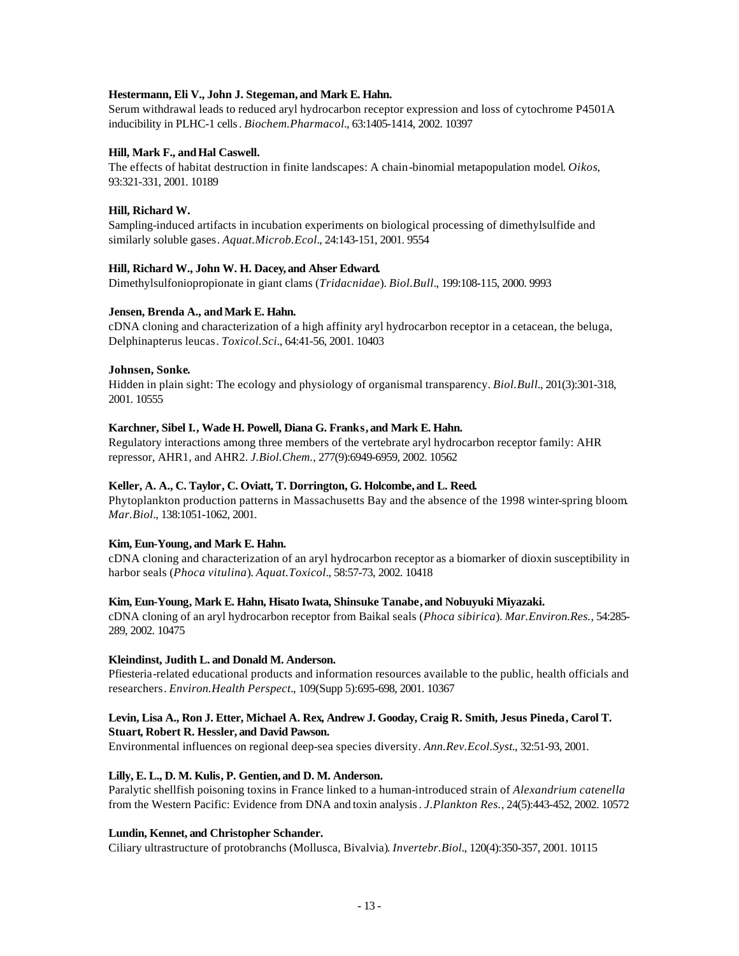## **Hestermann, Eli V., John J. Stegeman, and Mark E. Hahn.**

Serum withdrawal leads to reduced aryl hydrocarbon receptor expression and loss of cytochrome P4501A inducibility in PLHC-1 cells. *Biochem.Pharmacol.*, 63:1405-1414, 2002. 10397

# Hill, Mark F., and Hal Caswell.

The effects of habitat destruction in finite landscapes: A chain-binomial metapopulation model. *Oikos*, 93:321-331, 2001. 10189

# **Hill, Richard W.**

Sampling-induced artifacts in incubation experiments on biological processing of dimethylsulfide and similarly soluble gases. *Aquat.Microb.Ecol.*, 24:143-151, 2001. 9554

# **Hill, Richard W., John W. H. Dacey, and Ahser Edward.**

Dimethylsulfoniopropionate in giant clams (*Tridacnidae*). *Biol.Bull.*, 199:108-115, 2000. 9993

# Jensen, Brenda A., and Mark E. Hahn.

cDNA cloning and characterization of a high affinity aryl hydrocarbon receptor in a cetacean, the beluga, Delphinapterus leucas. *Toxicol.Sci.*, 64:41-56, 2001. 10403

# **Johnsen, Sonke.**

Hidden in plain sight: The ecology and physiology of organismal transparency. *Biol.Bull.*, 201(3):301-318, 2001. 10555

# **Karchner, Sibel I., Wade H. Powell, Diana G. Franks, and Mark E. Hahn.**

Regulatory interactions among three members of the vertebrate aryl hydrocarbon receptor family: AHR repressor, AHR1, and AHR2. *J.Biol.Chem.*, 277(9):6949-6959, 2002. 10562

# **Keller, A. A., C. Taylor, C. Oviatt, T. Dorrington, G. Holcombe, and L. Reed.**

Phytoplankton production patterns in Massachusetts Bay and the absence of the 1998 winter-spring bloom. *Mar.Biol.*, 138:1051-1062, 2001.

# **Kim, Eun-Young, and Mark E. Hahn.**

cDNA cloning and characterization of an aryl hydrocarbon receptor as a biomarker of dioxin susceptibility in harbor seals (*Phoca vitulina*). *Aquat.Toxicol.*, 58:57-73, 2002. 10418

## **Kim, Eun-Young, Mark E. Hahn, Hisato Iwata, Shinsuke Tanabe, and Nobuyuki Miyazaki.**

cDNA cloning of an aryl hydrocarbon receptor from Baikal seals (*Phoca sibirica*). *Mar.Environ.Res.*, 54:285- 289, 2002. 10475

## **Kleindinst, Judith L. and Donald M. Anderson.**

Pfiesteria-related educational products and information resources available to the public, health officials and researchers. *Environ.Health Perspect.*, 109(Supp 5):695-698, 2001. 10367

## **Levin, Lisa A., Ron J. Etter, Michael A. Rex, Andrew J. Gooday, Craig R. Smith, Jesus Pineda, Carol T. Stuart, Robert R. Hessler, and David Pawson.**

Environmental influences on regional deep-sea species diversity. *Ann.Rev.Ecol.Syst.*, 32:51-93, 2001.

# **Lilly, E. L., D. M. Kulis, P. Gentien, and D. M. Anderson.**

Paralytic shellfish poisoning toxins in France linked to a human-introduced strain of *Alexandrium catenella* from the Western Pacific: Evidence from DNA and toxin analysis. *J.Plankton Res.*, 24(5):443-452, 2002. 10572

## **Lundin, Kennet, and Christopher Schander.**

Ciliary ultrastructure of protobranchs (Mollusca, Bivalvia). *Invertebr.Biol.*, 120(4):350-357, 2001. 10115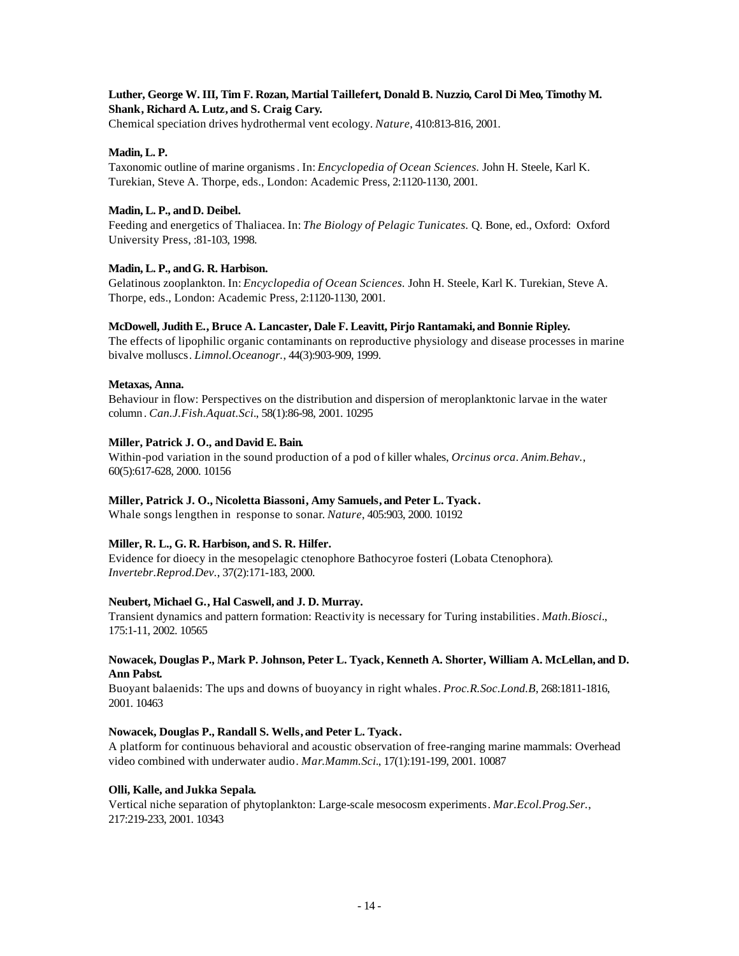# **Luther, George W. III, Tim F. Rozan, Martial Taillefert, Donald B. Nuzzio, Carol Di Meo, Timothy M. Shank, Richard A. Lutz, and S. Craig Cary.**

Chemical speciation drives hydrothermal vent ecology. *Nature*, 410:813-816, 2001.

# **Madin, L. P.**

Taxonomic outline of marine organisms. In: *Encyclopedia of Ocean Sciences.* John H. Steele, Karl K. Turekian, Steve A. Thorpe, eds., London: Academic Press, 2:1120-1130, 2001.

## **Madin, L. P., andD. Deibel.**

Feeding and energetics of Thaliacea. In: *The Biology of Pelagic Tunicates.* Q. Bone, ed., Oxford: Oxford University Press, :81-103, 1998.

# Madin, L. P., and G. R. Harbison.

Gelatinous zooplankton. In: *Encyclopedia of Ocean Sciences.* John H. Steele, Karl K. Turekian, Steve A. Thorpe, eds., London: Academic Press, 2:1120-1130, 2001.

# **McDowell, Judith E., Bruce A. Lancaster, Dale F. Leavitt, Pirjo Rantamaki, and Bonnie Ripley.**

The effects of lipophilic organic contaminants on reproductive physiology and disease processes in marine bivalve molluscs. *Limnol.Oceanogr.*, 44(3):903-909, 1999.

## **Metaxas, Anna.**

Behaviour in flow: Perspectives on the distribution and dispersion of meroplanktonic larvae in the water column . *Can.J.Fish.Aquat.Sci.*, 58(1):86-98, 2001. 10295

# **Miller, Patrick J. O., and David E. Bain.**

Within-pod variation in the sound production of a pod of killer whales, *Orcinus orca*. *Anim.Behav.*, 60(5):617-628, 2000. 10156

# **Miller, Patrick J. O., Nicoletta Biassoni, Amy Samuels, and Peter L. Tyack.**

Whale songs lengthen in response to sonar. *Nature*, 405:903, 2000. 10192

# **Miller, R. L., G. R. Harbison, and S. R. Hilfer.**

Evidence for dioecy in the mesopelagic ctenophore Bathocyroe fosteri (Lobata Ctenophora). *Invertebr.Reprod.Dev.*, 37(2):171-183, 2000.

## **Neubert, Michael G., Hal Caswell, and J. D. Murray.**

Transient dynamics and pattern formation: Reactivity is necessary for Turing instabilities. *Math.Biosci.*, 175:1-11, 2002. 10565

## **Nowacek, Douglas P., Mark P. Johnson, Peter L. Tyack, Kenneth A. Shorter, William A. McLellan, and D. Ann Pabst.**

Buoyant balaenids: The ups and downs of buoyancy in right whales. *Proc.R.Soc.Lond.B*, 268:1811-1816, 2001. 10463

## **Nowacek, Douglas P., Randall S. Wells, and Peter L. Tyack.**

A platform for continuous behavioral and acoustic observation of free-ranging marine mammals: Overhead video combined with underwater audio. *Mar.Mamm.Sci.*, 17(1):191-199, 2001. 10087

## **Olli, Kalle, and Jukka Sepala.**

Vertical niche separation of phytoplankton: Large-scale mesocosm experiments. *Mar.Ecol.Prog.Ser.*, 217:219-233, 2001. 10343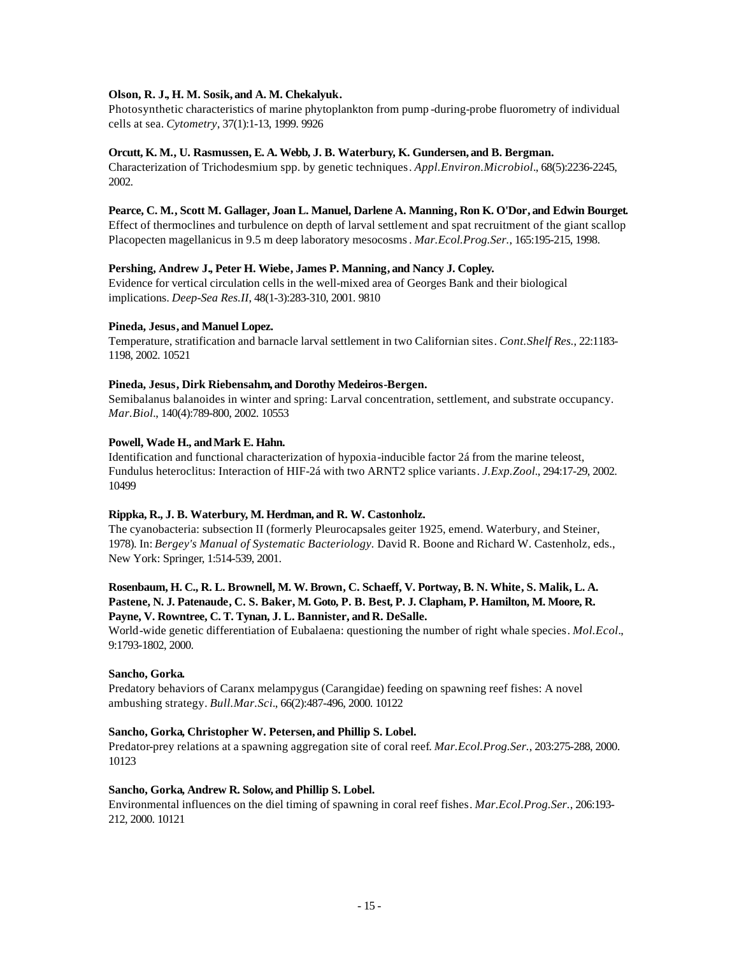# **Olson, R. J., H. M. Sosik, and A. M. Chekalyuk.**

Photosynthetic characteristics of marine phytoplankton from pump -during-probe fluorometry of individual cells at sea. *Cytometry*, 37(1):1-13, 1999. 9926

## **Orcutt, K. M., U. Rasmussen, E. A. Webb, J. B. Waterbury, K. Gundersen, and B. Bergman.**

Characterization of Trichodesmium spp. by genetic techniques. *Appl.Environ.Microbiol.*, 68(5):2236-2245, 2002.

# **Pearce, C. M., Scott M. Gallager, Joan L. Manuel, Darlene A. Manning, Ron K. O'Dor, and Edwin Bourget.**

Effect of thermoclines and turbulence on depth of larval settlement and spat recruitment of the giant scallop Placopecten magellanicus in 9.5 m deep laboratory mesocosms. *Mar.Ecol.Prog.Ser.*, 165:195-215, 1998.

# **Pershing, Andrew J., Peter H. Wiebe, James P. Manning, and Nancy J. Copley.**

Evidence for vertical circulation cells in the well-mixed area of Georges Bank and their biological implications. *Deep-Sea Res.II*, 48(1-3):283-310, 2001. 9810

## **Pineda, Jesus, and Manuel Lopez.**

Temperature, stratification and barnacle larval settlement in two Californian sites. *Cont.Shelf Res.*, 22:1183- 1198, 2002. 10521

# **Pineda, Jesus, Dirk Riebensahm, and Dorothy Medeiros-Bergen.**

Semibalanus balanoides in winter and spring: Larval concentration, settlement, and substrate occupancy. *Mar.Biol.*, 140(4):789-800, 2002. 10553

# Powell, Wade H., and Mark E. Hahn.

Identification and functional characterization of hypoxia-inducible factor 2á from the marine teleost, Fundulus heteroclitus: Interaction of HIF-2á with two ARNT2 splice variants. *J.Exp.Zool.*, 294:17-29, 2002. 10499

## **Rippka, R., J. B. Waterbury, M. Herdman, and R. W. Castonholz.**

The cyanobacteria: subsection II (formerly Pleurocapsales geiter 1925, emend. Waterbury, and Steiner, 1978). In: *Bergey's Manual of Systematic Bacteriology.* David R. Boone and Richard W. Castenholz, eds., New York: Springer, 1:514-539, 2001.

# **Rosenbaum, H. C., R. L. Brownell, M. W. Brown, C. Schaeff, V. Portway, B. N. White, S. Malik, L. A. Pastene, N. J. Patenaude, C. S. Baker, M. Goto, P. B. Best, P. J. Clapham, P. Hamilton, M. Moore, R. Payne, V. Rowntree, C. T. Tynan, J. L. Bannister, and R. DeSalle.**

World-wide genetic differentiation of Eubalaena: questioning the number of right whale species. *Mol.Ecol.*, 9:1793-1802, 2000.

## **Sancho, Gorka.**

Predatory behaviors of Caranx melampygus (Carangidae) feeding on spawning reef fishes: A novel ambushing strategy. *Bull.Mar.Sci.*, 66(2):487-496, 2000. 10122

## **Sancho, Gorka, Christopher W. Petersen, and Phillip S. Lobel.**

Predator-prey relations at a spawning aggregation site of coral reef. *Mar.Ecol.Prog.Ser.*, 203:275-288, 2000. 10123

## **Sancho, Gorka, Andrew R. Solow, and Phillip S. Lobel.**

Environmental influences on the diel timing of spawning in coral reef fishes. *Mar.Ecol.Prog.Ser.*, 206:193- 212, 2000. 10121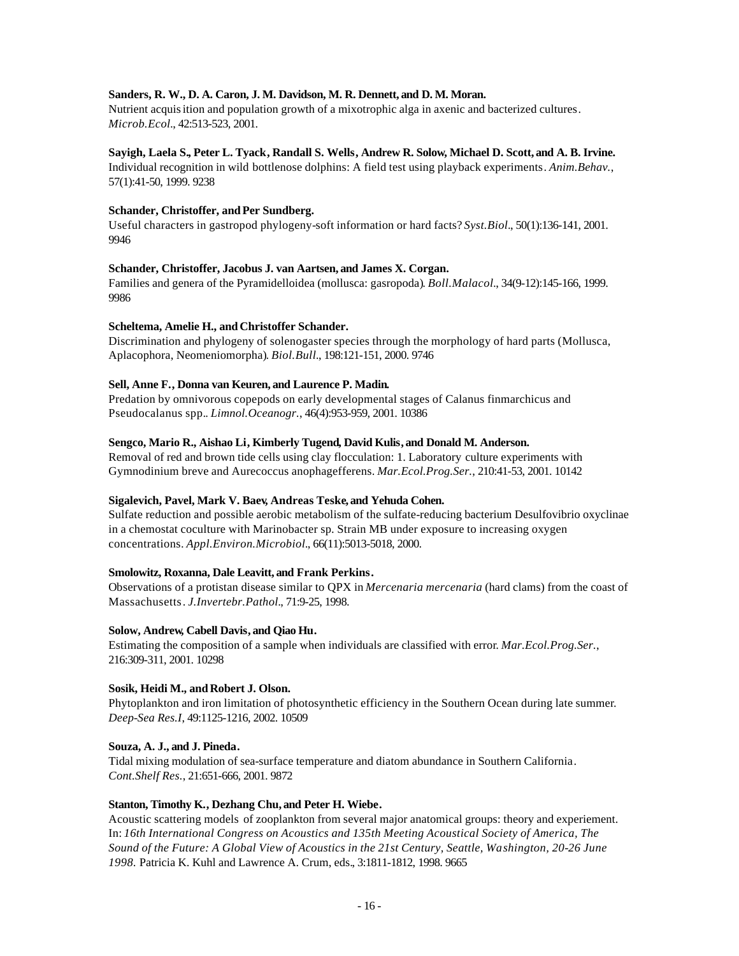# **Sanders, R. W., D. A. Caron, J. M. Davidson, M. R. Dennett, and D. M. Moran.**

Nutrient acquisition and population growth of a mixotrophic alga in axenic and bacterized cultures. *Microb.Ecol.*, 42:513-523, 2001.

## **Sayigh, Laela S., Peter L. Tyack, Randall S. Wells, Andrew R. Solow, Michael D. Scott, and A. B. Irvine.**

Individual recognition in wild bottlenose dolphins: A field test using playback experiments. *Anim.Behav.*, 57(1):41-50, 1999. 9238

# Schander, Christoffer, and Per Sundberg.

Useful characters in gastropod phylogeny-soft information or hard facts? *Syst.Biol.*, 50(1):136-141, 2001. 9946

# **Schander, Christoffer, Jacobus J. van Aartsen, and James X. Corgan.**

Families and genera of the Pyramidelloidea (mollusca: gasropoda). *Boll.Malacol.*, 34(9-12):145-166, 1999. 9986

# Scheltema, Amelie H., and Christoffer Schander.

Discrimination and phylogeny of solenogaster species through the morphology of hard parts (Mollusca, Aplacophora, Neomeniomorpha). *Biol.Bull.*, 198:121-151, 2000. 9746

# **Sell, Anne F., Donna van Keuren, and Laurence P. Madin.**

Predation by omnivorous copepods on early developmental stages of Calanus finmarchicus and Pseudocalanus spp.. *Limnol.Oceanogr.*, 46(4):953-959, 2001. 10386

# **Sengco, Mario R., Aishao Li, Kimberly Tugend, David Kulis, and Donald M. Anderson.**

Removal of red and brown tide cells using clay flocculation: 1. Laboratory culture experiments with Gymnodinium breve and Aurecoccus anophagefferens. *Mar.Ecol.Prog.Ser.*, 210:41-53, 2001. 10142

# **Sigalevich, Pavel, Mark V. Baev, Andreas Teske, and Yehuda Cohen.**

Sulfate reduction and possible aerobic metabolism of the sulfate-reducing bacterium Desulfovibrio oxyclinae in a chemostat coculture with Marinobacter sp. Strain MB under exposure to increasing oxygen concentrations. *Appl.Environ.Microbiol.*, 66(11):5013-5018, 2000.

## **Smolowitz, Roxanna, Dale Leavitt, and Frank Perkins.**

Observations of a protistan disease similar to QPX in *Mercenaria mercenaria* (hard clams) from the coast of Massachusetts. *J.Invertebr.Pathol.*, 71:9-25, 1998.

## **Solow, Andrew, Cabell Davis, and Qiao Hu.**

Estimating the composition of a sample when individuals are classified with error. *Mar.Ecol.Prog.Ser.*, 216:309-311, 2001. 10298

## **Sosik, Heidi M., and Robert J. Olson.**

Phytoplankton and iron limitation of photosynthetic efficiency in the Southern Ocean during late summer. *Deep-Sea Res.I*, 49:1125-1216, 2002. 10509

## **Souza, A. J., and J. Pineda.**

Tidal mixing modulation of sea-surface temperature and diatom abundance in Southern California. *Cont.Shelf Res.*, 21:651-666, 2001. 9872

# **Stanton, Timothy K., Dezhang Chu, and Peter H. Wiebe.**

Acoustic scattering models of zooplankton from several major anatomical groups: theory and experiement. In: *16th International Congress on Acoustics and 135th Meeting Acoustical Society of America, The Sound of the Future: A Global View of Acoustics in the 21st Century, Seattle, Washington, 20-26 June 1998.* Patricia K. Kuhl and Lawrence A. Crum, eds., 3:1811-1812, 1998. 9665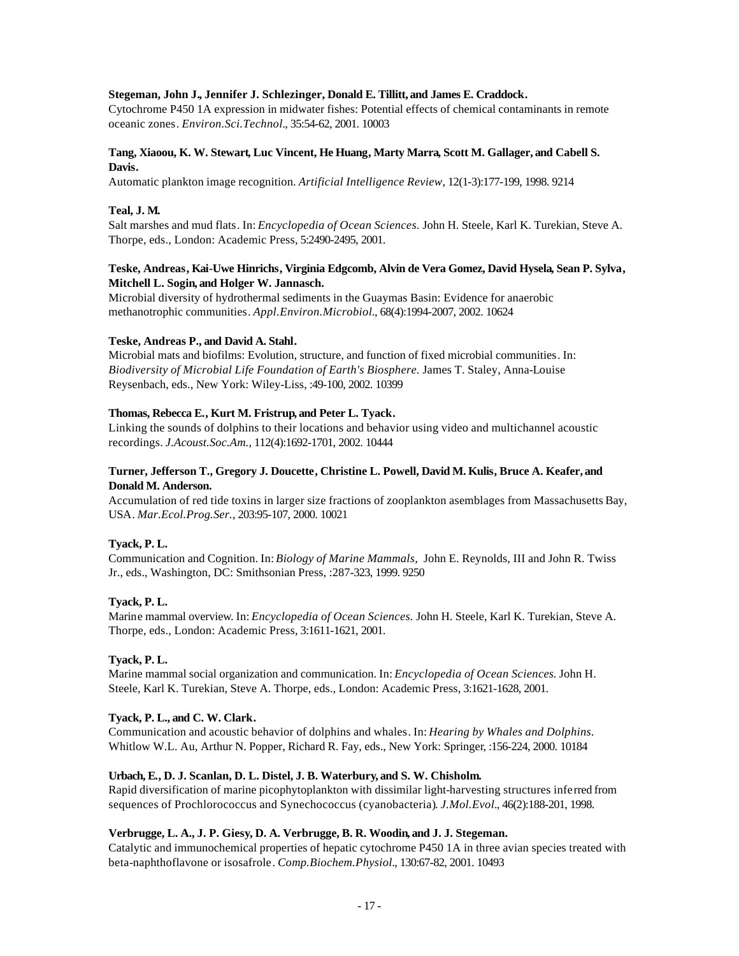## **Stegeman, John J., Jennifer J. Schlezinger, Donald E. Tillitt, and James E. Craddock.**

Cytochrome P450 1A expression in midwater fishes: Potential effects of chemical contaminants in remote oceanic zones. *Environ.Sci.Technol.*, 35:54-62, 2001. 10003

# **Tang, Xiaoou, K. W. Stewart, Luc Vincent, He Huang, Marty Marra, Scott M. Gallager, and Cabell S. Davis.**

Automatic plankton image recognition. *Artificial Intelligence Review*, 12(1-3):177-199, 1998. 9214

# **Teal, J. M.**

Salt marshes and mud flats. In: *Encyclopedia of Ocean Sciences.* John H. Steele, Karl K. Turekian, Steve A. Thorpe, eds., London: Academic Press, 5:2490-2495, 2001.

# **Teske, Andreas, Kai-Uwe Hinrichs, Virginia Edgcomb, Alvin de Vera Gomez, David Hysela, Sean P. Sylva, Mitchell L. Sogin, and Holger W. Jannasch.**

Microbial diversity of hydrothermal sediments in the Guaymas Basin: Evidence for anaerobic methanotrophic communities. *Appl.Environ.Microbiol.*, 68(4):1994-2007, 2002. 10624

# **Teske, Andreas P., and David A. Stahl.**

Microbial mats and biofilms: Evolution, structure, and function of fixed microbial communities. In: *Biodiversity of Microbial Life Foundation of Earth's Biosphere.* James T. Staley, Anna-Louise Reysenbach, eds., New York: Wiley-Liss, :49-100, 2002. 10399

# **Thomas, Rebecca E., Kurt M. Fristrup, and Peter L. Tyack.**

Linking the sounds of dolphins to their locations and behavior using video and multichannel acoustic recordings. *J.Acoust.Soc.Am.*, 112(4):1692-1701, 2002. 10444

# **Turner, Jefferson T., Gregory J. Doucette, Christine L. Powell, David M. Kulis, Bruce A. Keafer, and Donald M. Anderson.**

Accumulation of red tide toxins in larger size fractions of zooplankton asemblages from Massachusetts Bay, USA. *Mar.Ecol.Prog.Ser.*, 203:95-107, 2000. 10021

## **Tyack, P. L.**

Communication and Cognition. In: *Biology of Marine Mammals,* John E. Reynolds, III and John R. Twiss Jr., eds., Washington, DC: Smithsonian Press, :287-323, 1999. 9250

## **Tyack, P. L.**

Marine mammal overview. In: *Encyclopedia of Ocean Sciences.* John H. Steele, Karl K. Turekian, Steve A. Thorpe, eds., London: Academic Press, 3:1611-1621, 2001.

## **Tyack, P. L.**

Marine mammal social organization and communication. In: *Encyclopedia of Ocean Sciences.* John H. Steele, Karl K. Turekian, Steve A. Thorpe, eds., London: Academic Press, 3:1621-1628, 2001.

## **Tyack, P. L., and C. W. Clark.**

Communication and acoustic behavior of dolphins and whales. In: *Hearing by Whales and Dolphins.*  Whitlow W.L. Au, Arthur N. Popper, Richard R. Fay, eds., New York: Springer, :156-224, 2000. 10184

## **Urbach, E., D. J. Scanlan, D. L. Distel, J. B. Waterbury, and S. W. Chisholm.**

Rapid diversification of marine picophytoplankton with dissimilar light-harvesting structures inferred from sequences of Prochlorococcus and Synechococcus (cyanobacteria). *J.Mol.Evol.*, 46(2):188-201, 1998.

## **Verbrugge, L. A., J. P. Giesy, D. A. Verbrugge, B. R. Woodin, and J. J. Stegeman.**

Catalytic and immunochemical properties of hepatic cytochrome P450 1A in three avian species treated with beta-naphthoflavone or isosafrole. *Comp.Biochem.Physiol.*, 130:67-82, 2001. 10493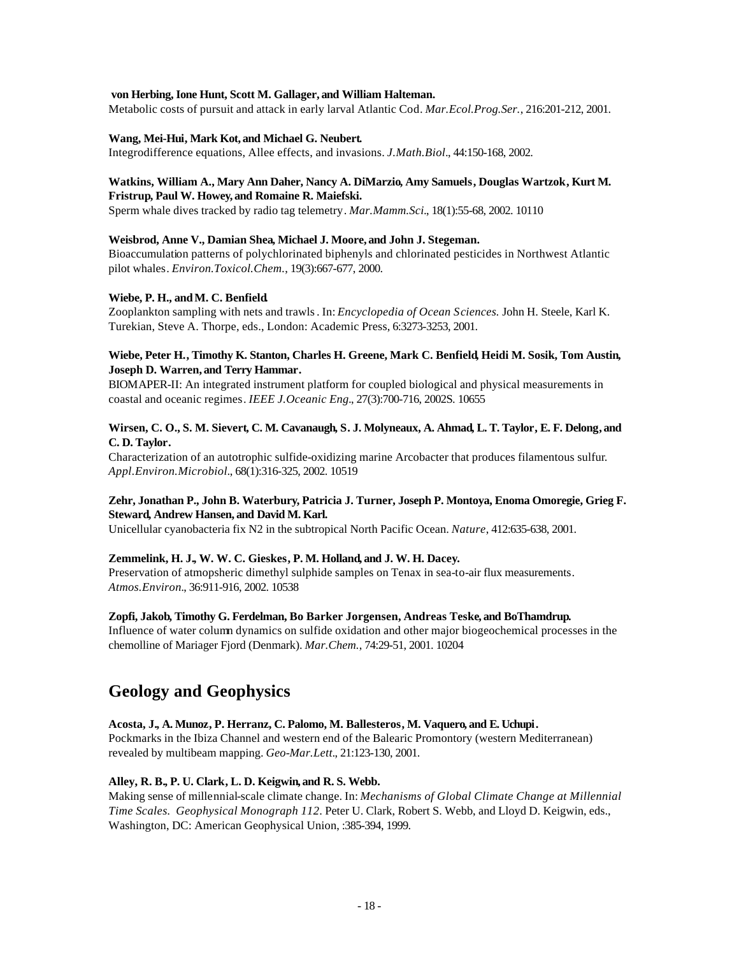## **von Herbing, Ione Hunt, Scott M. Gallager, and William Halteman.**

Metabolic costs of pursuit and attack in early larval Atlantic Cod. *Mar.Ecol.Prog.Ser.*, 216:201-212, 2001.

# **Wang, Mei-Hui, Mark Kot, and Michael G. Neubert.**

Integrodifference equations, Allee effects, and invasions. *J.Math.Biol.*, 44:150-168, 2002.

# **Watkins, William A., Mary Ann Daher, Nancy A. DiMarzio, Amy Samuels, Douglas Wartzok, Kurt M.**

# **Fristrup, Paul W. Howey, and Romaine R. Maiefski.**

Sperm whale dives tracked by radio tag telemetry. *Mar.Mamm.Sci.*, 18(1):55-68, 2002. 10110

# **Weisbrod, Anne V., Damian Shea, Michael J. Moore, and John J. Stegeman.**

Bioaccumulation patterns of polychlorinated biphenyls and chlorinated pesticides in Northwest Atlantic pilot whales. *Environ.Toxicol.Chem.*, 19(3):667-677, 2000.

# **Wiebe, P. H., andM. C. Benfield.**

Zooplankton sampling with nets and trawls. In: *Encyclopedia of Ocean Sciences.* John H. Steele, Karl K. Turekian, Steve A. Thorpe, eds., London: Academic Press, 6:3273-3253, 2001.

# **Wiebe, Peter H., Timothy K. Stanton, Charles H. Greene, Mark C. Benfield, Heidi M. Sosik, Tom Austin, Joseph D. Warren, and Terry Hammar.**

BIOMAPER-II: An integrated instrument platform for coupled biological and physical measurements in coastal and oceanic regimes. *IEEE J.Oceanic Eng.*, 27(3):700-716, 2002S. 10655

# **Wirsen, C. O., S. M. Sievert, C. M. Cavanaugh, S. J. Molyneaux, A. Ahmad, L. T. Taylor, E. F. Delong, and C. D. Taylor.**

Characterization of an autotrophic sulfide-oxidizing marine Arcobacter that produces filamentous sulfur. *Appl.Environ.Microbiol.*, 68(1):316-325, 2002. 10519

# **Zehr, Jonathan P., John B. Waterbury, Patricia J. Turner, Joseph P. Montoya, Enoma Omoregie, Grieg F. Steward, Andrew Hansen, and David M. Karl.**

Unicellular cyanobacteria fix N2 in the subtropical North Pacific Ocean. *Nature*, 412:635-638, 2001.

# **Zemmelink, H. J., W. W. C. Gieskes, P. M. Holland, and J. W. H. Dacey.**

Preservation of atmopsheric dimethyl sulphide samples on Tenax in sea-to-air flux measurements. *Atmos.Environ.*, 36:911-916, 2002. 10538

# **Zopfi, Jakob, Timothy G. Ferdelman, Bo Barker Jorgensen, Andreas Teske, and BoThamdrup.**

Influence of water column dynamics on sulfide oxidation and other major biogeochemical processes in the chemolline of Mariager Fjord (Denmark). *Mar.Chem.*, 74:29-51, 2001. 10204

# **Geology and Geophysics**

# **Acosta, J., A. Munoz, P. Herranz, C. Palomo, M. Ballesteros, M. Vaquero, and E. Uchupi.**

Pockmarks in the Ibiza Channel and western end of the Balearic Promontory (western Mediterranean) revealed by multibeam mapping. *Geo-Mar.Lett.*, 21:123-130, 2001.

# **Alley, R. B., P. U. Clark, L. D. Keigwin, and R. S. Webb.**

Making sense of millennial-scale climate change. In: *Mechanisms of Global Climate Change at Millennial Time Scales. Geophysical Monograph 112*. Peter U. Clark, Robert S. Webb, and Lloyd D. Keigwin, eds., Washington, DC: American Geophysical Union, :385-394, 1999.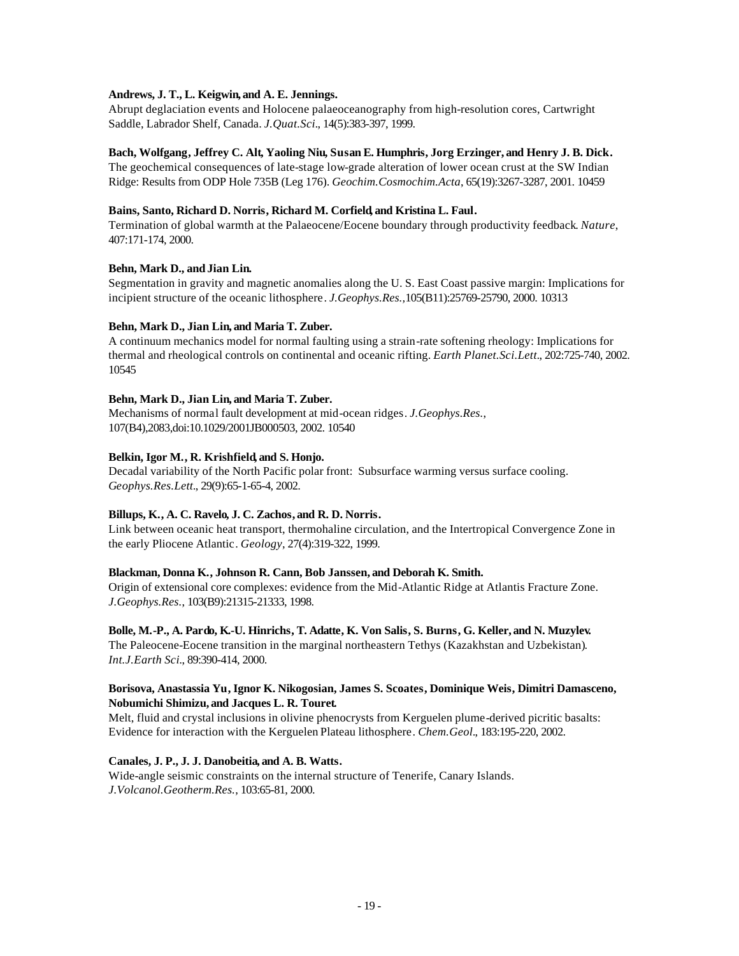# **Andrews, J. T., L. Keigwin, and A. E. Jennings.**

Abrupt deglaciation events and Holocene palaeoceanography from high-resolution cores, Cartwright Saddle, Labrador Shelf, Canada. *J.Quat.Sci.*, 14(5):383-397, 1999.

## **Bach, Wolfgang, Jeffrey C. Alt, Yaoling Niu, Susan E. Humphris, Jorg Erzinger, and Henry J. B. Dick.**

The geochemical consequences of late-stage low-grade alteration of lower ocean crust at the SW Indian Ridge: Results from ODP Hole 735B (Leg 176). *Geochim.Cosmochim.Acta*, 65(19):3267-3287, 2001. 10459

## **Bains, Santo, Richard D. Norris, Richard M. Corfield, and Kristina L. Faul.**

Termination of global warmth at the Palaeocene/Eocene boundary through productivity feedback. *Nature*, 407:171-174, 2000.

# **Behn, Mark D., and Jian Lin.**

Segmentation in gravity and magnetic anomalies along the U. S. East Coast passive margin: Implications for incipient structure of the oceanic lithosphere. *J.Geophys.Res.,*105(B11):25769-25790, 2000. 10313

# **Behn, Mark D., Jian Lin, and Maria T. Zuber.**

A continuum mechanics model for normal faulting using a strain-rate softening rheology: Implications for thermal and rheological controls on continental and oceanic rifting. *Earth Planet.Sci.Lett.*, 202:725-740, 2002. 10545

# **Behn, Mark D., Jian Lin, and Maria T. Zuber.**

Mechanisms of normal fault development at mid-ocean ridges. *J.Geophys.Res.*, 107(B4),2083,doi:10.1029/2001JB000503, 2002. 10540

# **Belkin, Igor M., R. Krishfield, and S. Honjo.**

Decadal variability of the North Pacific polar front: Subsurface warming versus surface cooling. *Geophys.Res.Lett.*, 29(9):65-1-65-4, 2002.

# **Billups, K., A. C. Ravelo, J. C. Zachos, and R. D. Norris.**

Link between oceanic heat transport, thermohaline circulation, and the Intertropical Convergence Zone in the early Pliocene Atlantic. *Geology*, 27(4):319-322, 1999.

## **Blackman, Donna K., Johnson R. Cann, Bob Janssen, and Deborah K. Smith.**

Origin of extensional core complexes: evidence from the Mid-Atlantic Ridge at Atlantis Fracture Zone. *J.Geophys.Res.*, 103(B9):21315-21333, 1998.

**Bolle, M.-P., A. Pardo, K.-U. Hinrichs, T. Adatte, K. Von Salis, S. Burns, G. Keller, and N. Muzylev.** The Paleocene-Eocene transition in the marginal northeastern Tethys (Kazakhstan and Uzbekistan). *Int.J.Earth Sci.*, 89:390-414, 2000.

# **Borisova, Anastassia Yu, Ignor K. Nikogosian, James S. Scoates, Dominique Weis, Dimitri Damasceno, Nobumichi Shimizu, and Jacques L. R. Touret.**

Melt, fluid and crystal inclusions in olivine phenocrysts from Kerguelen plume-derived picritic basalts: Evidence for interaction with the Kerguelen Plateau lithosphere. *Chem.Geol.*, 183:195-220, 2002.

# **Canales, J. P., J. J. Danobeitia, and A. B. Watts.**

Wide-angle seismic constraints on the internal structure of Tenerife, Canary Islands. *J.Volcanol.Geotherm.Res.*, 103:65-81, 2000.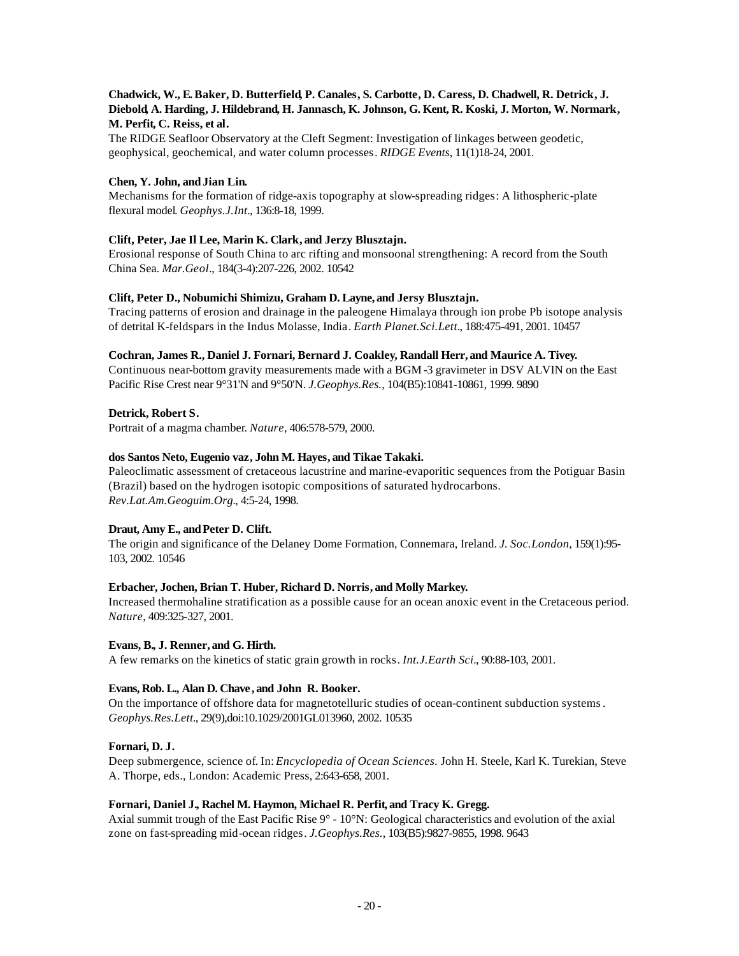# **Chadwick, W., E. Baker, D. Butterfield, P. Canales, S. Carbotte, D. Caress, D. Chadwell, R. Detrick, J. Diebold, A. Harding, J. Hildebrand, H. Jannasch, K. Johnson, G. Kent, R. Koski, J. Morton, W. Normark, M. Perfit, C. Reiss, et al.**

The RIDGE Seafloor Observatory at the Cleft Segment: Investigation of linkages between geodetic, geophysical, geochemical, and water column processes. *RIDGE Events*, 11(1)18-24, 2001.

# **Chen, Y. John, andJian Lin.**

Mechanisms for the formation of ridge-axis topography at slow-spreading ridges: A lithospheric-plate flexural model. *Geophys.J.Int.*, 136:8-18, 1999.

# **Clift, Peter, Jae Il Lee, Marin K. Clark, and Jerzy Blusztajn.**

Erosional response of South China to arc rifting and monsoonal strengthening: A record from the South China Sea. *Mar.Geol.*, 184(3-4):207-226, 2002. 10542

# **Clift, Peter D., Nobumichi Shimizu, Graham D. Layne, and Jersy Blusztajn.**

Tracing patterns of erosion and drainage in the paleogene Himalaya through ion probe Pb isotope analysis of detrital K-feldspars in the Indus Molasse, India. *Earth Planet.Sci.Lett.*, 188:475-491, 2001. 10457

# **Cochran, James R., Daniel J. Fornari, Bernard J. Coakley, Randall Herr, and Maurice A. Tivey.**

Continuous near-bottom gravity measurements made with a BGM -3 gravimeter in DSV ALVIN on the East Pacific Rise Crest near 9°31'N and 9°50'N. *J.Geophys.Res.*, 104(B5):10841-10861, 1999. 9890

## **Detrick, Robert S.**

Portrait of a magma chamber. *Nature*, 406:578-579, 2000.

## **dos Santos Neto, Eugenio vaz, John M. Hayes, and Tikae Takaki.**

Paleoclimatic assessment of cretaceous lacustrine and marine-evaporitic sequences from the Potiguar Basin (Brazil) based on the hydrogen isotopic compositions of saturated hydrocarbons. *Rev.Lat.Am.Geoguim.Org.*, 4:5-24, 1998.

# Draut, Amy E., and Peter D. Clift.

The origin and significance of the Delaney Dome Formation, Connemara, Ireland. *J. Soc.London*, 159(1):95- 103, 2002. 10546

## **Erbacher, Jochen, Brian T. Huber, Richard D. Norris, and Molly Markey.**

Increased thermohaline stratification as a possible cause for an ocean anoxic event in the Cretaceous period. *Nature*, 409:325-327, 2001.

## **Evans, B., J. Renner, and G. Hirth.**

A few remarks on the kinetics of static grain growth in rocks. *Int.J.Earth Sci.*, 90:88-103, 2001.

## **Evans, Rob. L., Alan D. Chave , and John R. Booker.**

On the importance of offshore data for magnetotelluric studies of ocean-continent subduction systems. *Geophys.Res.Lett.*, 29(9),doi:10.1029/2001GL013960, 2002. 10535

## **Fornari, D. J.**

Deep submergence, science of. In: *Encyclopedia of Ocean Sciences.* John H. Steele, Karl K. Turekian, Steve A. Thorpe, eds., London: Academic Press, 2:643-658, 2001.

## **Fornari, Daniel J., Rachel M. Haymon, Michael R. Perfit, and Tracy K. Gregg.**

Axial summit trough of the East Pacific Rise 9° - 10°N: Geological characteristics and evolution of the axial zone on fast-spreading mid-ocean ridges. *J.Geophys.Res.*, 103(B5):9827-9855, 1998. 9643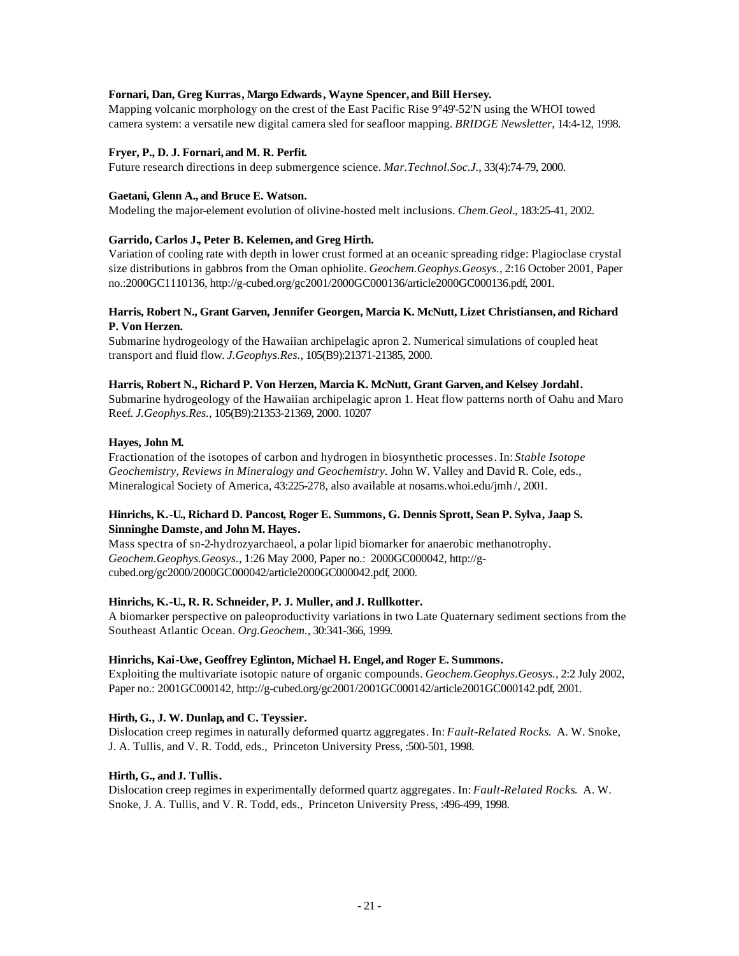# **Fornari, Dan, Greg Kurras, Margo Edwards, Wayne Spencer, and Bill Hersey.**

Mapping volcanic morphology on the crest of the East Pacific Rise 9°49'-52'N using the WHOI towed camera system: a versatile new digital camera sled for seafloor mapping. *BRIDGE Newsletter*, 14:4-12, 1998.

# **Fryer, P., D. J. Fornari, and M. R. Perfit.**

Future research directions in deep submergence science. *Mar.Technol.Soc.J.*, 33(4):74-79, 2000.

## **Gaetani, Glenn A., and Bruce E. Watson.**

Modeling the major-element evolution of olivine-hosted melt inclusions. *Chem.Geol.*, 183:25-41, 2002.

# **Garrido, Carlos J., Peter B. Kelemen, and Greg Hirth.**

Variation of cooling rate with depth in lower crust formed at an oceanic spreading ridge: Plagioclase crystal size distributions in gabbros from the Oman ophiolite. *Geochem.Geophys.Geosys.*, 2:16 October 2001, Paper no.:2000GC1110136, http://g-cubed.org/gc2001/2000GC000136/article2000GC000136.pdf, 2001.

# **Harris, Robert N., Grant Garven, Jennifer Georgen, Marcia K. McNutt, Lizet Christiansen, and Richard P. Von Herzen.**

Submarine hydrogeology of the Hawaiian archipelagic apron 2. Numerical simulations of coupled heat transport and fluid flow. *J.Geophys.Res.*, 105(B9):21371-21385, 2000.

# **Harris, Robert N., Richard P. Von Herzen, Marcia K. McNutt, Grant Garven, and Kelsey Jordahl.**

Submarine hydrogeology of the Hawaiian archipelagic apron 1. Heat flow patterns north of Oahu and Maro Reef. *J.Geophys.Res.*, 105(B9):21353-21369, 2000. 10207

# **Hayes, John M.**

Fractionation of the isotopes of carbon and hydrogen in biosynthetic processes. In: *Stable Isotope Geochemistry, Reviews in Mineralogy and Geochemistry.* John W. Valley and David R. Cole, eds., Mineralogical Society of America, 43:225-278, also available at nosams.whoi.edu/jmh /, 2001.

# **Hinrichs, K.-U., Richard D. Pancost, Roger E. Summons, G. Dennis Sprott, Sean P. Sylva, Jaap S. Sinninghe Damste, and John M. Hayes.**

Mass spectra of sn-2-hydrozyarchaeol, a polar lipid biomarker for anaerobic methanotrophy. *Geochem.Geophys.Geosys.*, 1:26 May 2000, Paper no.: 2000GC000042, http://gcubed.org/gc2000/2000GC000042/article2000GC000042.pdf, 2000.

# **Hinrichs, K.-U., R. R. Schneider, P. J. Muller, and J. Rullkotter.**

A biomarker perspective on paleoproductivity variations in two Late Quaternary sediment sections from the Southeast Atlantic Ocean. *Org.Geochem.*, 30:341-366, 1999.

## **Hinrichs, Kai-Uwe, Geoffrey Eglinton, Michael H. Engel, and Roger E. Summons.**

Exploiting the multivariate isotopic nature of organic compounds. *Geochem.Geophys.Geosys.*, 2:2 July 2002, Paper no.: 2001GC000142, http://g-cubed.org/gc2001/2001GC000142/article2001GC000142.pdf, 2001.

# **Hirth, G., J. W. Dunlap, and C. Teyssier.**

Dislocation creep regimes in naturally deformed quartz aggregates. In: *Fault-Related Rocks*. A. W. Snoke, J. A. Tullis, and V. R. Todd, eds., Princeton University Press, :500-501, 1998.

# **Hirth, G., andJ. Tullis.**

Dislocation creep regimes in experimentally deformed quartz aggregates. In: *Fault-Related Rocks*. A. W. Snoke, J. A. Tullis, and V. R. Todd, eds., Princeton University Press, :496-499, 1998.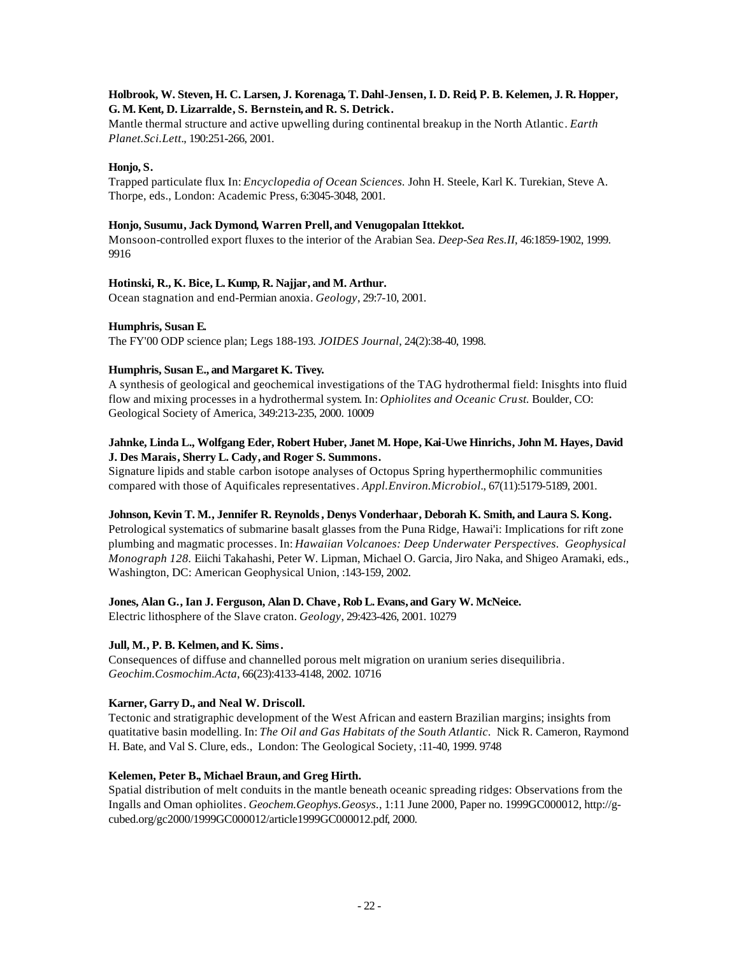# **Holbrook, W. Steven, H. C. Larsen, J. Korenaga, T. Dahl-Jensen, I. D. Reid, P. B. Kelemen, J. R. Hopper, G. M. Kent, D. Lizarralde, S. Bernstein, and R. S. Detrick.**

Mantle thermal structure and active upwelling during continental breakup in the North Atlantic. *Earth Planet.Sci.Lett.*, 190:251-266, 2001.

# **Honjo, S.**

Trapped particulate flux. In: *Encyclopedia of Ocean Sciences.* John H. Steele, Karl K. Turekian, Steve A. Thorpe, eds., London: Academic Press, 6:3045-3048, 2001.

## **Honjo, Susumu, Jack Dymond, Warren Prell, and Venugopalan Ittekkot.**

Monsoon-controlled export fluxes to the interior of the Arabian Sea. *Deep-Sea Res.II*, 46:1859-1902, 1999. 9916

## **Hotinski, R., K. Bice, L. Kump, R. Najjar, and M. Arthur.**

Ocean stagnation and end-Permian anoxia. *Geology*, 29:7-10, 2001.

# **Humphris, Susan E.**

The FY'00 ODP science plan; Legs 188-193. *JOIDES Journal*, 24(2):38-40, 1998.

# **Humphris, Susan E., and Margaret K. Tivey.**

A synthesis of geological and geochemical investigations of the TAG hydrothermal field: Inisghts into fluid flow and mixing processes in a hydrothermal system. In: *Ophiolites and Oceanic Crust.* Boulder, CO: Geological Society of America, 349:213-235, 2000. 10009

# **Jahnke, Linda L., Wolfgang Eder, Robert Huber, Janet M. Hope, Kai-Uwe Hinrichs, John M. Hayes, David J. Des Marais, Sherry L. Cady, and Roger S. Summons.**

Signature lipids and stable carbon isotope analyses of Octopus Spring hyperthermophilic communities compared with those of Aquificales representatives. *Appl.Environ.Microbiol.*, 67(11):5179-5189, 2001.

# **Johnson, Kevin T. M., Jennifer R. Reynolds, Denys Vonderhaar, Deborah K. Smith, and Laura S. Kong.**

Petrological systematics of submarine basalt glasses from the Puna Ridge, Hawai'i: Implications for rift zone plumbing and magmatic processes. In: *Hawaiian Volcanoes: Deep Underwater Perspectives. Geophysical Monograph 128.* Eiichi Takahashi, Peter W. Lipman, Michael O. Garcia, Jiro Naka, and Shigeo Aramaki, eds., Washington, DC: American Geophysical Union, :143-159, 2002.

## **Jones, Alan G., Ian J. Ferguson, Alan D. Chave , Rob L. Evans, and Gary W. McNeice.**

Electric lithosphere of the Slave craton. *Geology*, 29:423-426, 2001. 10279

# **Jull, M., P. B. Kelmen, and K. Sims.**

Consequences of diffuse and channelled porous melt migration on uranium series disequilibria. *Geochim.Cosmochim.Acta*, 66(23):4133-4148, 2002. 10716

# **Karner, Garry D., and Neal W. Driscoll.**

Tectonic and stratigraphic development of the West African and eastern Brazilian margins; insights from quatitative basin modelling. In: *The Oil and Gas Habitats of the South Atlantic.* Nick R. Cameron, Raymond H. Bate, and Val S. Clure, eds., London: The Geological Society, :11-40, 1999. 9748

# **Kelemen, Peter B., Michael Braun, and Greg Hirth.**

Spatial distribution of melt conduits in the mantle beneath oceanic spreading ridges: Observations from the Ingalls and Oman ophiolites. *Geochem.Geophys.Geosys.*, 1:11 June 2000, Paper no. 1999GC000012, http://gcubed.org/gc2000/1999GC000012/article1999GC000012.pdf, 2000.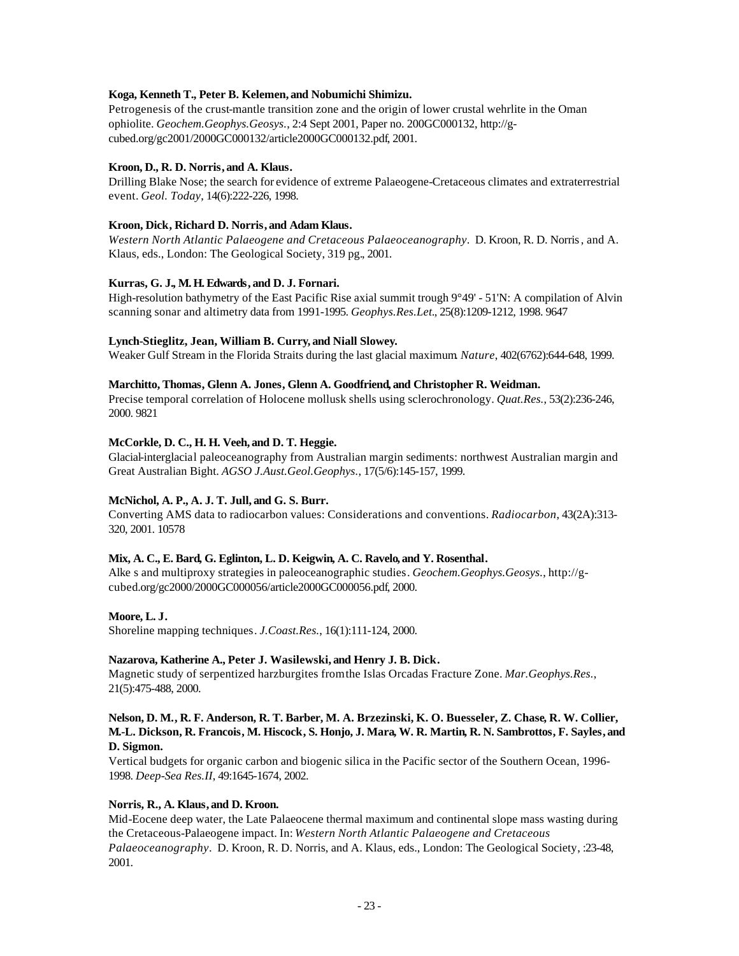# **Koga, Kenneth T., Peter B. Kelemen, and Nobumichi Shimizu.**

Petrogenesis of the crust-mantle transition zone and the origin of lower crustal wehrlite in the Oman ophiolite. *Geochem.Geophys.Geosys.*, 2:4 Sept 2001, Paper no. 200GC000132, http://gcubed.org/gc2001/2000GC000132/article2000GC000132.pdf, 2001.

# **Kroon, D., R. D. Norris, and A. Klaus.**

Drilling Blake Nose; the search for evidence of extreme Palaeogene-Cretaceous climates and extraterrestrial event. *Geol. Today*, 14(6):222-226, 1998.

## **Kroon, Dick, Richard D. Norris, and Adam Klaus.**

*Western North Atlantic Palaeogene and Cretaceous Palaeoceanography*. D. Kroon, R. D. Norris, and A. Klaus, eds., London: The Geological Society, 319 pg., 2001.

# **Kurras, G. J., M. H. Edwards, and D. J. Fornari.**

High-resolution bathymetry of the East Pacific Rise axial summit trough 9°49' - 51'N: A compilation of Alvin scanning sonar and altimetry data from 1991-1995. *Geophys.Res.Let.*, 25(8):1209-1212, 1998. 9647

# **Lynch-Stieglitz, Jean, William B. Curry, and Niall Slowey.**

Weaker Gulf Stream in the Florida Straits during the last glacial maximum. *Nature*, 402(6762):644-648, 1999.

# **Marchitto, Thomas, Glenn A. Jones, Glenn A. Goodfriend, and Christopher R. Weidman.**

Precise temporal correlation of Holocene mollusk shells using sclerochronology. *Quat.Res.*, 53(2):236-246, 2000. 9821

# **McCorkle, D. C., H. H. Veeh, and D. T. Heggie.**

Glacial-interglacial paleoceanography from Australian margin sediments: northwest Australian margin and Great Australian Bight. *AGSO J.Aust.Geol.Geophys.*, 17(5/6):145-157, 1999.

# **McNichol, A. P., A. J. T. Jull, and G. S. Burr.**

Converting AMS data to radiocarbon values: Considerations and conventions. *Radiocarbon*, 43(2A):313- 320, 2001. 10578

# **Mix, A. C., E. Bard, G. Eglinton, L. D. Keigwin, A. C. Ravelo, and Y. Rosenthal.**

Alke s and multiproxy strategies in paleoceanographic studies. *Geochem.Geophys.Geosys.*, http://gcubed.org/gc2000/2000GC000056/article2000GC000056.pdf, 2000.

# **Moore, L. J.**

Shoreline mapping techniques. *J.Coast.Res.*, 16(1):111-124, 2000.

## **Nazarova, Katherine A., Peter J. Wasilewski, and Henry J. B. Dick.**

Magnetic study of serpentized harzburgites from the Islas Orcadas Fracture Zone. *Mar.Geophys.Res.*, 21(5):475-488, 2000.

## **Nelson, D. M., R. F. Anderson, R. T. Barber, M. A. Brzezinski, K. O. Buesseler, Z. Chase, R. W. Collier, M.-L. Dickson, R. Francois, M. Hiscock, S. Honjo, J. Mara, W. R. Martin, R. N. Sambrottos, F. Sayles, and D. Sigmon.**

Vertical budgets for organic carbon and biogenic silica in the Pacific sector of the Southern Ocean, 1996- 1998. *Deep-Sea Res.II*, 49:1645-1674, 2002.

# **Norris, R., A. Klaus, and D. Kroon.**

Mid-Eocene deep water, the Late Palaeocene thermal maximum and continental slope mass wasting during the Cretaceous-Palaeogene impact. In: *Western North Atlantic Palaeogene and Cretaceous Palaeoceanography*. D. Kroon, R. D. Norris, and A. Klaus, eds., London: The Geological Society, :23-48, 2001.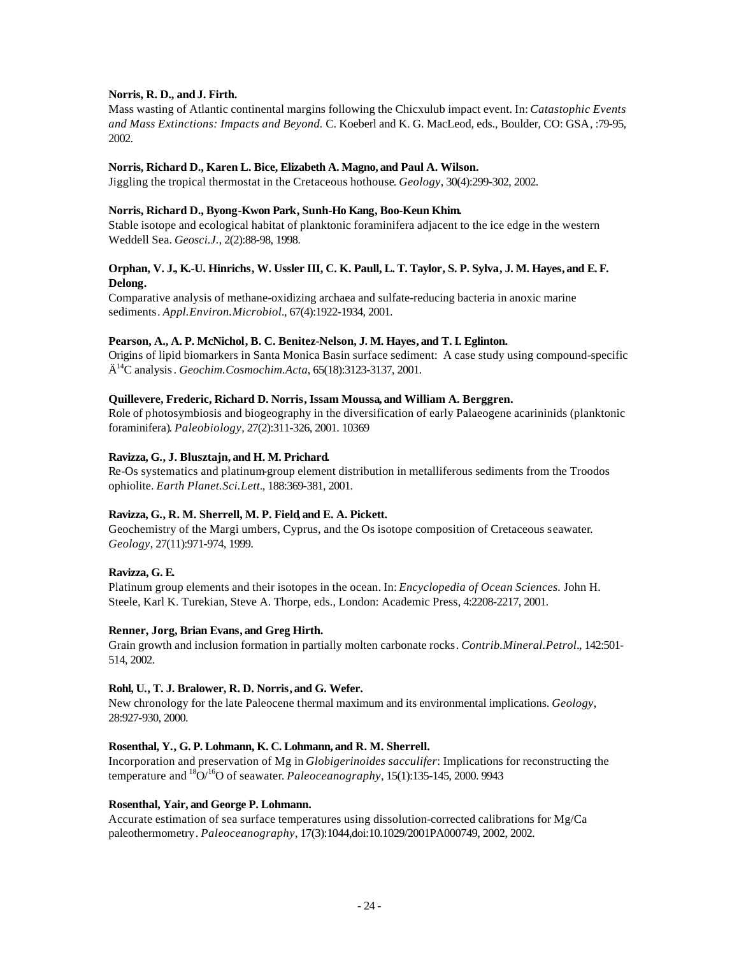# **Norris, R. D., and J. Firth.**

Mass wasting of Atlantic continental margins following the Chicxulub impact event. In: *Catastophic Events and Mass Extinctions: Impacts and Beyond.* C. Koeberl and K. G. MacLeod, eds., Boulder, CO: GSA, :79-95, 2002.

## **Norris, Richard D., Karen L. Bice, Elizabeth A. Magno, and Paul A. Wilson.**

Jiggling the tropical thermostat in the Cretaceous hothouse. *Geology*, 30(4):299-302, 2002.

# **Norris, Richard D., Byong-Kwon Park, Sunh-Ho Kang, Boo-Keun Khim.**

Stable isotope and ecological habitat of planktonic foraminifera adjacent to the ice edge in the western Weddell Sea. *Geosci.J.*, 2(2):88-98, 1998.

# **Orphan, V. J., K.-U. Hinrichs, W. Ussler III, C. K. Paull, L. T. Taylor, S. P. Sylva, J. M. Hayes, and E. F. Delong.**

Comparative analysis of methane-oxidizing archaea and sulfate-reducing bacteria in anoxic marine sediments. *Appl.Environ.Microbiol.*, 67(4):1922-1934, 2001.

# **Pearson, A., A. P. McNichol, B. C. Benitez-Nelson, J. M. Hayes, and T. I. Eglinton.**

Origins of lipid biomarkers in Santa Monica Basin surface sediment: A case study using compound-specific Ä <sup>14</sup>C analysis. *Geochim.Cosmochim.Acta*, 65(18):3123-3137, 2001.

# **Quillevere, Frederic, Richard D. Norris, Issam Moussa, and William A. Berggren.**

Role of photosymbiosis and biogeography in the diversification of early Palaeogene acarininids (planktonic foraminifera). *Paleobiology*, 27(2):311-326, 2001. 10369

# **Ravizza, G., J. Blusztajn, and H. M. Prichard.**

Re-Os systematics and platinum-group element distribution in metalliferous sediments from the Troodos ophiolite. *Earth Planet.Sci.Lett.*, 188:369-381, 2001.

# **Ravizza, G., R. M. Sherrell, M. P. Field, and E. A. Pickett.**

Geochemistry of the Margi umbers, Cyprus, and the Os isotope composition of Cretaceous seawater. *Geology*, 27(11):971-974, 1999.

# **Ravizza, G. E.**

Platinum group elements and their isotopes in the ocean. In: *Encyclopedia of Ocean Sciences.* John H. Steele, Karl K. Turekian, Steve A. Thorpe, eds., London: Academic Press, 4:2208-2217, 2001.

## **Renner, Jorg, Brian Evans, and Greg Hirth.**

Grain growth and inclusion formation in partially molten carbonate rocks. *Contrib.Mineral.Petrol.*, 142:501- 514, 2002.

## **Rohl, U., T. J. Bralower, R. D. Norris, and G. Wefer.**

New chronology for the late Paleocene thermal maximum and its environmental implications. *Geology*, 28:927-930, 2000.

## **Rosenthal, Y., G. P. Lohmann, K. C. Lohmann, and R. M. Sherrell.**

Incorporation and preservation of Mg in *Globigerinoides sacculifer*: Implications for reconstructing the temperature and  ${}^{18}O/{}^{16}O$  of seawater. *Paleoceanography*, 15(1):135-145, 2000. 9943

# **Rosenthal, Yair, and George P. Lohmann.**

Accurate estimation of sea surface temperatures using dissolution-corrected calibrations for Mg/Ca paleothermometry. *Paleoceanography*, 17(3):1044,doi:10.1029/2001PA000749, 2002, 2002.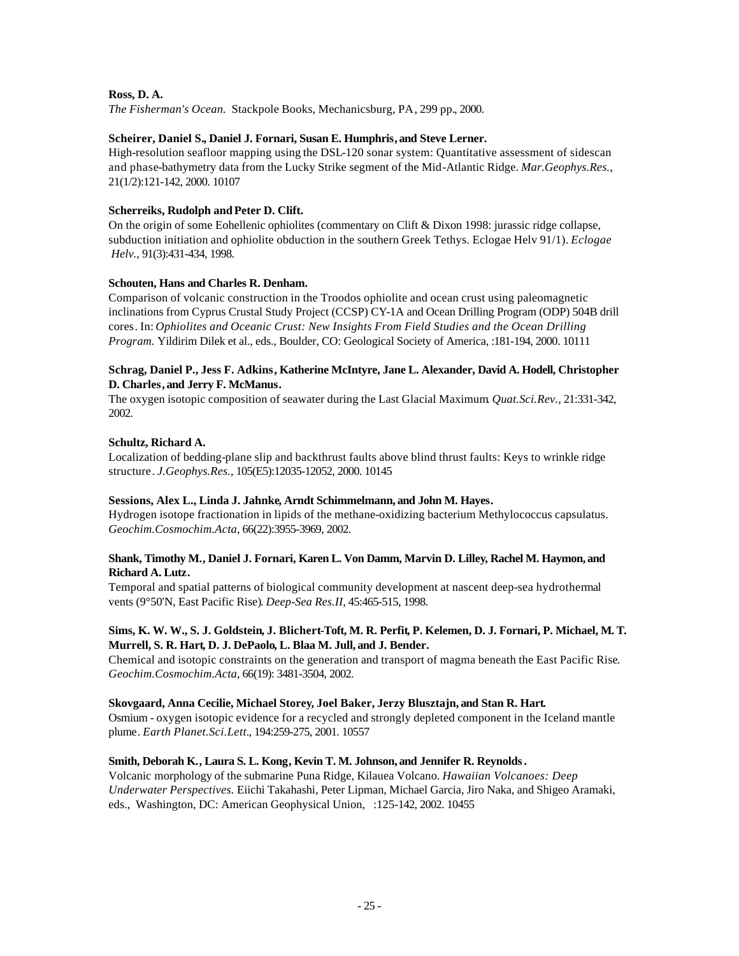# **Ross, D. A.**

*The Fisherman's Ocean.* Stackpole Books, Mechanicsburg, PA, 299 pp., 2000.

# **Scheirer, Daniel S., Daniel J. Fornari, Susan E. Humphris, and Steve Lerner.**

High-resolution seafloor mapping using the DSL-120 sonar system: Quantitative assessment of sidescan and phase-bathymetry data from the Lucky Strike segment of the Mid-Atlantic Ridge. *Mar.Geophys.Res.*, 21(1/2):121-142, 2000. 10107

# **Scherreiks, Rudolph and Peter D. Clift.**

On the origin of some Eohellenic ophiolites (commentary on Clift & Dixon 1998: jurassic ridge collapse, subduction initiation and ophiolite obduction in the southern Greek Tethys. Eclogae Helv 91/1). *Eclogae Helv.*, 91(3):431-434, 1998.

# **Schouten, Hans and Charles R. Denham.**

Comparison of volcanic construction in the Troodos ophiolite and ocean crust using paleomagnetic inclinations from Cyprus Crustal Study Project (CCSP) CY-1A and Ocean Drilling Program (ODP) 504B drill cores. In: *Ophiolites and Oceanic Crust: New Insights From Field Studies and the Ocean Drilling Program.* Yildirim Dilek et al., eds., Boulder, CO: Geological Society of America, :181-194, 2000. 10111

# **Schrag, Daniel P., Jess F. Adkins, Katherine McIntyre, Jane L. Alexander, David A. Hodell, Christopher D. Charles, and Jerry F. McManus.**

The oxygen isotopic composition of seawater during the Last Glacial Maximum. *Quat.Sci.Rev.*, 21:331-342, 2002.

# **Schultz, Richard A.**

Localization of bedding-plane slip and backthrust faults above blind thrust faults: Keys to wrinkle ridge structure. *J.Geophys.Res.*, 105(E5):12035-12052, 2000. 10145

# **Sessions, Alex L., Linda J. Jahnke, Arndt Schimmelmann, and John M. Hayes.**

Hydrogen isotope fractionation in lipids of the methane-oxidizing bacterium Methylococcus capsulatus. *Geochim.Cosmochim.Acta*, 66(22):3955-3969, 2002.

# **Shank, Timothy M., Daniel J. Fornari, Karen L. Von Damm, Marvin D. Lilley, Rachel M. Haymon, and Richard A. Lutz.**

Temporal and spatial patterns of biological community development at nascent deep-sea hydrothermal vents (9°50'N, East Pacific Rise). *Deep-Sea Res.II*, 45:465-515, 1998.

# **Sims, K. W. W., S. J. Goldstein, J. Blichert-Toft, M. R. Perfit, P. Kelemen, D. J. Fornari, P. Michael, M. T. Murrell, S. R. Hart, D. J. DePaolo, L. Blaa M. Jull, and J. Bender.**

Chemical and isotopic constraints on the generation and transport of magma beneath the East Pacific Rise. *Geochim.Cosmochim.Acta*, 66(19): 3481-3504, 2002.

## **Skovgaard, Anna Cecilie, Michael Storey, Joel Baker, Jerzy Blusztajn, and Stan R. Hart.**

Osmium - oxygen isotopic evidence for a recycled and strongly depleted component in the Iceland mantle plume. *Earth Planet.Sci.Lett.*, 194:259-275, 2001. 10557

# **Smith, Deborah K., Laura S. L. Kong, Kevin T. M. Johnson, and Jennifer R. Reynolds.**

Volcanic morphology of the submarine Puna Ridge, Kilauea Volcano. *Hawaiian Volcanoes: Deep Underwater Perspectives.* Eiichi Takahashi, Peter Lipman, Michael Garcia, Jiro Naka, and Shigeo Aramaki, eds., Washington, DC: American Geophysical Union, :125-142, 2002. 10455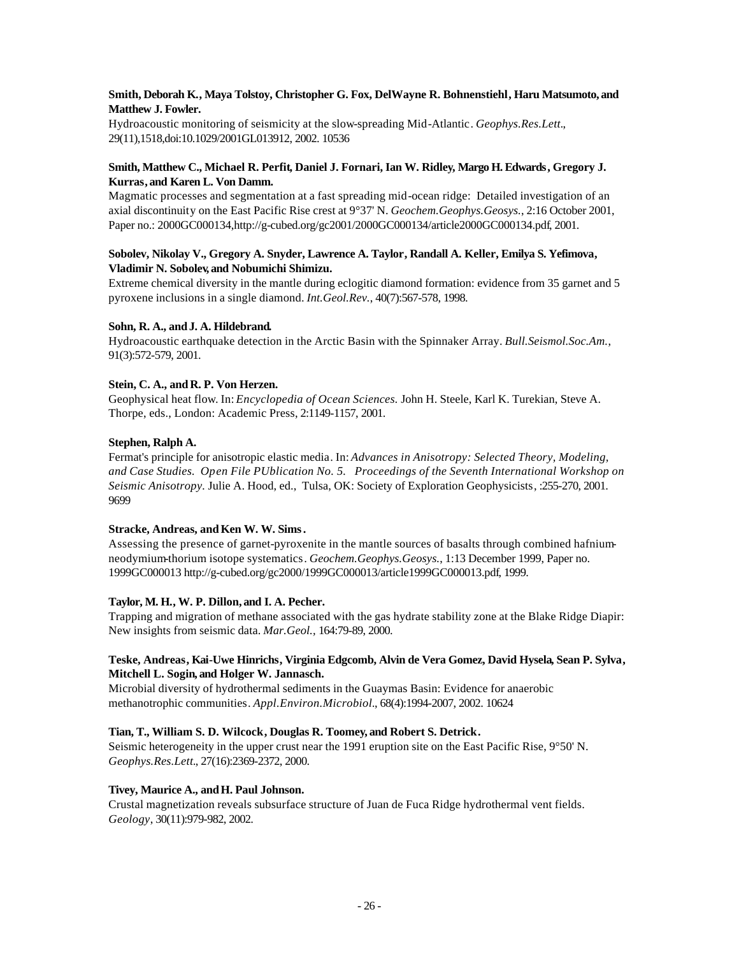# **Smith, Deborah K., Maya Tolstoy, Christopher G. Fox, DelWayne R. Bohnenstiehl, Haru Matsumoto, and Matthew J. Fowler.**

Hydroacoustic monitoring of seismicity at the slow-spreading Mid-Atlantic. *Geophys.Res.Lett.*, 29(11),1518,doi:10.1029/2001GL013912, 2002. 10536

# **Smith, Matthew C., Michael R. Perfit, Daniel J. Fornari, Ian W. Ridley, Margo H. Edwards, Gregory J. Kurras, and Karen L. Von Damm.**

Magmatic processes and segmentation at a fast spreading mid-ocean ridge: Detailed investigation of an axial discontinuity on the East Pacific Rise crest at 9°37' N. *Geochem.Geophys.Geosys.*, 2:16 October 2001, Paper no.: 2000GC000134,http://g-cubed.org/gc2001/2000GC000134/article2000GC000134.pdf, 2001.

# **Sobolev, Nikolay V., Gregory A. Snyder, Lawrence A. Taylor, Randall A. Keller, Emilya S. Yefimova, Vladimir N. Sobolev, and Nobumichi Shimizu.**

Extreme chemical diversity in the mantle during eclogitic diamond formation: evidence from 35 garnet and 5 pyroxene inclusions in a single diamond. *Int.Geol.Rev.*, 40(7):567-578, 1998.

# Sohn, R. A., and J. A. Hildebrand.

Hydroacoustic earthquake detection in the Arctic Basin with the Spinnaker Array. *Bull.Seismol.Soc.Am.*, 91(3):572-579, 2001.

# Stein, C. A., and R. P. Von Herzen.

Geophysical heat flow. In: *Encyclopedia of Ocean Sciences.* John H. Steele, Karl K. Turekian, Steve A. Thorpe, eds., London: Academic Press, 2:1149-1157, 2001.

# **Stephen, Ralph A.**

Fermat's principle for anisotropic elastic media. In: *Advances in Anisotropy: Selected Theory, Modeling, and Case Studies. Open File PUblication No. 5. Proceedings of the Seventh International Workshop on Seismic Anisotropy.* Julie A. Hood, ed., Tulsa, OK: Society of Exploration Geophysicists, :255-270, 2001. 9699

# Stracke, Andreas, and Ken W. W. Sims.

Assessing the presence of garnet-pyroxenite in the mantle sources of basalts through combined hafniumneodymium-thorium isotope systematics. *Geochem.Geophys.Geosys.*, 1:13 December 1999, Paper no. 1999GC000013 http://g-cubed.org/gc2000/1999GC000013/article1999GC000013.pdf, 1999.

# **Taylor, M. H., W. P. Dillon, and I. A. Pecher.**

Trapping and migration of methane associated with the gas hydrate stability zone at the Blake Ridge Diapir: New insights from seismic data. *Mar.Geol.,* 164:79-89, 2000.

# **Teske, Andreas, Kai-Uwe Hinrichs, Virginia Edgcomb, Alvin de Vera Gomez, David Hysela, Sean P. Sylva, Mitchell L. Sogin, and Holger W. Jannasch.**

Microbial diversity of hydrothermal sediments in the Guaymas Basin: Evidence for anaerobic methanotrophic communities. *Appl.Environ.Microbiol.*, 68(4):1994-2007, 2002. 10624

# **Tian, T., William S. D. Wilcock, Douglas R. Toomey, and Robert S. Detrick.**

Seismic heterogeneity in the upper crust near the 1991 eruption site on the East Pacific Rise, 9°50' N. *Geophys.Res.Lett.*, 27(16):2369-2372, 2000.

# Tivey, Maurice A., and H. Paul Johnson.

Crustal magnetization reveals subsurface structure of Juan de Fuca Ridge hydrothermal vent fields. *Geology*, 30(11):979-982, 2002.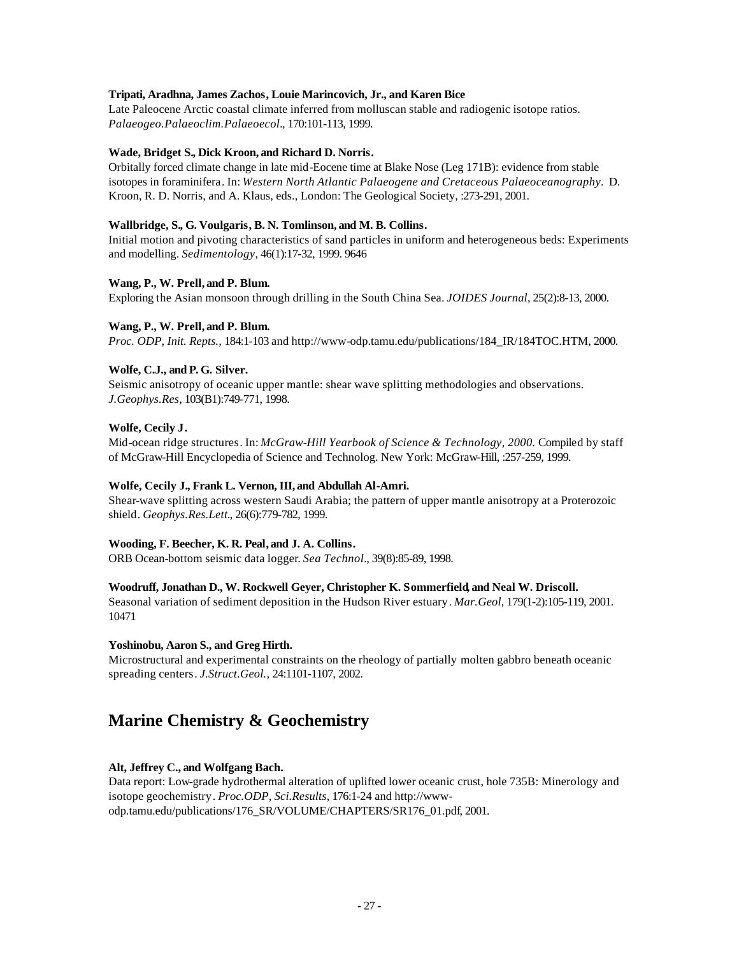# **Tripati, Aradhna, James Zachos, Louie Marincovich, Jr., and Karen Bice**

Late Paleocene Arctic coastal climate inferred from molluscan stable and radiogenic isotope ratios. *Palaeogeo.Palaeoclim.Palaeoecol.*, 170:101-113, 1999.

## **Wade, Bridget S., Dick Kroon, and Richard D. Norris.**

Orbitally forced climate change in late mid-Eocene time at Blake Nose (Leg 171B): evidence from stable isotopes in foraminifera. In: *Western North Atlantic Palaeogene and Cretaceous Palaeoceanography*. D. Kroon, R. D. Norris, and A. Klaus, eds., London: The Geological Society, :273-291, 2001.

## **Wallbridge, S., G. Voulgaris, B. N. Tomlinson, and M. B. Collins.**

Initial motion and pivoting characteristics of sand particles in uniform and heterogeneous beds: Experiments and modelling. *Sedimentology*, 46(1):17-32, 1999. 9646

# **Wang, P., W. Prell, and P. Blum.**

Exploring the Asian monsoon through drilling in the South China Sea. *JOIDES Journal*, 25(2):8-13, 2000.

# **Wang, P., W. Prell, and P. Blum.**

*Proc. ODP, Init. Repts.,* 184:1-103 and http://www-odp.tamu.edu/publications/184\_IR/184TOC.HTM, 2000.

# **Wolfe, C.J., and P. G. Silver.**

Seismic anisotropy of oceanic upper mantle: shear wave splitting methodologies and observations. *J.Geophys.Res*, 103(B1):749-771, 1998.

# **Wolfe, Cecily J.**

Mid-ocean ridge structures. In: *McGraw-Hill Yearbook of Science & Technology, 2000.* Compiled by staff of McGraw-Hill Encyclopedia of Science and Technolog. New York: McGraw-Hill, :257-259, 1999.

## **Wolfe, Cecily J., Frank L. Vernon, III, and Abdullah Al-Amri.**

Shear-wave splitting across western Saudi Arabia; the pattern of upper mantle anisotropy at a Proterozoic shield. *Geophys.Res.Lett.*, 26(6):779-782, 1999.

## **Wooding, F. Beecher, K. R. Peal, and J. A. Collins.**

ORB Ocean-bottom seismic data logger. *Sea Technol.*, 39(8):85-89, 1998.

## **Woodruff, Jonathan D., W. Rockwell Geyer, Christopher K. Sommerfield, and Neal W. Driscoll.**

Seasonal variation of sediment deposition in the Hudson River estuary. *Mar.Geol*, 179(1-2):105-119, 2001. 10471

## **Yoshinobu, Aaron S., and Greg Hirth.**

Microstructural and experimental constraints on the rheology of partially molten gabbro beneath oceanic spreading centers. *J.Struct.Geol.,* 24:1101-1107, 2002.

# **Marine Chemistry & Geochemistry**

# **Alt, Jeffrey C., and Wolfgang Bach.**

Data report: Low-grade hydrothermal alteration of uplifted lower oceanic crust, hole 735B: Minerology and isotope geochemistry. *Proc.ODP, Sci.Results*, 176:1-24 and http://wwwodp.tamu.edu/publications/176\_SR/VOLUME/CHAPTERS/SR176\_01.pdf, 2001.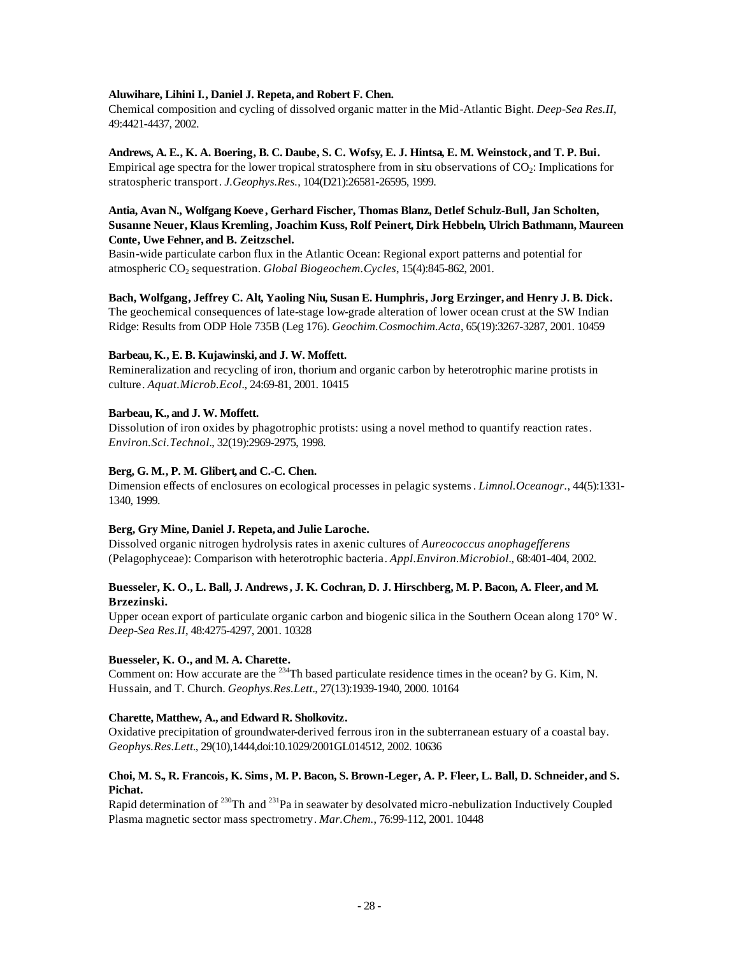# **Aluwihare, Lihini I., Daniel J. Repeta, and Robert F. Chen.**

Chemical composition and cycling of dissolved organic matter in the Mid-Atlantic Bight. *Deep-Sea Res.II*, 49:4421-4437, 2002.

# **Andrews, A. E., K. A. Boering, B. C. Daube, S. C. Wofsy, E. J. Hintsa, E. M. Weinstock, and T. P. Bui.**

Empirical age spectra for the lower tropical stratosphere from in situ observations of CO2: Implications for stratospheric transport. *J.Geophys.Res.*, 104(D21):26581-26595, 1999.

# **Antia, Avan N., Wolfgang Koeve , Gerhard Fischer, Thomas Blanz, Detlef Schulz-Bull, Jan Scholten, Susanne Neuer, Klaus Kremling, Joachim Kuss, Rolf Peinert, Dirk Hebbeln, Ulrich Bathmann, Maureen Conte, Uwe Fehner, and B. Zeitzschel.**

Basin-wide particulate carbon flux in the Atlantic Ocean: Regional export patterns and potential for atmospheric CO<sub>2</sub> sequestration. *Global Biogeochem. Cycles*, 15(4):845-862, 2001.

**Bach, Wolfgang, Jeffrey C. Alt, Yaoling Niu, Susan E. Humphris, Jorg Erzinger, and Henry J. B. Dick.** The geochemical consequences of late-stage low-grade alteration of lower ocean crust at the SW Indian Ridge: Results from ODP Hole 735B (Leg 176). *Geochim.Cosmochim.Acta*, 65(19):3267-3287, 2001. 10459

# **Barbeau, K., E. B. Kujawinski, and J. W. Moffett.**

Remineralization and recycling of iron, thorium and organic carbon by heterotrophic marine protists in culture. *Aquat.Microb.Ecol.*, 24:69-81, 2001. 10415

# **Barbeau, K., and J. W. Moffett.**

Dissolution of iron oxides by phagotrophic protists: using a novel method to quantify reaction rates. *Environ.Sci.Technol.*, 32(19):2969-2975, 1998.

# **Berg, G. M., P. M. Glibert, and C.-C. Chen.**

Dimension effects of enclosures on ecological processes in pelagic systems. *Limnol.Oceanogr.*, 44(5):1331- 1340, 1999.

# **Berg, Gry Mine, Daniel J. Repeta, and Julie Laroche.**

Dissolved organic nitrogen hydrolysis rates in axenic cultures of *Aureococcus anophagefferens* (Pelagophyceae): Comparison with heterotrophic bacteria. *Appl.Environ.Microbiol.*, 68:401-404, 2002.

# **Buesseler, K. O., L. Ball, J. Andrews, J. K. Cochran, D. J. Hirschberg, M. P. Bacon, A. Fleer, and M. Brzezinski.**

Upper ocean export of particulate organic carbon and biogenic silica in the Southern Ocean along 170° W. *Deep-Sea Res.II*, 48:4275-4297, 2001. 10328

# **Buesseler, K. O., and M. A. Charette.**

Comment on: How accurate are the <sup>234</sup>Th based particulate residence times in the ocean? by G. Kim, N. Hussain, and T. Church. *Geophys.Res.Lett.*, 27(13):1939-1940, 2000. 10164

# **Charette, Matthew, A., and Edward R. Sholkovitz.**

Oxidative precipitation of groundwater-derived ferrous iron in the subterranean estuary of a coastal bay. *Geophys.Res.Lett.*, 29(10),1444,doi:10.1029/2001GL014512, 2002. 10636

# **Choi, M. S., R. Francois, K. Sims, M. P. Bacon, S. Brown-Leger, A. P. Fleer, L. Ball, D. Schneider, and S. Pichat.**

Rapid determination of <sup>230</sup>Th and <sup>231</sup>Pa in seawater by desolvated micro-nebulization Inductively Coupled Plasma magnetic sector mass spectrometry. *Mar.Chem.*, 76:99-112, 2001. 10448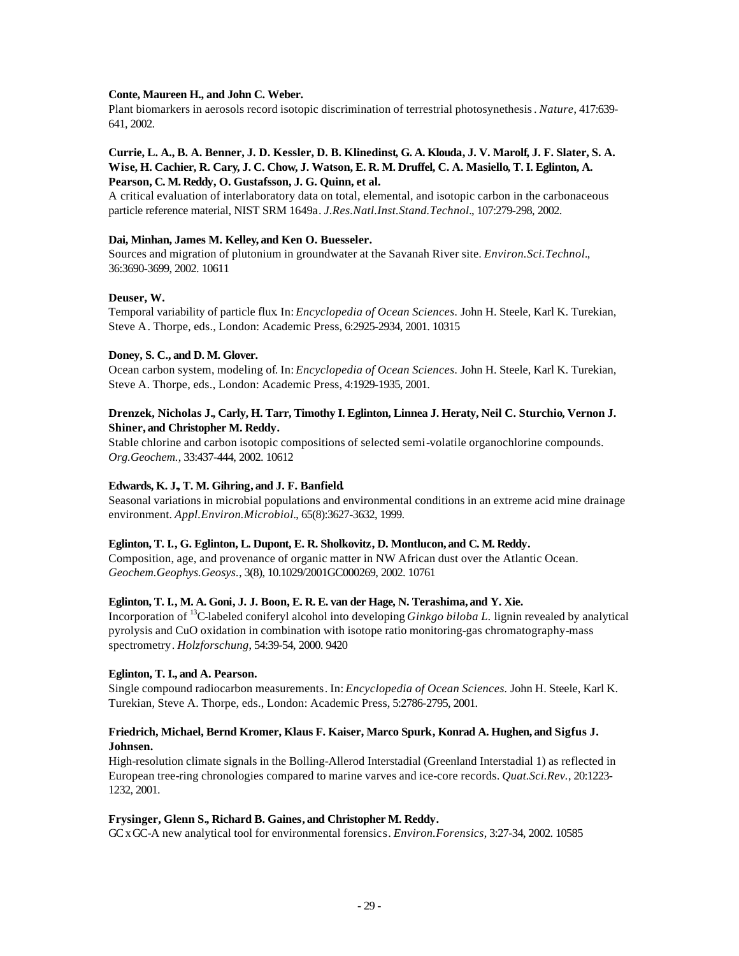## **Conte, Maureen H., and John C. Weber.**

Plant biomarkers in aerosols record isotopic discrimination of terrestrial photosynethesis. *Nature*, 417:639- 641, 2002.

# **Currie, L. A., B. A. Benner, J. D. Kessler, D. B. Klinedinst, G. A. Klouda, J. V. Marolf, J. F. Slater, S. A. Wise, H. Cachier, R. Cary, J. C. Chow, J. Watson, E. R. M. Druffel, C. A. Masiello, T. I. Eglinton, A. Pearson, C. M. Reddy, O. Gustafsson, J. G. Quinn, et al.**

A critical evaluation of interlaboratory data on total, elemental, and isotopic carbon in the carbonaceous particle reference material, NIST SRM 1649a. *J.Res.Natl.Inst.Stand.Technol.*, 107:279-298, 2002.

# **Dai, Minhan, James M. Kelley, and Ken O. Buesseler.**

Sources and migration of plutonium in groundwater at the Savanah River site. *Environ.Sci.Technol.*, 36:3690-3699, 2002. 10611

# **Deuser, W.**

Temporal variability of particle flux. In: *Encyclopedia of Ocean Sciences.* John H. Steele, Karl K. Turekian, Steve A. Thorpe, eds., London: Academic Press, 6:2925-2934, 2001. 10315

# **Doney, S. C., and D. M. Glover.**

Ocean carbon system, modeling of. In: *Encyclopedia of Ocean Sciences.* John H. Steele, Karl K. Turekian, Steve A. Thorpe, eds., London: Academic Press, 4:1929-1935, 2001.

# **Drenzek, Nicholas J., Carly, H. Tarr, Timothy I. Eglinton, Linnea J. Heraty, Neil C. Sturchio, Vernon J. Shiner, and Christopher M. Reddy.**

Stable chlorine and carbon isotopic compositions of selected semi-volatile organochlorine compounds. *Org.Geochem.*, 33:437-444, 2002. 10612

# **Edwards, K. J., T. M. Gihring, and J. F. Banfield.**

Seasonal variations in microbial populations and environmental conditions in an extreme acid mine drainage environment. *Appl.Environ.Microbiol.*, 65(8):3627-3632, 1999.

# **Eglinton, T. I., G. Eglinton, L. Dupont, E. R. Sholkovitz, D. Montlucon, and C. M. Reddy.**

Composition, age, and provenance of organic matter in NW African dust over the Atlantic Ocean. *Geochem.Geophys.Geosys.*, 3(8), 10.1029/2001GC000269, 2002. 10761

# **Eglinton, T. I., M. A. Goni, J. J. Boon, E. R. E. van der Hage, N. Terashima, and Y. Xie.**

Incorporation of <sup>13</sup>C-labeled coniferyl alcohol into developing *Ginkgo biloba L.* lignin revealed by analytical pyrolysis and CuO oxidation in combination with isotope ratio monitoring-gas chromatography-mass spectrometry. *Holzforschung*, 54:39-54, 2000. 9420

# **Eglinton, T. I., and A. Pearson.**

Single compound radiocarbon measurements. In: *Encyclopedia of Ocean Sciences.* John H. Steele, Karl K. Turekian, Steve A. Thorpe, eds., London: Academic Press, 5:2786-2795, 2001.

# **Friedrich, Michael, Bernd Kromer, Klaus F. Kaiser, Marco Spurk, Konrad A. Hughen, and Sigfus J. Johnsen.**

High-resolution climate signals in the Bolling-Allerod Interstadial (Greenland Interstadial 1) as reflected in European tree-ring chronologies compared to marine varves and ice-core records. *Quat.Sci.Rev.*, 20:1223- 1232, 2001.

## **Frysinger, Glenn S., Richard B. Gaines, and Christopher M. Reddy.**

GC x GC-A new analytical tool for environmental forensics. *Environ.Forensics*, 3:27-34, 2002. 10585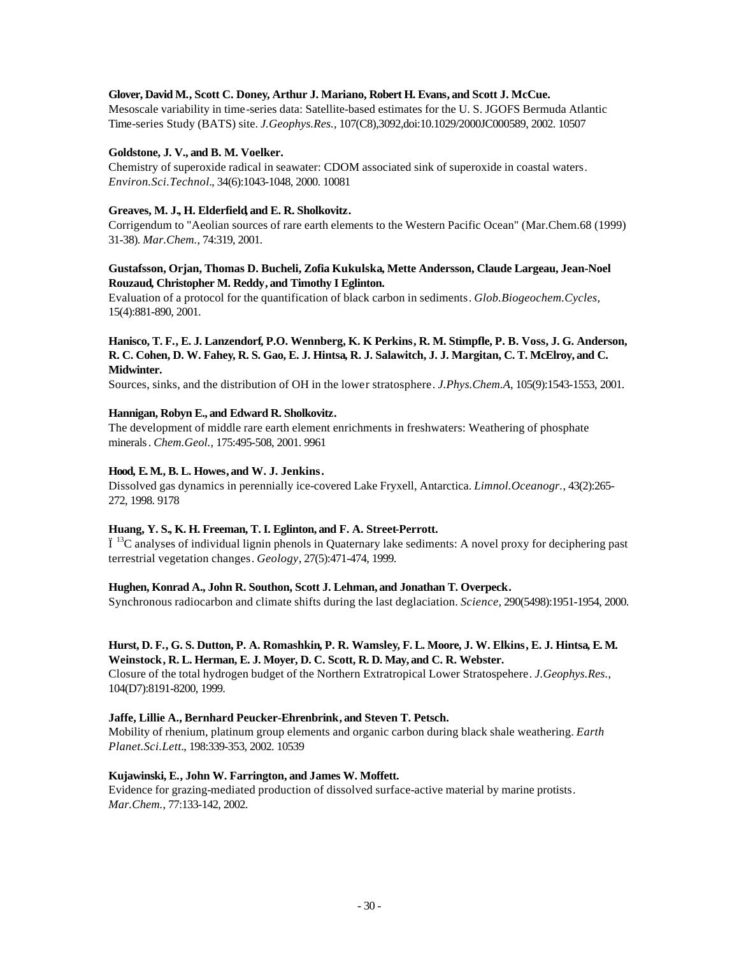## **Glover, David M., Scott C. Doney, Arthur J. Mariano, Robert H. Evans, and Scott J. McCue.**

Mesoscale variability in time-series data: Satellite-based estimates for the U. S. JGOFS Bermuda Atlantic Time-series Study (BATS) site. *J.Geophys.Res.*, 107(C8),3092,doi:10.1029/2000JC000589, 2002. 10507

## **Goldstone, J. V., and B. M. Voelker.**

Chemistry of superoxide radical in seawater: CDOM associated sink of superoxide in coastal waters. *Environ.Sci.Technol.*, 34(6):1043-1048, 2000. 10081

# **Greaves, M. J., H. Elderfield, and E. R. Sholkovitz.**

Corrigendum to "Aeolian sources of rare earth elements to the Western Pacific Ocean" (Mar.Chem.68 (1999) 31-38). *Mar.Chem.*, 74:319, 2001.

# **Gustafsson, Orjan, Thomas D. Bucheli, Zofia Kukulska, Mette Andersson, Claude Largeau, Jean-Noel Rouzaud, Christopher M. Reddy, and Timothy I Eglinton.**

Evaluation of a protocol for the quantification of black carbon in sediments. *Glob.Biogeochem.Cycles*, 15(4):881-890, 2001.

# **Hanisco, T. F., E. J. Lanzendorf, P.O. Wennberg, K. K Perkins, R. M. Stimpfle, P. B. Voss, J. G. Anderson, R. C. Cohen, D. W. Fahey, R. S. Gao, E. J. Hintsa, R. J. Salawitch, J. J. Margitan, C. T. McElroy, and C. Midwinter.**

Sources, sinks, and the distribution of OH in the lower stratosphere. *J.Phys.Chem.A*, 105(9):1543-1553, 2001.

# **Hannigan, Robyn E., and Edward R. Sholkovitz.**

The development of middle rare earth element enrichments in freshwaters: Weathering of phosphate minerals. *Chem.Geol.,* 175:495-508, 2001. 9961

# **Hood, E. M., B. L. Howes, and W. J. Jenkins.**

Dissolved gas dynamics in perennially ice-covered Lake Fryxell, Antarctica. *Limnol.Oceanogr.*, 43(2):265- 272, 1998. 9178

## **Huang, Y. S., K. H. Freeman, T. I. Eglinton, and F. A. Street-Perrott.**

 $\ddot{I}$ <sup>13</sup>C analyses of individual lignin phenols in Quaternary lake sediments: A novel proxy for deciphering past terrestrial vegetation changes. *Geology*, 27(5):471-474, 1999.

## **Hughen, Konrad A., John R. Southon, Scott J. Lehman, and Jonathan T. Overpeck.**

Synchronous radiocarbon and climate shifts during the last deglaciation. *Science*, 290(5498):1951-1954, 2000.

# **Hurst, D. F., G. S. Dutton, P. A. Romashkin, P. R. Wamsley, F. L. Moore, J. W. Elkins, E. J. Hintsa, E. M. Weinstock, R. L. Herman, E. J. Moyer, D. C. Scott, R. D. May, and C. R. Webster.**

Closure of the total hydrogen budget of the Northern Extratropical Lower Stratospehere. *J.Geophys.Res.*, 104(D7):8191-8200, 1999.

# **Jaffe, Lillie A., Bernhard Peucker-Ehrenbrink, and Steven T. Petsch.**

Mobility of rhenium, platinum group elements and organic carbon during black shale weathering. *Earth Planet.Sci.Lett.*, 198:339-353, 2002. 10539

# **Kujawinski, E., John W. Farrington, and James W. Moffett.**

Evidence for grazing-mediated production of dissolved surface-active material by marine protists. *Mar.Chem.*, 77:133-142, 2002.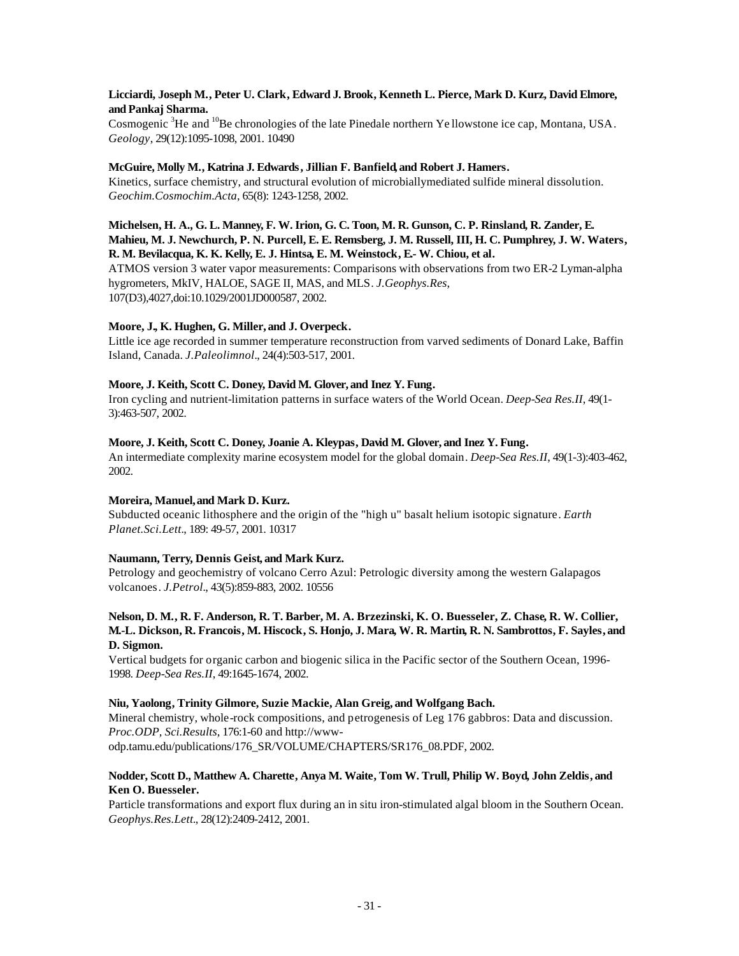# **Licciardi, Joseph M., Peter U. Clark, Edward J. Brook, Kenneth L. Pierce, Mark D. Kurz, David Elmore, and Pankaj Sharma.**

Cosmogenic  ${}^{3}$ He and  ${}^{10}$ Be chronologies of the late Pinedale northern Ye llowstone ice cap, Montana, USA. *Geology*, 29(12):1095-1098, 2001. 10490

# **McGuire, Molly M., Katrina J. Edwards, Jillian F. Banfield, and Robert J. Hamers.**

Kinetics, surface chemistry, and structural evolution of microbiallymediated sulfide mineral dissolution. *Geochim.Cosmochim.Acta*, 65(8): 1243-1258, 2002.

# **Michelsen, H. A., G. L. Manney, F. W. Irion, G. C. Toon, M. R. Gunson, C. P. Rinsland, R. Zander, E. Mahieu, M. J. Newchurch, P. N. Purcell, E. E. Remsberg, J. M. Russell, III, H. C. Pumphrey, J. W. Waters, R. M. Bevilacqua, K. K. Kelly, E. J. Hintsa, E. M. Weinstock, E.- W. Chiou, et al.**

ATMOS version 3 water vapor measurements: Comparisons with observations from two ER-2 Lyman-alpha hygrometers, MkIV, HALOE, SAGE II, MAS, and MLS. *J.Geophys.Res*, 107(D3),4027,doi:10.1029/2001JD000587, 2002.

# **Moore, J., K. Hughen, G. Miller, and J. Overpeck.**

Little ice age recorded in summer temperature reconstruction from varved sediments of Donard Lake, Baffin Island, Canada. *J.Paleolimnol.*, 24(4):503-517, 2001.

# **Moore, J. Keith, Scott C. Doney, David M. Glover, and Inez Y. Fung.**

Iron cycling and nutrient-limitation patterns in surface waters of the World Ocean. *Deep-Sea Res.II*, 49(1- 3):463-507, 2002.

# **Moore, J. Keith, Scott C. Doney, Joanie A. Kleypas, David M. Glover, and Inez Y. Fung.**

An intermediate complexity marine ecosystem model for the global domain. *Deep-Sea Res.II*, 49(1-3):403-462, 2002.

# **Moreira, Manuel, and Mark D. Kurz.**

Subducted oceanic lithosphere and the origin of the "high u" basalt helium isotopic signature. *Earth Planet.Sci.Lett.*, 189: 49-57, 2001. 10317

# **Naumann, Terry, Dennis Geist, and Mark Kurz.**

Petrology and geochemistry of volcano Cerro Azul: Petrologic diversity among the western Galapagos volcanoes. *J.Petrol.*, 43(5):859-883, 2002. 10556

# **Nelson, D. M., R. F. Anderson, R. T. Barber, M. A. Brzezinski, K. O. Buesseler, Z. Chase, R. W. Collier, M.-L. Dickson, R. Francois, M. Hiscock, S. Honjo, J. Mara, W. R. Martin, R. N. Sambrottos, F. Sayles, and D. Sigmon.**

Vertical budgets for organic carbon and biogenic silica in the Pacific sector of the Southern Ocean, 1996- 1998. *Deep-Sea Res.II*, 49:1645-1674, 2002.

# **Niu, Yaolong, Trinity Gilmore, Suzie Mackie, Alan Greig, and Wolfgang Bach.**

Mineral chemistry, whole-rock compositions, and petrogenesis of Leg 176 gabbros: Data and discussion. *Proc.ODP, Sci.Results*, 176:1-60 and http://wwwodp.tamu.edu/publications/176\_SR/VOLUME/CHAPTERS/SR176\_08.PDF, 2002.

# **Nodder, Scott D., Matthew A. Charette, Anya M. Waite, Tom W. Trull, Philip W. Boyd, John Zeldis, and Ken O. Buesseler.**

Particle transformations and export flux during an in situ iron-stimulated algal bloom in the Southern Ocean. *Geophys.Res.Lett.*, 28(12):2409-2412, 2001.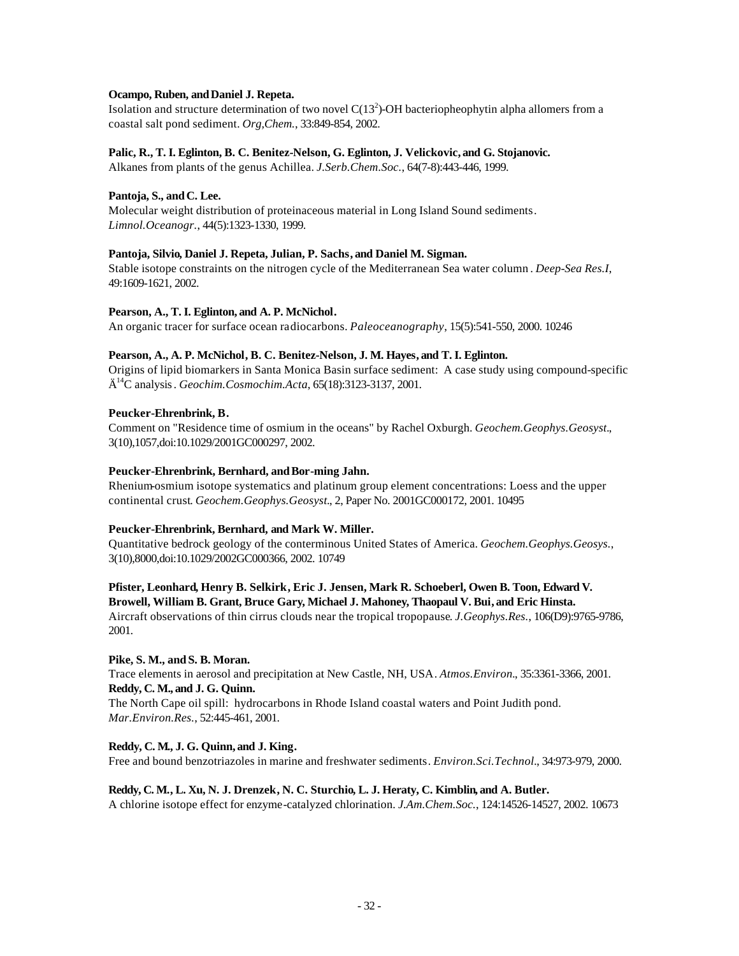# **Ocampo, Ruben, andDaniel J. Repeta.**

Isolation and structure determination of two novel  $C(13^2)$ -OH bacteriopheophytin alpha allomers from a coastal salt pond sediment. *Org,Chem.*, 33:849-854, 2002.

# **Palic, R., T. I. Eglinton, B. C. Benitez-Nelson, G. Eglinton, J. Velickovic, and G. Stojanovic.**

Alkanes from plants of the genus Achillea. *J.Serb.Chem.Soc.*, 64(7-8):443-446, 1999.

## Pantoja, S., and C. Lee.

Molecular weight distribution of proteinaceous material in Long Island Sound sediments. *Limnol.Oceanogr.*, 44(5):1323-1330, 1999.

# **Pantoja, Silvio, Daniel J. Repeta, Julian, P. Sachs, and Daniel M. Sigman.**

Stable isotope constraints on the nitrogen cycle of the Mediterranean Sea water column . *Deep-Sea Res.I*, 49:1609-1621, 2002.

# **Pearson, A., T. I. Eglinton, and A. P. McNichol.**

An organic tracer for surface ocean radiocarbons. *Paleoceanography*, 15(5):541-550, 2000. 10246

# **Pearson, A., A. P. McNichol, B. C. Benitez-Nelson, J. M. Hayes, and T. I. Eglinton.**

Origins of lipid biomarkers in Santa Monica Basin surface sediment: A case study using compound-specific Ä <sup>14</sup>C analysis. *Geochim.Cosmochim.Acta*, 65(18):3123-3137, 2001.

# **Peucker-Ehrenbrink, B.**

Comment on "Residence time of osmium in the oceans" by Rachel Oxburgh. *Geochem.Geophys.Geosyst.*, 3(10),1057,doi:10.1029/2001GC000297, 2002.

# Peucker-Ehrenbrink, Bernhard, and Bor-ming Jahn.

Rhenium-osmium isotope systematics and platinum group element concentrations: Loess and the upper continental crust. *Geochem.Geophys.Geosyst.*, 2, Paper No. 2001GC000172, 2001. 10495

## **Peucker-Ehrenbrink, Bernhard, and Mark W. Miller.**

Quantitative bedrock geology of the conterminous United States of America. *Geochem.Geophys.Geosys.*, 3(10),8000,doi:10.1029/2002GC000366, 2002. 10749

# **Pfister, Leonhard, Henry B. Selkirk, Eric J. Jensen, Mark R. Schoeberl, Owen B. Toon, Edward V.**

**Browell, William B. Grant, Bruce Gary, Michael J. Mahoney, Thaopaul V. Bui, and Eric Hinsta.** Aircraft observations of thin cirrus clouds near the tropical tropopause. *J.Geophys.Res.*, 106(D9):9765-9786, 2001.

## **Pike, S. M., and S. B. Moran.**

Trace elements in aerosol and precipitation at New Castle, NH, USA. *Atmos.Environ.*, 35:3361-3366, 2001. **Reddy, C. M., and J. G. Quinn.**

The North Cape oil spill: hydrocarbons in Rhode Island coastal waters and Point Judith pond. *Mar.Environ.Res.*, 52:445-461, 2001.

# **Reddy, C. M., J. G. Quinn, and J. King.**

Free and bound benzotriazoles in marine and freshwater sediments. *Environ.Sci.Technol.*, 34:973-979, 2000.

## **Reddy, C. M., L. Xu, N. J. Drenzek, N. C. Sturchio, L. J. Heraty, C. Kimblin, and A. Butler.**

A chlorine isotope effect for enzyme-catalyzed chlorination. *J.Am.Chem.Soc.*, 124:14526-14527, 2002. 10673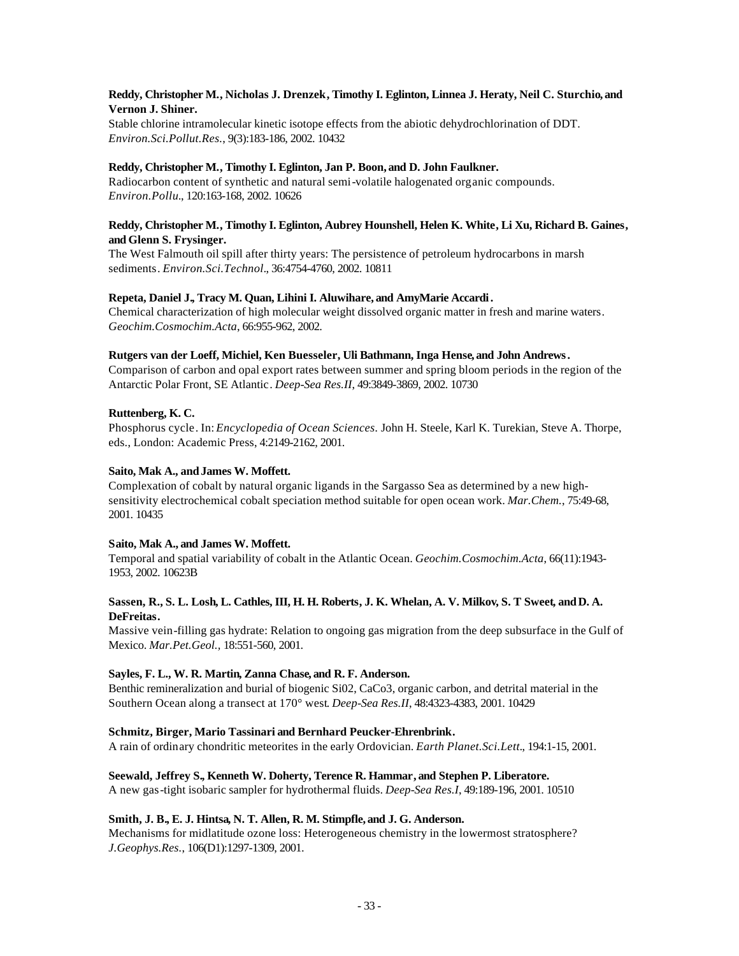# **Reddy, Christopher M., Nicholas J. Drenzek, Timothy I. Eglinton, Linnea J. Heraty, Neil C. Sturchio, and Vernon J. Shiner.**

Stable chlorine intramolecular kinetic isotope effects from the abiotic dehydrochlorination of DDT. *Environ.Sci.Pollut.Res.*, 9(3):183-186, 2002. 10432

# **Reddy, Christopher M., Timothy I. Eglinton, Jan P. Boon, and D. John Faulkner.**

Radiocarbon content of synthetic and natural semi-volatile halogenated organic compounds. *Environ.Pollu.*, 120:163-168, 2002. 10626

# **Reddy, Christopher M., Timothy I. Eglinton, Aubrey Hounshell, Helen K. White, Li Xu, Richard B. Gaines, and Glenn S. Frysinger.**

The West Falmouth oil spill after thirty years: The persistence of petroleum hydrocarbons in marsh sediments. *Environ.Sci.Technol.*, 36:4754-4760, 2002. 10811

# **Repeta, Daniel J., Tracy M. Quan, Lihini I. Aluwihare, and AmyMarie Accardi.**

Chemical characterization of high molecular weight dissolved organic matter in fresh and marine waters. *Geochim.Cosmochim.Acta*, 66:955-962, 2002.

# **Rutgers van der Loeff, Michiel, Ken Buesseler, Uli Bathmann, Inga Hense, and John Andrews.**

Comparison of carbon and opal export rates between summer and spring bloom periods in the region of the Antarctic Polar Front, SE Atlantic. *Deep-Sea Res.II*, 49:3849-3869, 2002. 10730

# **Ruttenberg, K. C.**

Phosphorus cycle. In: *Encyclopedia of Ocean Sciences.* John H. Steele, Karl K. Turekian, Steve A. Thorpe, eds., London: Academic Press, 4:2149-2162, 2001.

# **Saito, Mak A., andJames W. Moffett.**

Complexation of cobalt by natural organic ligands in the Sargasso Sea as determined by a new highsensitivity electrochemical cobalt speciation method suitable for open ocean work. *Mar.Chem.*, 75:49-68, 2001. 10435

## **Saito, Mak A., and James W. Moffett.**

Temporal and spatial variability of cobalt in the Atlantic Ocean. *Geochim.Cosmochim.Acta*, 66(11):1943- 1953, 2002. 10623B

# **Sassen, R., S. L. Losh, L. Cathles, III, H. H. Roberts, J. K. Whelan, A. V. Milkov, S. T Sweet, and D. A. DeFreitas.**

Massive vein-filling gas hydrate: Relation to ongoing gas migration from the deep subsurface in the Gulf of Mexico. *Mar.Pet.Geol.,* 18:551-560, 2001.

# **Sayles, F. L., W. R. Martin, Zanna Chase, and R. F. Anderson.**

Benthic remineralization and burial of biogenic Si02, CaCo3, organic carbon, and detrital material in the Southern Ocean along a transect at 170° west. *Deep-Sea Res.II*, 48:4323-4383, 2001. 10429

## **Schmitz, Birger, Mario Tassinari and Bernhard Peucker-Ehrenbrink.**

A rain of ordinary chondritic meteorites in the early Ordovician. *Earth Planet.Sci.Lett.*, 194:1-15, 2001.

## **Seewald, Jeffrey S., Kenneth W. Doherty, Terence R. Hammar, and Stephen P. Liberatore.**

A new gas-tight isobaric sampler for hydrothermal fluids. *Deep-Sea Res.I*, 49:189-196, 2001. 10510

## **Smith, J. B., E. J. Hintsa, N. T. Allen, R. M. Stimpfle, and J. G. Anderson.**

Mechanisms for midlatitude ozone loss: Heterogeneous chemistry in the lowermost stratosphere? *J.Geophys.Res.*, 106(D1):1297-1309, 2001.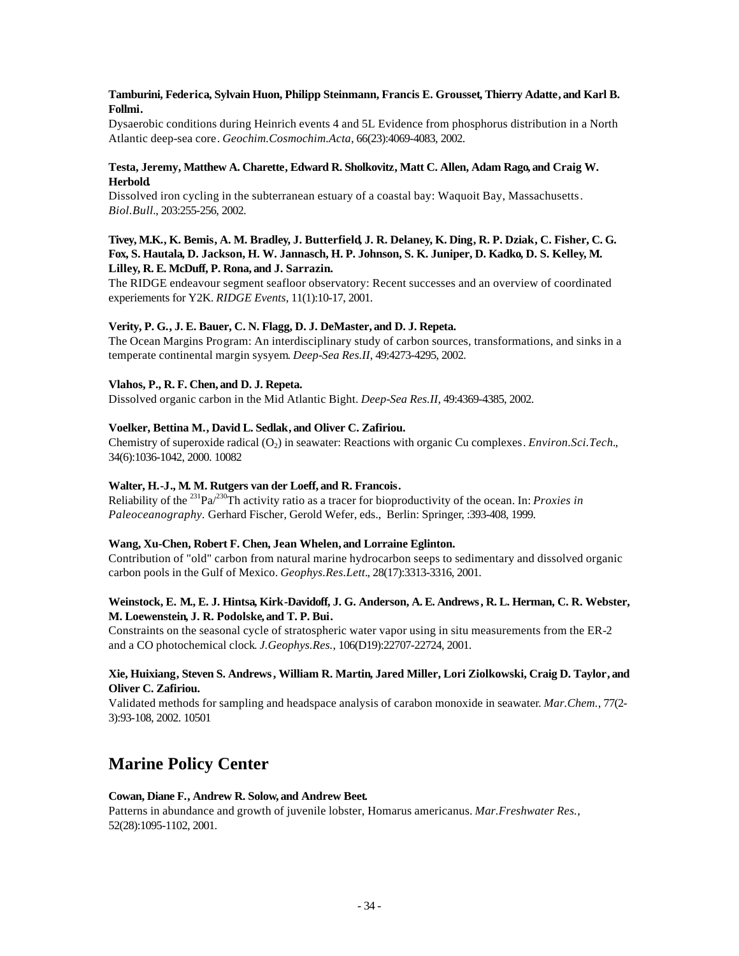# **Tamburini, Federica, Sylvain Huon, Philipp Steinmann, Francis E. Grousset, Thierry Adatte, and Karl B. Follmi.**

Dysaerobic conditions during Heinrich events 4 and 5L Evidence from phosphorus distribution in a North Atlantic deep-sea core. *Geochim.Cosmochim.Acta*, 66(23):4069-4083, 2002.

# **Testa, Jeremy, Matthew A. Charette, Edward R. Sholkovitz, Matt C. Allen, Adam Rago, and Craig W. Herbold.**

Dissolved iron cycling in the subterranean estuary of a coastal bay: Waquoit Bay, Massachusetts. *Biol.Bull.*, 203:255-256, 2002.

# **Tivey, M.K., K. Bemis, A. M. Bradley, J. Butterfield, J. R. Delaney, K. Ding, R. P. Dziak, C. Fisher, C. G. Fox, S. Hautala, D. Jackson, H. W. Jannasch, H. P. Johnson, S. K. Juniper, D. Kadko, D. S. Kelley, M. Lilley, R. E. McDuff, P. Rona, and J. Sarrazin.**

The RIDGE endeavour segment seafloor observatory: Recent successes and an overview of coordinated experiements for Y2K. *RIDGE Events*, 11(1):10-17, 2001.

# **Verity, P. G., J. E. Bauer, C. N. Flagg, D. J. DeMaster, and D. J. Repeta.**

The Ocean Margins Program: An interdisciplinary study of carbon sources, transformations, and sinks in a temperate continental margin sysyem. *Deep-Sea Res.II*, 49:4273-4295, 2002.

# **Vlahos, P., R. F. Chen, and D. J. Repeta.**

Dissolved organic carbon in the Mid Atlantic Bight. *Deep-Sea Res.II*, 49:4369-4385, 2002.

# **Voelker, Bettina M., David L. Sedlak, and Oliver C. Zafiriou.**

Chemistry of superoxide radical (O<sub>2</sub>) in seawater: Reactions with organic Cu complexes. *Environ.Sci.Tech.*, 34(6):1036-1042, 2000. 10082

# **Walter, H.-J., M. M. Rutgers van der Loeff, and R. Francois.**

Reliability of the <sup>231</sup>Pa/<sup>230</sup>Th activity ratio as a tracer for bioproductivity of the ocean. In: *Proxies in Paleoceanography.* Gerhard Fischer, Gerold Wefer, eds., Berlin: Springer, :393-408, 1999.

# **Wang, Xu-Chen, Robert F. Chen, Jean Whelen, and Lorraine Eglinton.**

Contribution of "old" carbon from natural marine hydrocarbon seeps to sedimentary and dissolved organic carbon pools in the Gulf of Mexico. *Geophys.Res.Lett.*, 28(17):3313-3316, 2001.

# **Weinstock, E. M., E. J. Hintsa, Kirk-Davidoff, J. G. Anderson, A. E. Andrews, R. L. Herman, C. R. Webster, M. Loewenstein, J. R. Podolske, and T. P. Bui.**

Constraints on the seasonal cycle of stratospheric water vapor using in situ measurements from the ER-2 and a CO photochemical clock. *J.Geophys.Res.*, 106(D19):22707-22724, 2001.

# **Xie, Huixiang, Steven S. Andrews, William R. Martin, Jared Miller, Lori Ziolkowski, Craig D. Taylor, and Oliver C. Zafiriou.**

Validated methods for sampling and headspace analysis of carabon monoxide in seawater. *Mar.Chem.*, 77(2- 3):93-108, 2002. 10501

# **Marine Policy Center**

# **Cowan, Diane F., Andrew R. Solow, and Andrew Beet.**

Patterns in abundance and growth of juvenile lobster, Homarus americanus. *Mar.Freshwater Res.*, 52(28):1095-1102, 2001.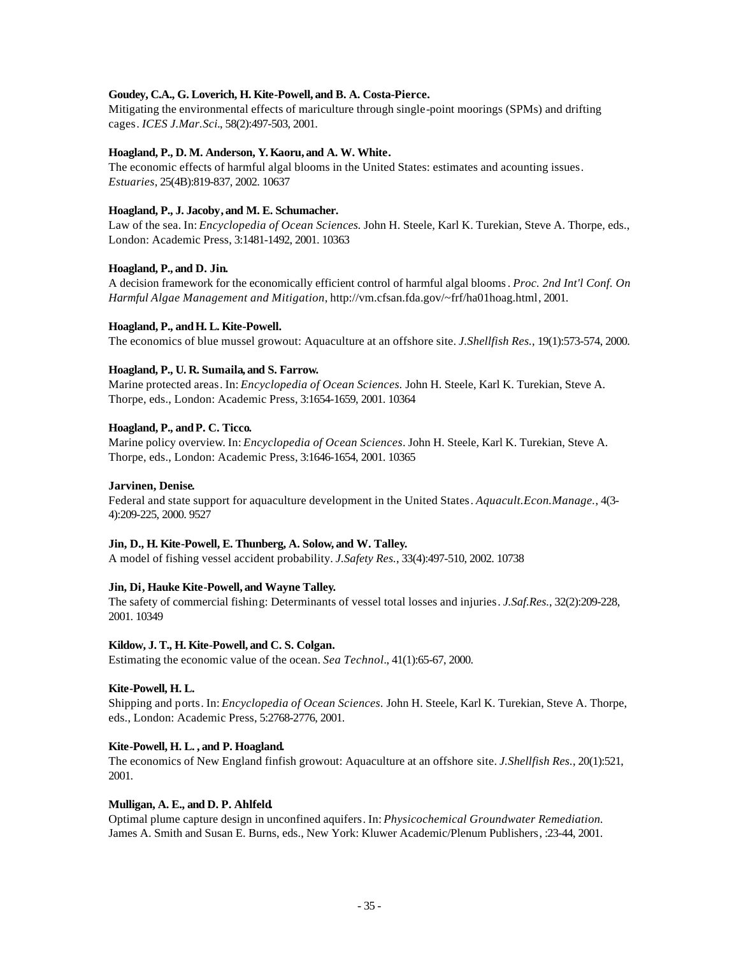# **Goudey, C.A., G. Loverich, H. Kite-Powell, and B. A. Costa-Pierce.**

Mitigating the environmental effects of mariculture through single-point moorings (SPMs) and drifting cages. *ICES J.Mar.Sci.*, 58(2):497-503, 2001.

## **Hoagland, P., D. M. Anderson, Y. Kaoru, and A. W. White.**

The economic effects of harmful algal blooms in the United States: estimates and acounting issues. *Estuaries*, 25(4B):819-837, 2002. 10637

# **Hoagland, P., J. Jacoby, and M. E. Schumacher.**

Law of the sea. In: *Encyclopedia of Ocean Sciences.* John H. Steele, Karl K. Turekian, Steve A. Thorpe, eds., London: Academic Press, 3:1481-1492, 2001. 10363

# **Hoagland, P., and D. Jin.**

A decision framework for the economically efficient control of harmful algal blooms. *Proc. 2nd Int'l Conf. On Harmful Algae Management and Mitigation*, http://vm.cfsan.fda.gov/~frf/ha01hoag.html, 2001.

# Hoagland, P., and H. L. Kite-Powell.

The economics of blue mussel growout: Aquaculture at an offshore site. *J.Shellfish Res.*, 19(1):573-574, 2000.

# **Hoagland, P., U. R. Sumaila, and S. Farrow.**

Marine protected areas. In: *Encyclopedia of Ocean Sciences.* John H. Steele, Karl K. Turekian, Steve A. Thorpe, eds., London: Academic Press, 3:1654-1659, 2001. 10364

# **Hoagland, P., andP. C. Ticco.**

Marine policy overview. In: *Encyclopedia of Ocean Sciences*. John H. Steele, Karl K. Turekian, Steve A. Thorpe, eds., London: Academic Press, 3:1646-1654, 2001. 10365

# **Jarvinen, Denise.**

Federal and state support for aquaculture development in the United States. *Aquacult.Econ.Manage.*, 4(3- 4):209-225, 2000. 9527

## **Jin, D., H. Kite-Powell, E. Thunberg, A. Solow, and W. Talley.**

A model of fishing vessel accident probability. *J.Safety Res.*, 33(4):497-510, 2002. 10738

## **Jin, Di, Hauke Kite-Powell, and Wayne Talley.**

The safety of commercial fishing: Determinants of vessel total losses and injuries. *J.Saf.Res.*, 32(2):209-228, 2001. 10349

## **Kildow, J. T., H. Kite-Powell, and C. S. Colgan.**

Estimating the economic value of the ocean. *Sea Technol.*, 41(1):65-67, 2000.

## **Kite-Powell, H. L.**

Shipping and ports. In: *Encyclopedia of Ocean Sciences.* John H. Steele, Karl K. Turekian, Steve A. Thorpe, eds., London: Academic Press, 5:2768-2776, 2001.

# **Kite-Powell, H. L. , and P. Hoagland.**

The economics of New England finfish growout: Aquaculture at an offshore site. *J.Shellfish Res.*, 20(1):521, 2001.

## **Mulligan, A. E., and D. P. Ahlfeld.**

Optimal plume capture design in unconfined aquifers. In: *Physicochemical Groundwater Remediation.*  James A. Smith and Susan E. Burns, eds., New York: Kluwer Academic/Plenum Publishers, :23-44, 2001.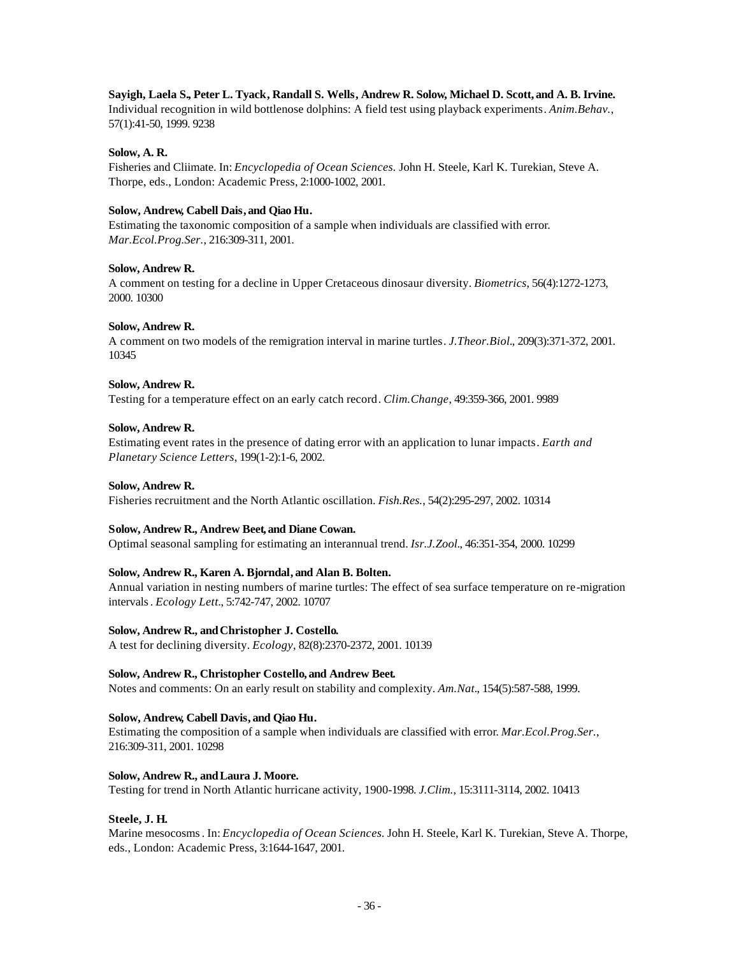# **Sayigh, Laela S., Peter L. Tyack, Randall S. Wells, Andrew R. Solow, Michael D. Scott, and A. B. Irvine.**

Individual recognition in wild bottlenose dolphins: A field test using playback experiments. *Anim.Behav.*, 57(1):41-50, 1999. 9238

## **Solow, A. R.**

Fisheries and Cliimate. In: *Encyclopedia of Ocean Sciences.* John H. Steele, Karl K. Turekian, Steve A. Thorpe, eds., London: Academic Press, 2:1000-1002, 2001.

## **Solow, Andrew, Cabell Dais, and Qiao Hu.**

Estimating the taxonomic composition of a sample when individuals are classified with error. *Mar.Ecol.Prog.Ser.*, 216:309-311, 2001.

## **Solow, Andrew R.**

A comment on testing for a decline in Upper Cretaceous dinosaur diversity. *Biometrics*, 56(4):1272-1273, 2000. 10300

## **Solow, Andrew R.**

A comment on two models of the remigration interval in marine turtles. *J.Theor.Biol.*, 209(3):371-372, 2001. 10345

## **Solow, Andrew R.**

Testing for a temperature effect on an early catch record. *Clim.Change*, 49:359-366, 2001. 9989

## **Solow, Andrew R.**

Estimating event rates in the presence of dating error with an application to lunar impacts. *Earth and Planetary Science Letters*, 199(1-2):1-6, 2002.

## **Solow, Andrew R.**

Fisheries recruitment and the North Atlantic oscillation. *Fish.Res.*, 54(2):295-297, 2002. 10314

## **Solow, Andrew R., Andrew Beet, and Diane Cowan.**

Optimal seasonal sampling for estimating an interannual trend. *Isr.J.Zool.*, 46:351-354, 2000. 10299

# **Solow, Andrew R., Karen A. Bjorndal, and Alan B. Bolten.**

Annual variation in nesting numbers of marine turtles: The effect of sea surface temperature on re-migration intervals. *Ecology Lett.*, 5:742-747, 2002. 10707

## **Solow, Andrew R., andChristopher J. Costello.**

A test for declining diversity. *Ecology*, 82(8):2370-2372, 2001. 10139

## **Solow, Andrew R., Christopher Costello, and Andrew Beet.**

Notes and comments: On an early result on stability and complexity. *Am.Nat.*, 154(5):587-588, 1999.

# **Solow, Andrew, Cabell Davis, and Qiao Hu.**

Estimating the composition of a sample when individuals are classified with error. *Mar.Ecol.Prog.Ser.*, 216:309-311, 2001. 10298

# **Solow, Andrew R., andLaura J. Moore.**

Testing for trend in North Atlantic hurricane activity, 1900-1998. *J.Clim.*, 15:3111-3114, 2002. 10413

## **Steele, J. H.**

Marine mesocosms. In: *Encyclopedia of Ocean Sciences.* John H. Steele, Karl K. Turekian, Steve A. Thorpe, eds., London: Academic Press, 3:1644-1647, 2001.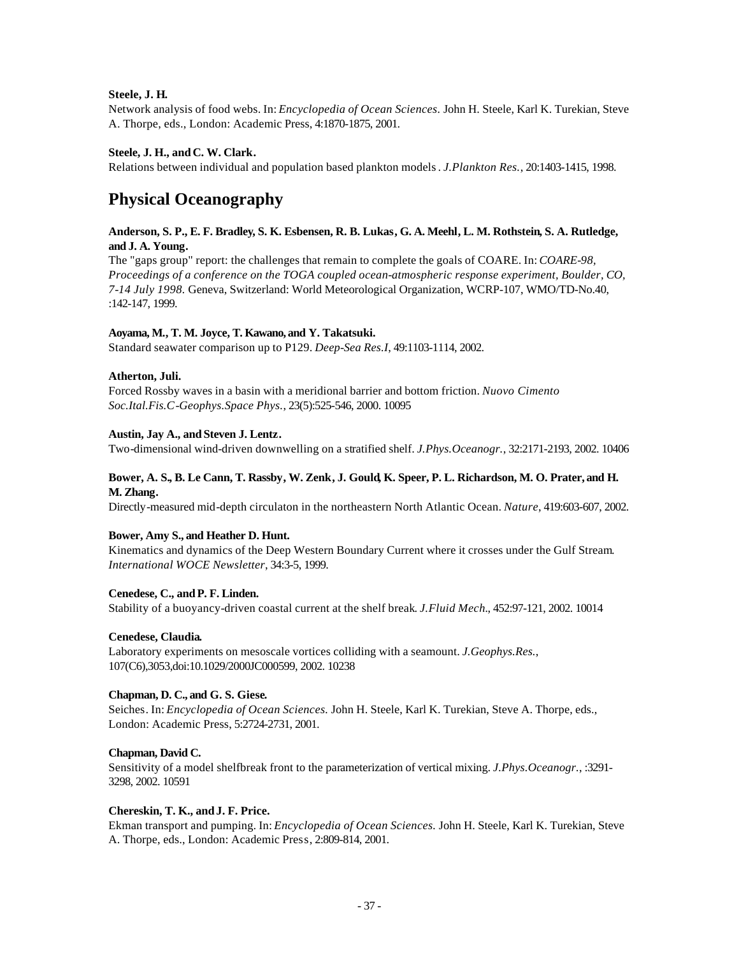# **Steele, J. H.**

Network analysis of food webs. In: *Encyclopedia of Ocean Sciences.* John H. Steele, Karl K. Turekian, Steve A. Thorpe, eds., London: Academic Press, 4:1870-1875, 2001.

# **Steele, J. H., and C. W. Clark.**

Relations between individual and population based plankton models. *J.Plankton Res.*, 20:1403-1415, 1998.

# **Physical Oceanography**

# **Anderson, S. P., E. F. Bradley, S. K. Esbensen, R. B. Lukas, G. A. Meehl, L. M. Rothstein, S. A. Rutledge, and J. A. Young.**

The "gaps group" report: the challenges that remain to complete the goals of COARE. In: *COARE-98, Proceedings of a conference on the TOGA coupled ocean-atmospheric response experiment, Boulder, CO, 7-14 July 1998.* Geneva, Switzerland: World Meteorological Organization, WCRP-107, WMO/TD-No.40, :142-147, 1999.

# **Aoyama, M., T. M. Joyce, T. Kawano, and Y. Takatsuki.**

Standard seawater comparison up to P129. *Deep-Sea Res.I*, 49:1103-1114, 2002.

# **Atherton, Juli.**

Forced Rossby waves in a basin with a meridional barrier and bottom friction. *Nuovo Cimento Soc.Ital.Fis.C-Geophys.Space Phys.*, 23(5):525-546, 2000. 10095

# **Austin, Jay A., and Steven J. Lentz.**

Two-dimensional wind-driven downwelling on a stratified shelf. *J.Phys.Oceanogr.*, 32:2171-2193, 2002. 10406

# **Bower, A. S., B. Le Cann, T. Rassby, W. Zenk, J. Gould, K. Speer, P. L. Richardson, M. O. Prater, and H. M. Zhang.**

Directly-measured mid-depth circulaton in the northeastern North Atlantic Ocean. *Nature*, 419:603-607, 2002.

## **Bower, Amy S., and Heather D. Hunt.**

Kinematics and dynamics of the Deep Western Boundary Current where it crosses under the Gulf Stream. *International WOCE Newsletter*, 34:3-5, 1999.

## **Cenedese, C., andP. F. Linden.**

Stability of a buoyancy-driven coastal current at the shelf break. *J.Fluid Mech.*, 452:97-121, 2002. 10014

## **Cenedese, Claudia.**

Laboratory experiments on mesoscale vortices colliding with a seamount. *J.Geophys.Res.*, 107(C6),3053,doi:10.1029/2000JC000599, 2002. 10238

## **Chapman, D. C., and G. S. Giese.**

Seiches. In: *Encyclopedia of Ocean Sciences.* John H. Steele, Karl K. Turekian, Steve A. Thorpe, eds., London: Academic Press, 5:2724-2731, 2001.

## **Chapman, David C.**

Sensitivity of a model shelfbreak front to the parameterization of vertical mixing. *J.Phys.Oceanogr.*, :3291- 3298, 2002. 10591

## **Chereskin, T. K., and J. F. Price.**

Ekman transport and pumping. In: *Encyclopedia of Ocean Sciences.* John H. Steele, Karl K. Turekian, Steve A. Thorpe, eds., London: Academic Press, 2:809-814, 2001.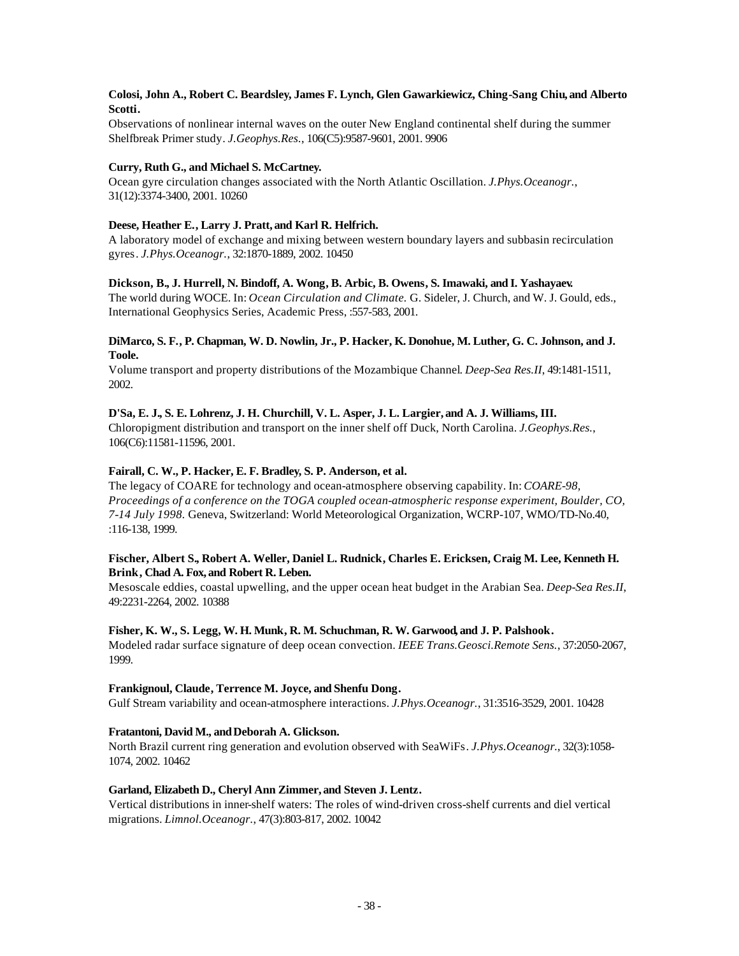# **Colosi, John A., Robert C. Beardsley, James F. Lynch, Glen Gawarkiewicz, Ching-Sang Chiu, and Alberto Scotti.**

Observations of nonlinear internal waves on the outer New England continental shelf during the summer Shelfbreak Primer study. *J.Geophys.Res.*, 106(C5):9587-9601, 2001. 9906

# **Curry, Ruth G., and Michael S. McCartney.**

Ocean gyre circulation changes associated with the North Atlantic Oscillation. *J.Phys.Oceanogr.*, 31(12):3374-3400, 2001. 10260

# **Deese, Heather E., Larry J. Pratt, and Karl R. Helfrich.**

A laboratory model of exchange and mixing between western boundary layers and subbasin recirculation gyres. *J.Phys.Oceanogr.*, 32:1870-1889, 2002. 10450

# **Dickson, B., J. Hurrell, N. Bindoff, A. Wong, B. Arbic, B. Owens, S. Imawaki, and I. Yashayaev.**

The world during WOCE. In: *Ocean Circulation and Climate.* G. Sideler, J. Church, and W. J. Gould, eds., International Geophysics Series, Academic Press, :557-583, 2001.

# **DiMarco, S. F., P. Chapman, W. D. Nowlin, Jr., P. Hacker, K. Donohue, M. Luther, G. C. Johnson, and J. Toole.**

Volume transport and property distributions of the Mozambique Channel. *Deep-Sea Res.II*, 49:1481-1511, 2002.

# **D'Sa, E. J., S. E. Lohrenz, J. H. Churchill, V. L. Asper, J. L. Largier, and A. J. Williams, III.**

Chloropigment distribution and transport on the inner shelf off Duck, North Carolina. *J.Geophys.Res.*, 106(C6):11581-11596, 2001.

# **Fairall, C. W., P. Hacker, E. F. Bradley, S. P. Anderson, et al.**

The legacy of COARE for technology and ocean-atmosphere observing capability. In: *COARE-98, Proceedings of a conference on the TOGA coupled ocean-atmospheric response experiment, Boulder, CO, 7-14 July 1998.* Geneva, Switzerland: World Meteorological Organization, WCRP-107, WMO/TD-No.40, :116-138, 1999.

# **Fischer, Albert S., Robert A. Weller, Daniel L. Rudnick, Charles E. Ericksen, Craig M. Lee, Kenneth H. Brink, Chad A. Fox, and Robert R. Leben.**

Mesoscale eddies, coastal upwelling, and the upper ocean heat budget in the Arabian Sea. *Deep-Sea Res.II*, 49:2231-2264, 2002. 10388

## **Fisher, K. W., S. Legg, W. H. Munk, R. M. Schuchman, R. W. Garwood, and J. P. Palshook.**

Modeled radar surface signature of deep ocean convection. *IEEE Trans.Geosci.Remote Sens.*, 37:2050-2067, 1999.

## **Frankignoul, Claude, Terrence M. Joyce, and Shenfu Dong.**

Gulf Stream variability and ocean-atmosphere interactions. *J.Phys.Oceanogr.*, 31:3516-3529, 2001. 10428

## **Fratantoni, David M., andDeborah A. Glickson.**

North Brazil current ring generation and evolution observed with SeaWiFs. *J.Phys.Oceanogr.*, 32(3):1058- 1074, 2002. 10462

## **Garland, Elizabeth D., Cheryl Ann Zimmer, and Steven J. Lentz.**

Vertical distributions in inner-shelf waters: The roles of wind-driven cross-shelf currents and diel vertical migrations. *Limnol.Oceanogr.*, 47(3):803-817, 2002. 10042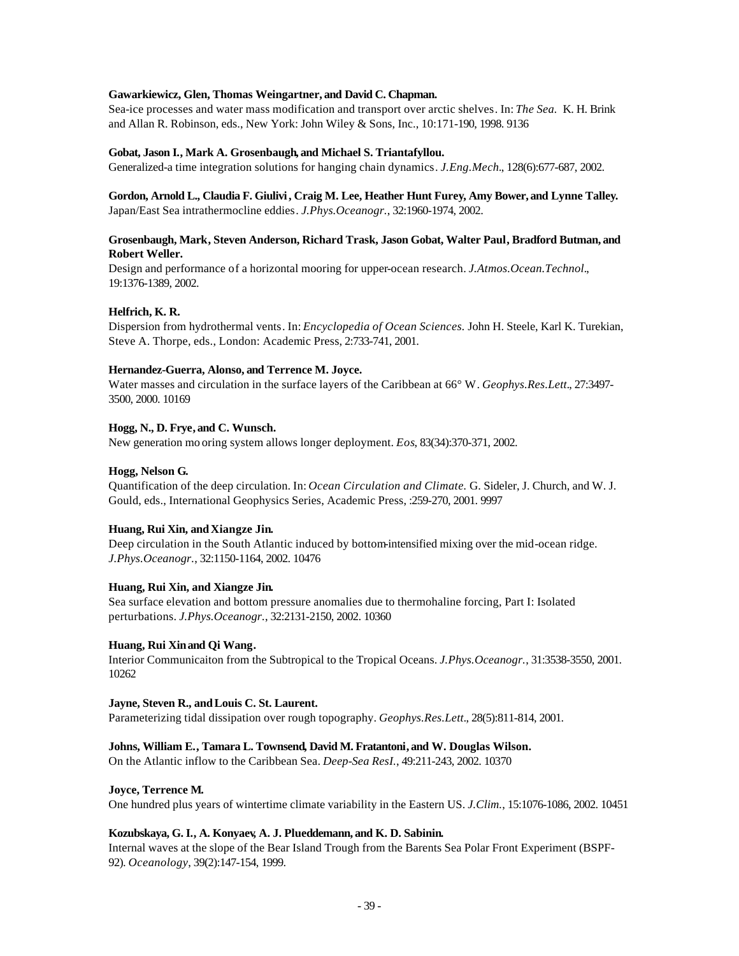## **Gawarkiewicz, Glen, Thomas Weingartner, and David C. Chapman.**

Sea-ice processes and water mass modification and transport over arctic shelves. In: *The Sea.* K. H. Brink and Allan R. Robinson, eds., New York: John Wiley & Sons, Inc., 10:171-190, 1998. 9136

# **Gobat, Jason I., Mark A. Grosenbaugh, and Michael S. Triantafyllou.**

Generalized-a time integration solutions for hanging chain dynamics. *J.Eng.Mech.*, 128(6):677-687, 2002.

# **Gordon, Arnold L., Claudia F. Giulivi, Craig M. Lee, Heather Hunt Furey, Amy Bower, and Lynne Talley.** Japan/East Sea intrathermocline eddies. *J.Phys.Oceanogr.*, 32:1960-1974, 2002.

# **Grosenbaugh, Mark, Steven Anderson, Richard Trask, Jason Gobat, Walter Paul, Bradford Butman, and Robert Weller.**

Design and performance of a horizontal mooring for upper-ocean research. *J.Atmos.Ocean.Technol.*, 19:1376-1389, 2002.

# **Helfrich, K. R.**

Dispersion from hydrothermal vents. In: *Encyclopedia of Ocean Sciences.* John H. Steele, Karl K. Turekian, Steve A. Thorpe, eds., London: Academic Press, 2:733-741, 2001.

# **Hernandez-Guerra, Alonso, and Terrence M. Joyce.**

Water masses and circulation in the surface layers of the Caribbean at 66° W. *Geophys.Res.Lett.*, 27:3497- 3500, 2000. 10169

# **Hogg, N., D. Frye, and C. Wunsch.**

New generation mo oring system allows longer deployment. *Eos*, 83(34):370-371, 2002.

# **Hogg, Nelson G.**

Quantification of the deep circulation. In: *Ocean Circulation and Climate.* G. Sideler, J. Church, and W. J. Gould, eds., International Geophysics Series, Academic Press, :259-270, 2001. 9997

# Huang, Rui Xin, and Xiangze Jin.

Deep circulation in the South Atlantic induced by bottom-intensified mixing over the mid-ocean ridge. *J.Phys.Oceanogr.*, 32:1150-1164, 2002. 10476

# **Huang, Rui Xin, and Xiangze Jin.**

Sea surface elevation and bottom pressure anomalies due to thermohaline forcing, Part I: Isolated perturbations. *J.Phys.Oceanogr.*, 32:2131-2150, 2002. 10360

# **Huang, Rui Xin and Qi Wang.**

Interior Communicaiton from the Subtropical to the Tropical Oceans. *J.Phys.Oceanogr.*, 31:3538-3550, 2001. 10262

## **Jayne, Steven R., andLouis C. St. Laurent.**

Parameterizing tidal dissipation over rough topography. *Geophys.Res.Lett.*, 28(5):811-814, 2001.

## **Johns, William E., Tamara L. Townsend, David M. Fratantoni, and W. Douglas Wilson.**

On the Atlantic inflow to the Caribbean Sea. *Deep-Sea ResI.*, 49:211-243, 2002. 10370

## **Joyce, Terrence M.**

One hundred plus years of wintertime climate variability in the Eastern US. *J.Clim.*, 15:1076-1086, 2002. 10451

## **Kozubskaya, G. I., A. Konyaev, A. J. Plueddemann, and K. D. Sabinin.**

Internal waves at the slope of the Bear Island Trough from the Barents Sea Polar Front Experiment (BSPF-92). *Oceanology*, 39(2):147-154, 1999.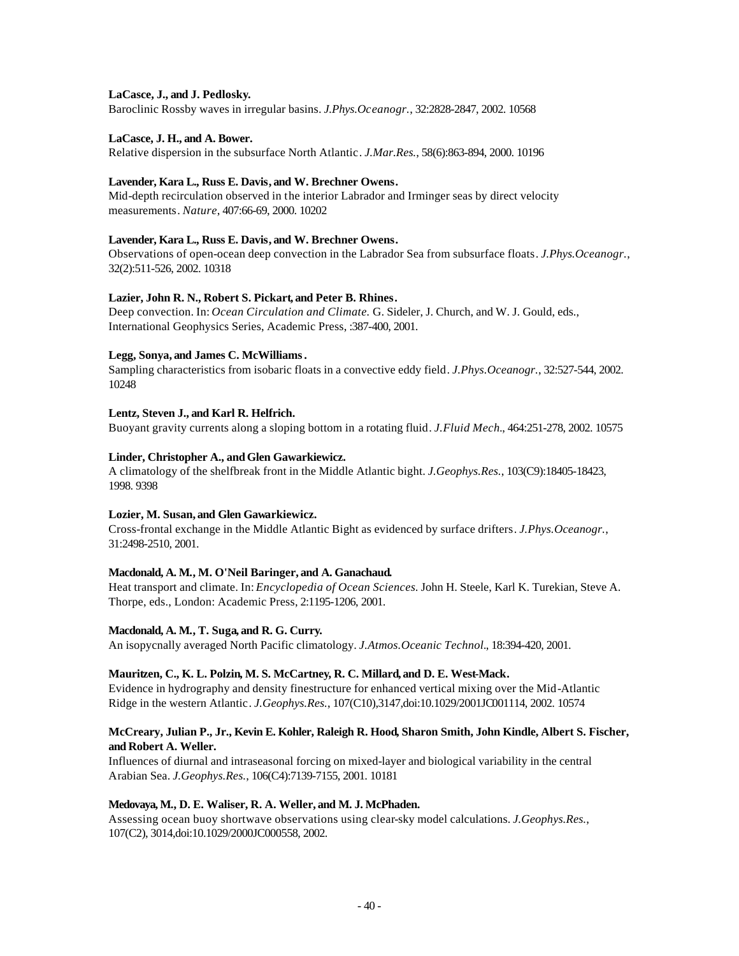# **LaCasce, J., and J. Pedlosky.**

Baroclinic Rossby waves in irregular basins. *J.Phys.Oceanogr.*, 32:2828-2847, 2002. 10568

# **LaCasce, J. H., and A. Bower.**

Relative dispersion in the subsurface North Atlantic. *J.Mar.Res.*, 58(6):863-894, 2000. 10196

## **Lavender, Kara L., Russ E. Davis, and W. Brechner Owens.**

Mid-depth recirculation observed in the interior Labrador and Irminger seas by direct velocity measurements. *Nature*, 407:66-69, 2000. 10202

# **Lavender, Kara L., Russ E. Davis, and W. Brechner Owens.**

Observations of open-ocean deep convection in the Labrador Sea from subsurface floats. *J.Phys.Oceanogr.*, 32(2):511-526, 2002. 10318

# **Lazier, John R. N., Robert S. Pickart, and Peter B. Rhines.**

Deep convection. In: *Ocean Circulation and Climate.* G. Sideler, J. Church, and W. J. Gould, eds., International Geophysics Series, Academic Press, :387-400, 2001.

# **Legg, Sonya, and James C. McWilliams.**

Sampling characteristics from isobaric floats in a convective eddy field. *J.Phys.Oceanogr.*, 32:527-544, 2002. 10248

# **Lentz, Steven J., and Karl R. Helfrich.**

Buoyant gravity currents along a sloping bottom in a rotating fluid. *J.Fluid Mech.*, 464:251-278, 2002. 10575

# **Linder, Christopher A., andGlen Gawarkiewicz.**

A climatology of the shelfbreak front in the Middle Atlantic bight. *J.Geophys.Res.*, 103(C9):18405-18423, 1998. 9398

# **Lozier, M. Susan, and Glen Gawarkiewicz.**

Cross-frontal exchange in the Middle Atlantic Bight as evidenced by surface drifters. *J.Phys.Oceanogr.*, 31:2498-2510, 2001.

## **Macdonald, A. M., M. O'Neil Baringer, and A. Ganachaud.**

Heat transport and climate. In: *Encyclopedia of Ocean Sciences*. John H. Steele, Karl K. Turekian, Steve A. Thorpe, eds., London: Academic Press, 2:1195-1206, 2001.

## **Macdonald, A. M., T. Suga, and R. G. Curry.**

An isopycnally averaged North Pacific climatology. *J.Atmos.Oceanic Technol.*, 18:394-420, 2001.

## **Mauritzen, C., K. L. Polzin, M. S. McCartney, R. C. Millard, and D. E. West-Mack.**

Evidence in hydrography and density finestructure for enhanced vertical mixing over the Mid-Atlantic Ridge in the western Atlantic. *J.Geophys.Res.*, 107(C10),3147,doi:10.1029/2001JC001114, 2002. 10574

## **McCreary, Julian P., Jr., Kevin E. Kohler, Raleigh R. Hood, Sharon Smith, John Kindle, Albert S. Fischer, and Robert A. Weller.**

Influences of diurnal and intraseasonal forcing on mixed-layer and biological variability in the central Arabian Sea. *J.Geophys.Res.*, 106(C4):7139-7155, 2001. 10181

## **Medovaya, M., D. E. Waliser, R. A. Weller, and M. J. McPhaden.**

Assessing ocean buoy shortwave observations using clear-sky model calculations. *J.Geophys.Res.*, 107(C2), 3014,doi:10.1029/2000JC000558, 2002.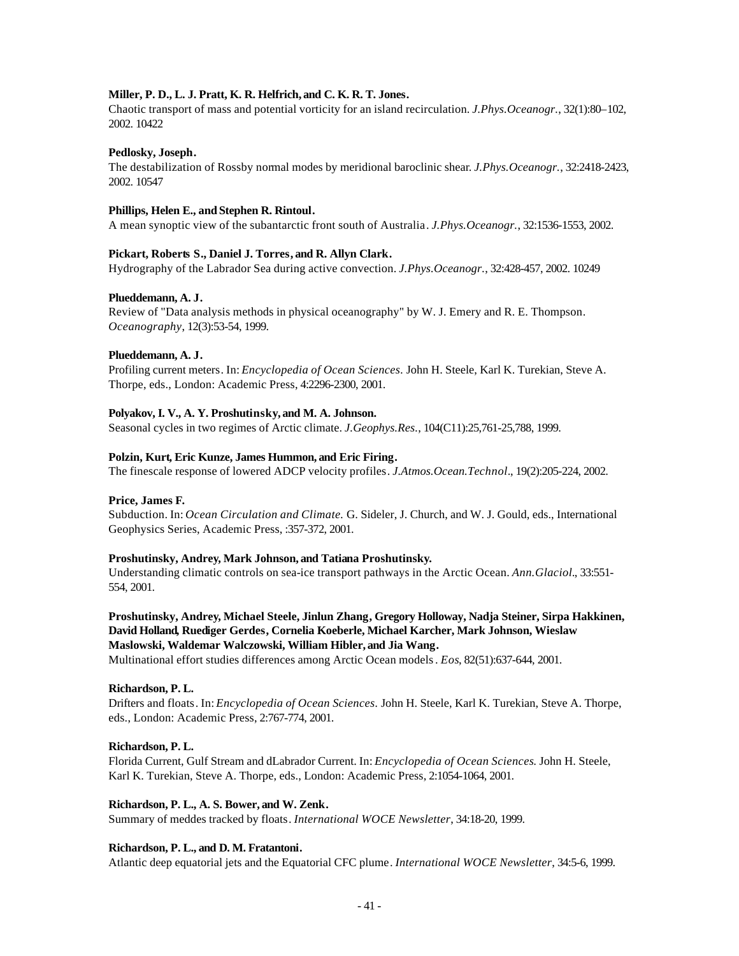# **Miller, P. D., L. J. Pratt, K. R. Helfrich, and C. K. R. T. Jones.**

Chaotic transport of mass and potential vorticity for an island recirculation. *J.Phys.Oceanogr.*, 32(1):80–102, 2002. 10422

## **Pedlosky, Joseph.**

The destabilization of Rossby normal modes by meridional baroclinic shear. *J.Phys.Oceanogr.*, 32:2418-2423, 2002. 10547

## **Phillips, Helen E., and Stephen R. Rintoul.**

A mean synoptic view of the subantarctic front south of Australia. *J.Phys.Oceanogr.*, 32:1536-1553, 2002.

# **Pickart, Roberts S., Daniel J. Torres, and R. Allyn Clark.**

Hydrography of the Labrador Sea during active convection. *J.Phys.Oceanogr.*, 32:428-457, 2002. 10249

# **Plueddemann, A. J.**

Review of "Data analysis methods in physical oceanography" by W. J. Emery and R. E. Thompson. *Oceanography*, 12(3):53-54, 1999.

## **Plueddemann, A. J.**

Profiling current meters. In: *Encyclopedia of Ocean Sciences.* John H. Steele, Karl K. Turekian, Steve A. Thorpe, eds., London: Academic Press, 4:2296-2300, 2001.

## **Polyakov, I. V., A. Y. Proshutinsky, and M. A. Johnson.**

Seasonal cycles in two regimes of Arctic climate. *J.Geophys.Res.*, 104(C11):25,761-25,788, 1999.

## **Polzin, Kurt, Eric Kunze, James Hummon, and Eric Firing.**

The finescale response of lowered ADCP velocity profiles. *J.Atmos.Ocean.Technol.*, 19(2):205-224, 2002.

## **Price, James F.**

Subduction. In: *Ocean Circulation and Climate.* G. Sideler, J. Church, and W. J. Gould, eds., International Geophysics Series, Academic Press, :357-372, 2001.

## **Proshutinsky, Andrey, Mark Johnson, and Tatiana Proshutinsky.**

Understanding climatic controls on sea-ice transport pathways in the Arctic Ocean. *Ann.Glaciol.*, 33:551- 554, 2001.

**Proshutinsky, Andrey, Michael Steele, Jinlun Zhang, Gregory Holloway, Nadja Steiner, Sirpa Hakkinen, David Holland, Ruediger Gerdes, Cornelia Koeberle, Michael Karcher, Mark Johnson, Wieslaw Maslowski, Waldemar Walczowski, William Hibler, and Jia Wang.**

Multinational effort studies differences among Arctic Ocean models. *Eos*, 82(51):637-644, 2001.

## **Richardson, P. L.**

Drifters and floats. In: *Encyclopedia of Ocean Sciences.* John H. Steele, Karl K. Turekian, Steve A. Thorpe, eds., London: Academic Press, 2:767-774, 2001.

## **Richardson, P. L.**

Florida Current, Gulf Stream and dLabrador Current. In: *Encyclopedia of Ocean Sciences.* John H. Steele, Karl K. Turekian, Steve A. Thorpe, eds., London: Academic Press, 2:1054-1064, 2001.

# **Richardson, P. L., A. S. Bower, and W. Zenk.**

Summary of meddes tracked by floats. *International WOCE Newsletter*, 34:18-20, 1999.

## **Richardson, P. L., and D. M. Fratantoni.**

Atlantic deep equatorial jets and the Equatorial CFC plume. *International WOCE Newsletter*, 34:5-6, 1999.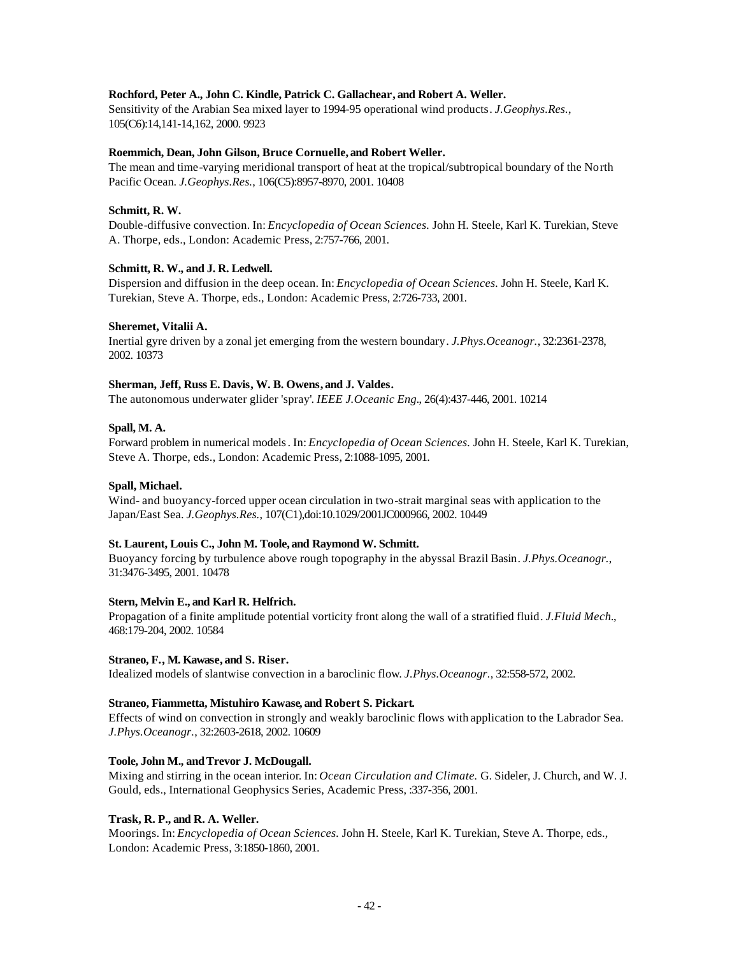# **Rochford, Peter A., John C. Kindle, Patrick C. Gallachear, and Robert A. Weller.**

Sensitivity of the Arabian Sea mixed layer to 1994-95 operational wind products. *J.Geophys.Res.*, 105(C6):14,141-14,162, 2000. 9923

## **Roemmich, Dean, John Gilson, Bruce Cornuelle, and Robert Weller.**

The mean and time-varying meridional transport of heat at the tropical/subtropical boundary of the North Pacific Ocean. *J.Geophys.Res.*, 106(C5):8957-8970, 2001. 10408

## **Schmitt, R. W.**

Double-diffusive convection. In: *Encyclopedia of Ocean Sciences.* John H. Steele, Karl K. Turekian, Steve A. Thorpe, eds., London: Academic Press, 2:757-766, 2001.

# **Schmitt, R. W., and J. R. Ledwell.**

Dispersion and diffusion in the deep ocean. In: *Encyclopedia of Ocean Sciences.* John H. Steele, Karl K. Turekian, Steve A. Thorpe, eds., London: Academic Press, 2:726-733, 2001.

## **Sheremet, Vitalii A.**

Inertial gyre driven by a zonal jet emerging from the western boundary. *J.Phys.Oceanogr.*, 32:2361-2378, 2002. 10373

# **Sherman, Jeff, Russ E. Davis, W. B. Owens, and J. Valdes.**

The autonomous underwater glider 'spray'. *IEEE J.Oceanic Eng.*, 26(4):437-446, 2001. 10214

## **Spall, M. A.**

Forward problem in numerical models. In: *Encyclopedia of Ocean Sciences.* John H. Steele, Karl K. Turekian, Steve A. Thorpe, eds., London: Academic Press, 2:1088-1095, 2001.

## **Spall, Michael.**

Wind- and buoyancy-forced upper ocean circulation in two-strait marginal seas with application to the Japan/East Sea. *J.Geophys.Res.*, 107(C1),doi:10.1029/2001JC000966, 2002. 10449

## **St. Laurent, Louis C., John M. Toole, and Raymond W. Schmitt.**

Buoyancy forcing by turbulence above rough topography in the abyssal Brazil Basin. *J.Phys.Oceanogr.*, 31:3476-3495, 2001. 10478

## **Stern, Melvin E., and Karl R. Helfrich.**

Propagation of a finite amplitude potential vorticity front along the wall of a stratified fluid. *J.Fluid Mech.*, 468:179-204, 2002. 10584

## **Straneo, F., M. Kawase, and S. Riser.**

Idealized models of slantwise convection in a baroclinic flow. *J.Phys.Oceanogr.*, 32:558-572, 2002.

## **Straneo, Fiammetta, Mistuhiro Kawase, and Robert S. Pickart.**

Effects of wind on convection in strongly and weakly baroclinic flows with application to the Labrador Sea. *J.Phys.Oceanogr.*, 32:2603-2618, 2002. 10609

## **Toole, John M., andTrevor J. McDougall.**

Mixing and stirring in the ocean interior. In: *Ocean Circulation and Climate.* G. Sideler, J. Church, and W. J. Gould, eds., International Geophysics Series, Academic Press, :337-356, 2001.

## **Trask, R. P., and R. A. Weller.**

Moorings. In: *Encyclopedia of Ocean Sciences.* John H. Steele, Karl K. Turekian, Steve A. Thorpe, eds., London: Academic Press, 3:1850-1860, 2001.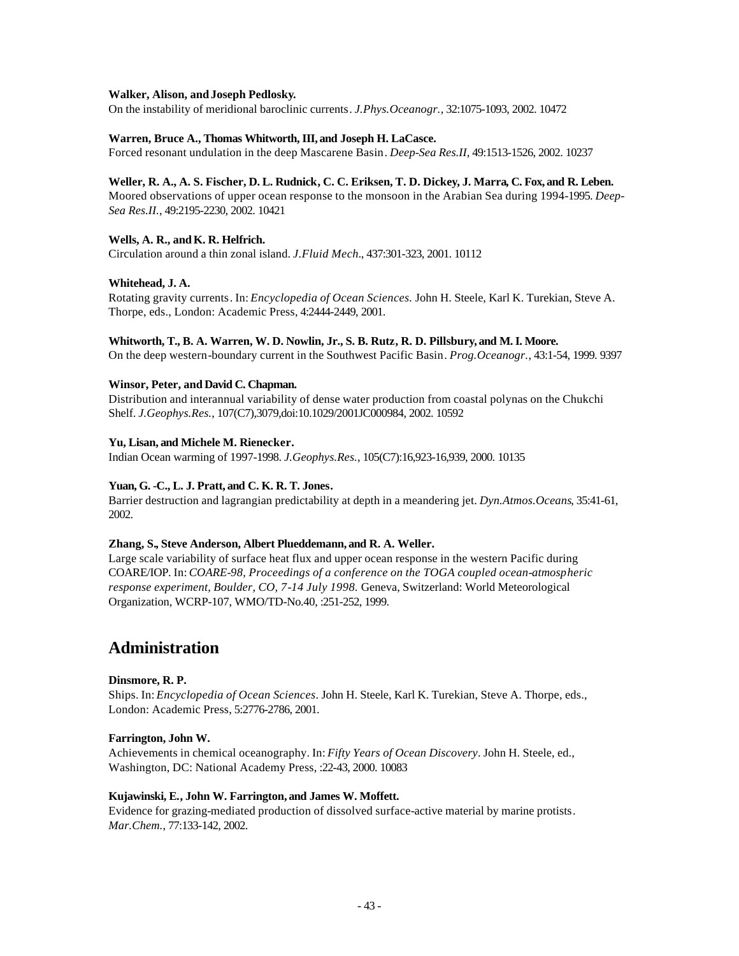## **Walker, Alison, andJoseph Pedlosky.**

On the instability of meridional baroclinic currents. *J.Phys.Oceanogr.*, 32:1075-1093, 2002. 10472

# **Warren, Bruce A., Thomas Whitworth, III, and Joseph H. LaCasce.**

Forced resonant undulation in the deep Mascarene Basin. *Deep-Sea Res.II*, 49:1513-1526, 2002. 10237

## **Weller, R. A., A. S. Fischer, D. L. Rudnick, C. C. Eriksen, T. D. Dickey, J. Marra, C. Fox, and R. Leben.**

Moored observations of upper ocean response to the monsoon in the Arabian Sea during 1994-1995. *Deep-Sea Res.II.*, 49:2195-2230, 2002. 10421

# Wells, A. R., and K. R. Helfrich.

Circulation around a thin zonal island. *J.Fluid Mech.*, 437:301-323, 2001. 10112

## **Whitehead, J. A.**

Rotating gravity currents. In: *Encyclopedia of Ocean Sciences.* John H. Steele, Karl K. Turekian, Steve A. Thorpe, eds., London: Academic Press, 4:2444-2449, 2001.

## **Whitworth, T., B. A. Warren, W. D. Nowlin, Jr., S. B. Rutz, R. D. Pillsbury, and M. I. Moore.**

On the deep western-boundary current in the Southwest Pacific Basin. *Prog.Oceanogr.*, 43:1-54, 1999. 9397

# **Winsor, Peter, and David C. Chapman.**

Distribution and interannual variability of dense water production from coastal polynas on the Chukchi Shelf. *J.Geophys.Res.*, 107(C7),3079,doi:10.1029/2001JC000984, 2002. 10592

## **Yu, Lisan, and Michele M. Rienecker.**

Indian Ocean warming of 1997-1998. *J.Geophys.Res.*, 105(C7):16,923-16,939, 2000. 10135

# **Yuan, G. -C., L. J. Pratt, and C. K. R. T. Jones.**

Barrier destruction and lagrangian predictability at depth in a meandering jet. *Dyn.Atmos.Oceans*, 35:41-61, 2002.

## **Zhang, S., Steve Anderson, Albert Plueddemann, and R. A. Weller.**

Large scale variability of surface heat flux and upper ocean response in the western Pacific during COARE/IOP. In: *COARE-98, Proceedings of a conference on the TOGA coupled ocean-atmospheric response experiment, Boulder, CO, 7-14 July 1998.* Geneva, Switzerland: World Meteorological Organization, WCRP-107, WMO/TD-No.40, :251-252, 1999.

# **Administration**

## **Dinsmore, R. P.**

Ships. In: *Encyclopedia of Ocean Sciences*. John H. Steele, Karl K. Turekian, Steve A. Thorpe, eds., London: Academic Press, 5:2776-2786, 2001.

## **Farrington, John W.**

Achievements in chemical oceanography. In: *Fifty Years of Ocean Discovery*. John H. Steele, ed., Washington, DC: National Academy Press, :22-43, 2000. 10083

## **Kujawinski, E., John W. Farrington, and James W. Moffett.**

Evidence for grazing-mediated production of dissolved surface-active material by marine protists. *Mar.Chem.*, 77:133-142, 2002.